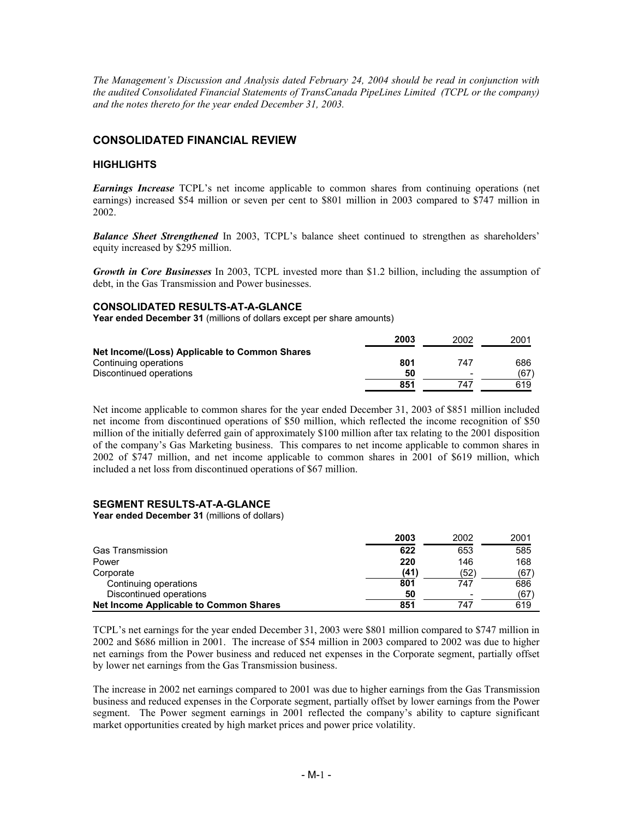*The Management's Discussion and Analysis dated February 24, 2004 should be read in conjunction with the audited Consolidated Financial Statements of TransCanada PipeLines Limited (TCPL or the company) and the notes thereto for the year ended December 31, 2003.* 

# **CONSOLIDATED FINANCIAL REVIEW**

## **HIGHLIGHTS**

*Earnings Increase* TCPL's net income applicable to common shares from continuing operations (net earnings) increased \$54 million or seven per cent to \$801 million in 2003 compared to \$747 million in 2002.

*Balance Sheet Strengthened* In 2003, TCPL's balance sheet continued to strengthen as shareholders' equity increased by \$295 million.

*Growth in Core Businesses* In 2003, TCPL invested more than \$1.2 billion, including the assumption of debt, in the Gas Transmission and Power businesses.

#### **CONSOLIDATED RESULTS-AT-A-GLANCE**

**Year ended December 31** (millions of dollars except per share amounts)

|                                               | 2003 | 2002                     | 200 <sup>4</sup> |
|-----------------------------------------------|------|--------------------------|------------------|
| Net Income/(Loss) Applicable to Common Shares |      |                          |                  |
| Continuing operations                         | 801  | 747                      | 686              |
| Discontinued operations                       | 50   | $\overline{\phantom{0}}$ | (67)             |
|                                               | 851  | 747                      | 619              |

Net income applicable to common shares for the year ended December 31, 2003 of \$851 million included net income from discontinued operations of \$50 million, which reflected the income recognition of \$50 million of the initially deferred gain of approximately \$100 million after tax relating to the 2001 disposition of the company's Gas Marketing business. This compares to net income applicable to common shares in 2002 of \$747 million, and net income applicable to common shares in 2001 of \$619 million, which included a net loss from discontinued operations of \$67 million.

#### **SEGMENT RESULTS-AT-A-GLANCE**

**Year ended December 31** (millions of dollars)

|                                        | 2003 | 2002                     | 2001 |
|----------------------------------------|------|--------------------------|------|
| <b>Gas Transmission</b>                | 622  | 653                      | 585  |
| Power                                  | 220  | 146                      | 168  |
| Corporate                              | (41) | (52)                     | (67) |
| Continuing operations                  | 801  | 747                      | 686  |
| Discontinued operations                | 50   | $\overline{\phantom{0}}$ | (67) |
| Net Income Applicable to Common Shares | 851  | 747                      | 619  |

TCPL's net earnings for the year ended December 31, 2003 were \$801 million compared to \$747 million in 2002 and \$686 million in 2001. The increase of \$54 million in 2003 compared to 2002 was due to higher net earnings from the Power business and reduced net expenses in the Corporate segment, partially offset by lower net earnings from the Gas Transmission business.

The increase in 2002 net earnings compared to 2001 was due to higher earnings from the Gas Transmission business and reduced expenses in the Corporate segment, partially offset by lower earnings from the Power segment. The Power segment earnings in 2001 reflected the company's ability to capture significant market opportunities created by high market prices and power price volatility.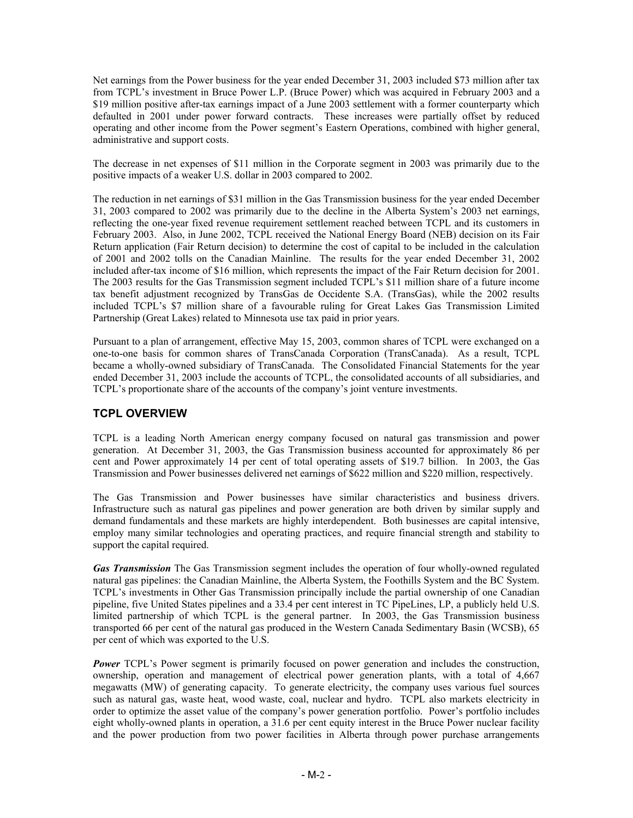Net earnings from the Power business for the year ended December 31, 2003 included \$73 million after tax from TCPL's investment in Bruce Power L.P. (Bruce Power) which was acquired in February 2003 and a \$19 million positive after-tax earnings impact of a June 2003 settlement with a former counterparty which defaulted in 2001 under power forward contracts. These increases were partially offset by reduced operating and other income from the Power segment's Eastern Operations, combined with higher general, administrative and support costs.

The decrease in net expenses of \$11 million in the Corporate segment in 2003 was primarily due to the positive impacts of a weaker U.S. dollar in 2003 compared to 2002.

The reduction in net earnings of \$31 million in the Gas Transmission business for the year ended December 31, 2003 compared to 2002 was primarily due to the decline in the Alberta System's 2003 net earnings, reflecting the one-year fixed revenue requirement settlement reached between TCPL and its customers in February 2003. Also, in June 2002, TCPL received the National Energy Board (NEB) decision on its Fair Return application (Fair Return decision) to determine the cost of capital to be included in the calculation of 2001 and 2002 tolls on the Canadian Mainline. The results for the year ended December 31, 2002 included after-tax income of \$16 million, which represents the impact of the Fair Return decision for 2001. The 2003 results for the Gas Transmission segment included TCPL's \$11 million share of a future income tax benefit adjustment recognized by TransGas de Occidente S.A. (TransGas), while the 2002 results included TCPL's \$7 million share of a favourable ruling for Great Lakes Gas Transmission Limited Partnership (Great Lakes) related to Minnesota use tax paid in prior years.

Pursuant to a plan of arrangement, effective May 15, 2003, common shares of TCPL were exchanged on a one-to-one basis for common shares of TransCanada Corporation (TransCanada). As a result, TCPL became a wholly-owned subsidiary of TransCanada. The Consolidated Financial Statements for the year ended December 31, 2003 include the accounts of TCPL, the consolidated accounts of all subsidiaries, and TCPL's proportionate share of the accounts of the company's joint venture investments.

# **TCPL OVERVIEW**

TCPL is a leading North American energy company focused on natural gas transmission and power generation. At December 31, 2003, the Gas Transmission business accounted for approximately 86 per cent and Power approximately 14 per cent of total operating assets of \$19.7 billion. In 2003, the Gas Transmission and Power businesses delivered net earnings of \$622 million and \$220 million, respectively.

The Gas Transmission and Power businesses have similar characteristics and business drivers. Infrastructure such as natural gas pipelines and power generation are both driven by similar supply and demand fundamentals and these markets are highly interdependent. Both businesses are capital intensive, employ many similar technologies and operating practices, and require financial strength and stability to support the capital required.

*Gas Transmission* The Gas Transmission segment includes the operation of four wholly-owned regulated natural gas pipelines: the Canadian Mainline, the Alberta System, the Foothills System and the BC System. TCPL's investments in Other Gas Transmission principally include the partial ownership of one Canadian pipeline, five United States pipelines and a 33.4 per cent interest in TC PipeLines, LP, a publicly held U.S. limited partnership of which TCPL is the general partner. In 2003, the Gas Transmission business transported 66 per cent of the natural gas produced in the Western Canada Sedimentary Basin (WCSB), 65 per cent of which was exported to the U.S.

**Power** TCPL's Power segment is primarily focused on power generation and includes the construction, ownership, operation and management of electrical power generation plants, with a total of 4,667 megawatts (MW) of generating capacity. To generate electricity, the company uses various fuel sources such as natural gas, waste heat, wood waste, coal, nuclear and hydro. TCPL also markets electricity in order to optimize the asset value of the company's power generation portfolio. Power's portfolio includes eight wholly-owned plants in operation, a 31.6 per cent equity interest in the Bruce Power nuclear facility and the power production from two power facilities in Alberta through power purchase arrangements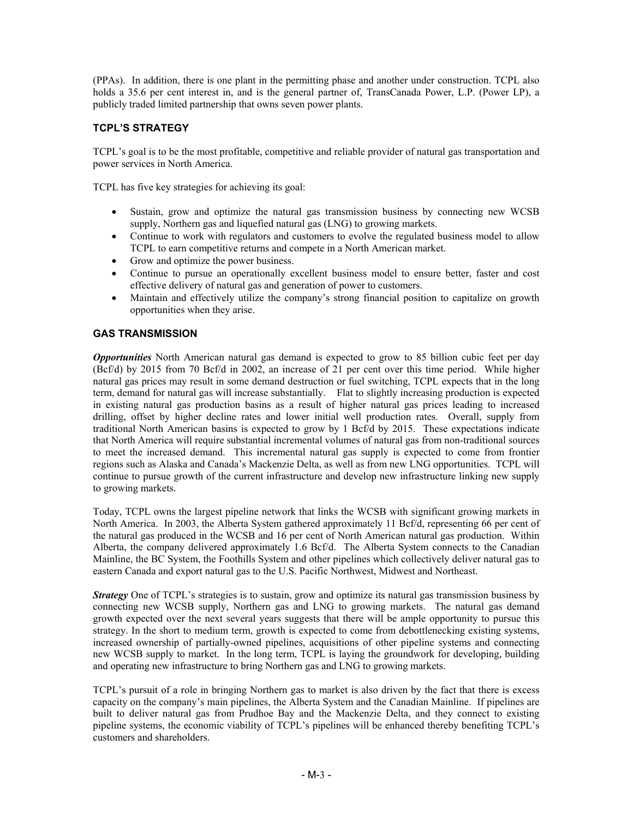(PPAs). In addition, there is one plant in the permitting phase and another under construction. TCPL also holds a 35.6 per cent interest in, and is the general partner of, TransCanada Power, L.P. (Power LP), a publicly traded limited partnership that owns seven power plants.

# **TCPL'S STRATEGY**

TCPL's goal is to be the most profitable, competitive and reliable provider of natural gas transportation and power services in North America.

TCPL has five key strategies for achieving its goal:

- Sustain, grow and optimize the natural gas transmission business by connecting new WCSB supply, Northern gas and liquefied natural gas (LNG) to growing markets.
- Continue to work with regulators and customers to evolve the regulated business model to allow TCPL to earn competitive returns and compete in a North American market.
- Grow and optimize the power business.
- Continue to pursue an operationally excellent business model to ensure better, faster and cost effective delivery of natural gas and generation of power to customers.
- Maintain and effectively utilize the company's strong financial position to capitalize on growth opportunities when they arise.

# **GAS TRANSMISSION**

*Opportunities* North American natural gas demand is expected to grow to 85 billion cubic feet per day (Bcf/d) by 2015 from 70 Bcf/d in 2002, an increase of 21 per cent over this time period. While higher natural gas prices may result in some demand destruction or fuel switching, TCPL expects that in the long term, demand for natural gas will increase substantially. Flat to slightly increasing production is expected in existing natural gas production basins as a result of higher natural gas prices leading to increased drilling, offset by higher decline rates and lower initial well production rates. Overall, supply from traditional North American basins is expected to grow by 1 Bcf/d by 2015. These expectations indicate that North America will require substantial incremental volumes of natural gas from non-traditional sources to meet the increased demand. This incremental natural gas supply is expected to come from frontier regions such as Alaska and Canada's Mackenzie Delta, as well as from new LNG opportunities. TCPL will continue to pursue growth of the current infrastructure and develop new infrastructure linking new supply to growing markets.

Today, TCPL owns the largest pipeline network that links the WCSB with significant growing markets in North America. In 2003, the Alberta System gathered approximately 11 Bcf/d, representing 66 per cent of the natural gas produced in the WCSB and 16 per cent of North American natural gas production. Within Alberta, the company delivered approximately 1.6 Bcf/d. The Alberta System connects to the Canadian Mainline, the BC System, the Foothills System and other pipelines which collectively deliver natural gas to eastern Canada and export natural gas to the U.S. Pacific Northwest, Midwest and Northeast.

*Strategy* One of TCPL's strategies is to sustain, grow and optimize its natural gas transmission business by connecting new WCSB supply, Northern gas and LNG to growing markets. The natural gas demand growth expected over the next several years suggests that there will be ample opportunity to pursue this strategy. In the short to medium term, growth is expected to come from debottlenecking existing systems, increased ownership of partially-owned pipelines, acquisitions of other pipeline systems and connecting new WCSB supply to market. In the long term, TCPL is laying the groundwork for developing, building and operating new infrastructure to bring Northern gas and LNG to growing markets.

TCPL's pursuit of a role in bringing Northern gas to market is also driven by the fact that there is excess capacity on the company's main pipelines, the Alberta System and the Canadian Mainline. If pipelines are built to deliver natural gas from Prudhoe Bay and the Mackenzie Delta, and they connect to existing pipeline systems, the economic viability of TCPL's pipelines will be enhanced thereby benefiting TCPL's customers and shareholders.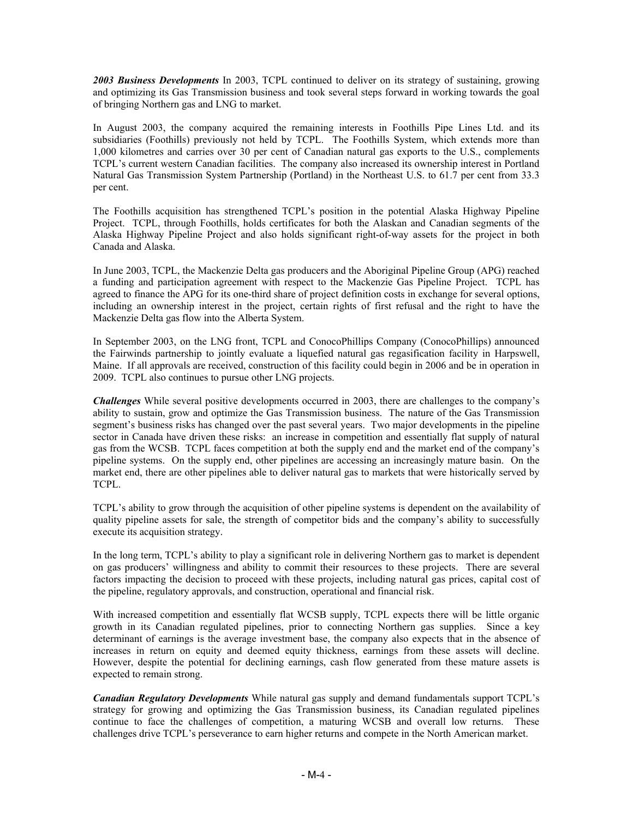*2003 Business Developments* In 2003, TCPL continued to deliver on its strategy of sustaining, growing and optimizing its Gas Transmission business and took several steps forward in working towards the goal of bringing Northern gas and LNG to market.

In August 2003, the company acquired the remaining interests in Foothills Pipe Lines Ltd. and its subsidiaries (Foothills) previously not held by TCPL. The Foothills System, which extends more than 1,000 kilometres and carries over 30 per cent of Canadian natural gas exports to the U.S., complements TCPL's current western Canadian facilities. The company also increased its ownership interest in Portland Natural Gas Transmission System Partnership (Portland) in the Northeast U.S. to 61.7 per cent from 33.3 per cent.

The Foothills acquisition has strengthened TCPL's position in the potential Alaska Highway Pipeline Project. TCPL, through Foothills, holds certificates for both the Alaskan and Canadian segments of the Alaska Highway Pipeline Project and also holds significant right-of-way assets for the project in both Canada and Alaska.

In June 2003, TCPL, the Mackenzie Delta gas producers and the Aboriginal Pipeline Group (APG) reached a funding and participation agreement with respect to the Mackenzie Gas Pipeline Project. TCPL has agreed to finance the APG for its one-third share of project definition costs in exchange for several options, including an ownership interest in the project, certain rights of first refusal and the right to have the Mackenzie Delta gas flow into the Alberta System.

In September 2003, on the LNG front, TCPL and ConocoPhillips Company (ConocoPhillips) announced the Fairwinds partnership to jointly evaluate a liquefied natural gas regasification facility in Harpswell, Maine. If all approvals are received, construction of this facility could begin in 2006 and be in operation in 2009. TCPL also continues to pursue other LNG projects.

*Challenges* While several positive developments occurred in 2003, there are challenges to the company's ability to sustain, grow and optimize the Gas Transmission business. The nature of the Gas Transmission segment's business risks has changed over the past several years. Two major developments in the pipeline sector in Canada have driven these risks: an increase in competition and essentially flat supply of natural gas from the WCSB. TCPL faces competition at both the supply end and the market end of the company's pipeline systems. On the supply end, other pipelines are accessing an increasingly mature basin. On the market end, there are other pipelines able to deliver natural gas to markets that were historically served by TCPL.

TCPL's ability to grow through the acquisition of other pipeline systems is dependent on the availability of quality pipeline assets for sale, the strength of competitor bids and the company's ability to successfully execute its acquisition strategy.

In the long term, TCPL's ability to play a significant role in delivering Northern gas to market is dependent on gas producers' willingness and ability to commit their resources to these projects. There are several factors impacting the decision to proceed with these projects, including natural gas prices, capital cost of the pipeline, regulatory approvals, and construction, operational and financial risk.

With increased competition and essentially flat WCSB supply, TCPL expects there will be little organic growth in its Canadian regulated pipelines, prior to connecting Northern gas supplies. Since a key determinant of earnings is the average investment base, the company also expects that in the absence of increases in return on equity and deemed equity thickness, earnings from these assets will decline. However, despite the potential for declining earnings, cash flow generated from these mature assets is expected to remain strong.

*Canadian Regulatory Developments* While natural gas supply and demand fundamentals support TCPL's strategy for growing and optimizing the Gas Transmission business, its Canadian regulated pipelines continue to face the challenges of competition, a maturing WCSB and overall low returns. These challenges drive TCPL's perseverance to earn higher returns and compete in the North American market.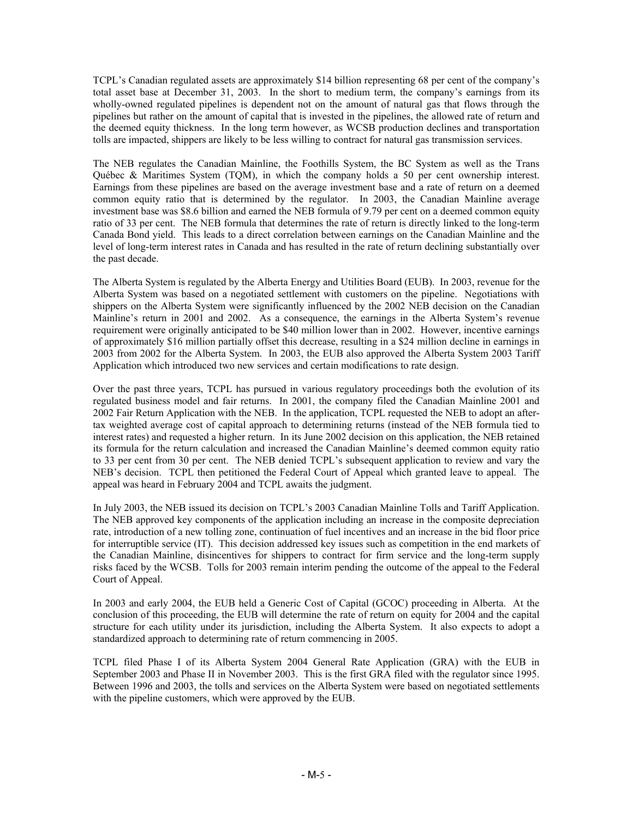TCPL's Canadian regulated assets are approximately \$14 billion representing 68 per cent of the company's total asset base at December 31, 2003. In the short to medium term, the company's earnings from its wholly-owned regulated pipelines is dependent not on the amount of natural gas that flows through the pipelines but rather on the amount of capital that is invested in the pipelines, the allowed rate of return and the deemed equity thickness. In the long term however, as WCSB production declines and transportation tolls are impacted, shippers are likely to be less willing to contract for natural gas transmission services.

The NEB regulates the Canadian Mainline, the Foothills System, the BC System as well as the Trans Québec & Maritimes System (TQM), in which the company holds a 50 per cent ownership interest. Earnings from these pipelines are based on the average investment base and a rate of return on a deemed common equity ratio that is determined by the regulator. In 2003, the Canadian Mainline average investment base was \$8.6 billion and earned the NEB formula of 9.79 per cent on a deemed common equity ratio of 33 per cent. The NEB formula that determines the rate of return is directly linked to the long-term Canada Bond yield. This leads to a direct correlation between earnings on the Canadian Mainline and the level of long-term interest rates in Canada and has resulted in the rate of return declining substantially over the past decade.

The Alberta System is regulated by the Alberta Energy and Utilities Board (EUB). In 2003, revenue for the Alberta System was based on a negotiated settlement with customers on the pipeline. Negotiations with shippers on the Alberta System were significantly influenced by the 2002 NEB decision on the Canadian Mainline's return in 2001 and 2002. As a consequence, the earnings in the Alberta System's revenue requirement were originally anticipated to be \$40 million lower than in 2002. However, incentive earnings of approximately \$16 million partially offset this decrease, resulting in a \$24 million decline in earnings in 2003 from 2002 for the Alberta System. In 2003, the EUB also approved the Alberta System 2003 Tariff Application which introduced two new services and certain modifications to rate design.

Over the past three years, TCPL has pursued in various regulatory proceedings both the evolution of its regulated business model and fair returns. In 2001, the company filed the Canadian Mainline 2001 and 2002 Fair Return Application with the NEB. In the application, TCPL requested the NEB to adopt an aftertax weighted average cost of capital approach to determining returns (instead of the NEB formula tied to interest rates) and requested a higher return. In its June 2002 decision on this application, the NEB retained its formula for the return calculation and increased the Canadian Mainline's deemed common equity ratio to 33 per cent from 30 per cent. The NEB denied TCPL's subsequent application to review and vary the NEB's decision. TCPL then petitioned the Federal Court of Appeal which granted leave to appeal. The appeal was heard in February 2004 and TCPL awaits the judgment.

In July 2003, the NEB issued its decision on TCPL's 2003 Canadian Mainline Tolls and Tariff Application. The NEB approved key components of the application including an increase in the composite depreciation rate, introduction of a new tolling zone, continuation of fuel incentives and an increase in the bid floor price for interruptible service (IT). This decision addressed key issues such as competition in the end markets of the Canadian Mainline, disincentives for shippers to contract for firm service and the long-term supply risks faced by the WCSB. Tolls for 2003 remain interim pending the outcome of the appeal to the Federal Court of Appeal.

In 2003 and early 2004, the EUB held a Generic Cost of Capital (GCOC) proceeding in Alberta. At the conclusion of this proceeding, the EUB will determine the rate of return on equity for 2004 and the capital structure for each utility under its jurisdiction, including the Alberta System. It also expects to adopt a standardized approach to determining rate of return commencing in 2005.

TCPL filed Phase I of its Alberta System 2004 General Rate Application (GRA) with the EUB in September 2003 and Phase II in November 2003. This is the first GRA filed with the regulator since 1995. Between 1996 and 2003, the tolls and services on the Alberta System were based on negotiated settlements with the pipeline customers, which were approved by the EUB.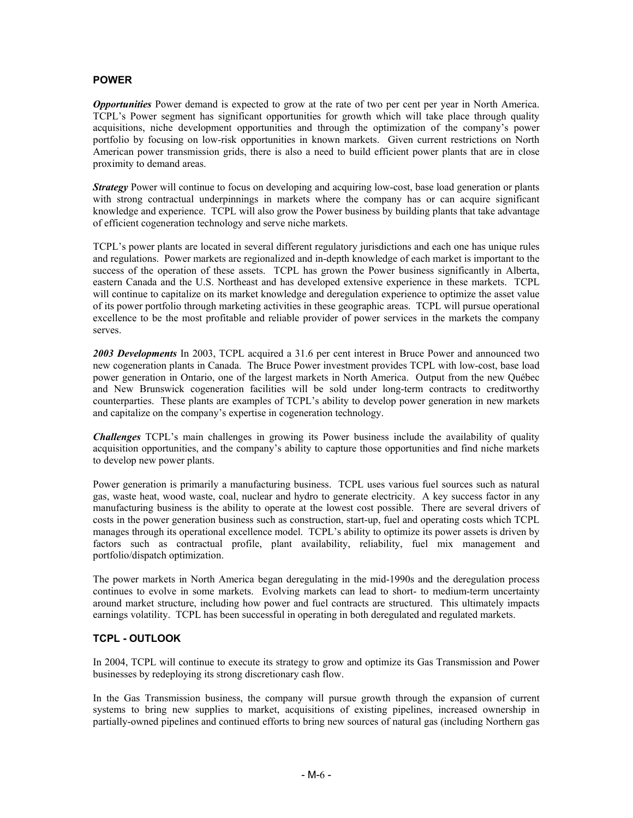# **POWER**

*Opportunities* Power demand is expected to grow at the rate of two per cent per year in North America. TCPL's Power segment has significant opportunities for growth which will take place through quality acquisitions, niche development opportunities and through the optimization of the company's power portfolio by focusing on low-risk opportunities in known markets. Given current restrictions on North American power transmission grids, there is also a need to build efficient power plants that are in close proximity to demand areas.

*Strategy* Power will continue to focus on developing and acquiring low-cost, base load generation or plants with strong contractual underpinnings in markets where the company has or can acquire significant knowledge and experience. TCPL will also grow the Power business by building plants that take advantage of efficient cogeneration technology and serve niche markets.

TCPL's power plants are located in several different regulatory jurisdictions and each one has unique rules and regulations. Power markets are regionalized and in-depth knowledge of each market is important to the success of the operation of these assets. TCPL has grown the Power business significantly in Alberta, eastern Canada and the U.S. Northeast and has developed extensive experience in these markets. TCPL will continue to capitalize on its market knowledge and deregulation experience to optimize the asset value of its power portfolio through marketing activities in these geographic areas. TCPL will pursue operational excellence to be the most profitable and reliable provider of power services in the markets the company serves.

*2003 Developments* In 2003, TCPL acquired a 31.6 per cent interest in Bruce Power and announced two new cogeneration plants in Canada. The Bruce Power investment provides TCPL with low-cost, base load power generation in Ontario, one of the largest markets in North America. Output from the new Québec and New Brunswick cogeneration facilities will be sold under long-term contracts to creditworthy counterparties. These plants are examples of TCPL's ability to develop power generation in new markets and capitalize on the company's expertise in cogeneration technology.

*Challenges* TCPL's main challenges in growing its Power business include the availability of quality acquisition opportunities, and the company's ability to capture those opportunities and find niche markets to develop new power plants.

Power generation is primarily a manufacturing business. TCPL uses various fuel sources such as natural gas, waste heat, wood waste, coal, nuclear and hydro to generate electricity. A key success factor in any manufacturing business is the ability to operate at the lowest cost possible. There are several drivers of costs in the power generation business such as construction, start-up, fuel and operating costs which TCPL manages through its operational excellence model. TCPL's ability to optimize its power assets is driven by factors such as contractual profile, plant availability, reliability, fuel mix management and portfolio/dispatch optimization.

The power markets in North America began deregulating in the mid-1990s and the deregulation process continues to evolve in some markets. Evolving markets can lead to short- to medium-term uncertainty around market structure, including how power and fuel contracts are structured. This ultimately impacts earnings volatility. TCPL has been successful in operating in both deregulated and regulated markets.

#### **TCPL - OUTLOOK**

In 2004, TCPL will continue to execute its strategy to grow and optimize its Gas Transmission and Power businesses by redeploying its strong discretionary cash flow.

In the Gas Transmission business, the company will pursue growth through the expansion of current systems to bring new supplies to market, acquisitions of existing pipelines, increased ownership in partially-owned pipelines and continued efforts to bring new sources of natural gas (including Northern gas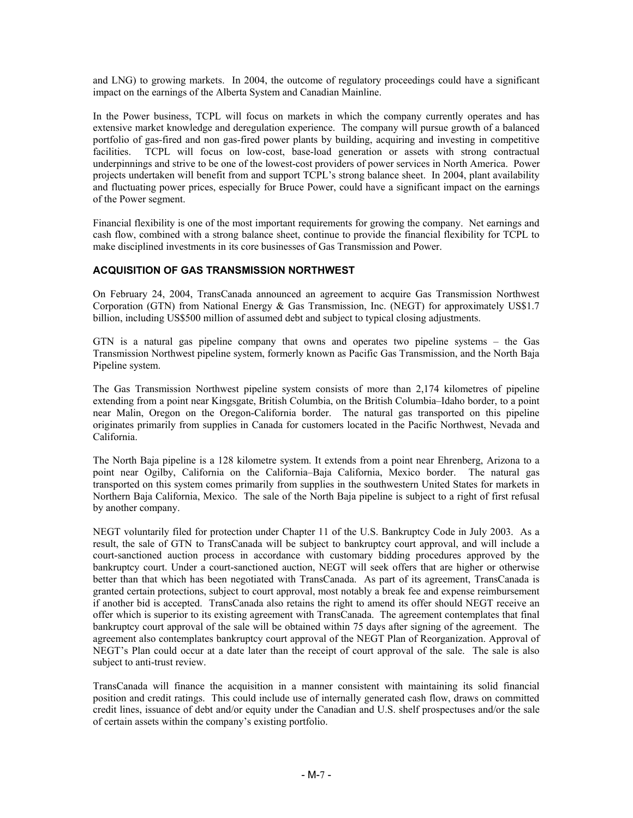and LNG) to growing markets. In 2004, the outcome of regulatory proceedings could have a significant impact on the earnings of the Alberta System and Canadian Mainline.

In the Power business, TCPL will focus on markets in which the company currently operates and has extensive market knowledge and deregulation experience. The company will pursue growth of a balanced portfolio of gas-fired and non gas-fired power plants by building, acquiring and investing in competitive facilities. TCPL will focus on low-cost, base-load generation or assets with strong contractual underpinnings and strive to be one of the lowest-cost providers of power services in North America. Power projects undertaken will benefit from and support TCPL's strong balance sheet. In 2004, plant availability and fluctuating power prices, especially for Bruce Power, could have a significant impact on the earnings of the Power segment.

Financial flexibility is one of the most important requirements for growing the company. Net earnings and cash flow, combined with a strong balance sheet, continue to provide the financial flexibility for TCPL to make disciplined investments in its core businesses of Gas Transmission and Power.

# **ACQUISITION OF GAS TRANSMISSION NORTHWEST**

On February 24, 2004, TransCanada announced an agreement to acquire Gas Transmission Northwest Corporation (GTN) from National Energy & Gas Transmission, Inc. (NEGT) for approximately US\$1.7 billion, including US\$500 million of assumed debt and subject to typical closing adjustments.

GTN is a natural gas pipeline company that owns and operates two pipeline systems – the Gas Transmission Northwest pipeline system, formerly known as Pacific Gas Transmission, and the North Baja Pipeline system.

The Gas Transmission Northwest pipeline system consists of more than 2,174 kilometres of pipeline extending from a point near Kingsgate, British Columbia, on the British Columbia–Idaho border, to a point near Malin, Oregon on the Oregon-California border. The natural gas transported on this pipeline originates primarily from supplies in Canada for customers located in the Pacific Northwest, Nevada and California.

The North Baja pipeline is a 128 kilometre system. It extends from a point near Ehrenberg, Arizona to a point near Ogilby, California on the California–Baja California, Mexico border. The natural gas transported on this system comes primarily from supplies in the southwestern United States for markets in Northern Baja California, Mexico. The sale of the North Baja pipeline is subject to a right of first refusal by another company.

NEGT voluntarily filed for protection under Chapter 11 of the U.S. Bankruptcy Code in July 2003. As a result, the sale of GTN to TransCanada will be subject to bankruptcy court approval, and will include a court-sanctioned auction process in accordance with customary bidding procedures approved by the bankruptcy court. Under a court-sanctioned auction, NEGT will seek offers that are higher or otherwise better than that which has been negotiated with TransCanada. As part of its agreement, TransCanada is granted certain protections, subject to court approval, most notably a break fee and expense reimbursement if another bid is accepted. TransCanada also retains the right to amend its offer should NEGT receive an offer which is superior to its existing agreement with TransCanada. The agreement contemplates that final bankruptcy court approval of the sale will be obtained within 75 days after signing of the agreement. The agreement also contemplates bankruptcy court approval of the NEGT Plan of Reorganization. Approval of NEGT's Plan could occur at a date later than the receipt of court approval of the sale. The sale is also subject to anti-trust review.

TransCanada will finance the acquisition in a manner consistent with maintaining its solid financial position and credit ratings. This could include use of internally generated cash flow, draws on committed credit lines, issuance of debt and/or equity under the Canadian and U.S. shelf prospectuses and/or the sale of certain assets within the company's existing portfolio.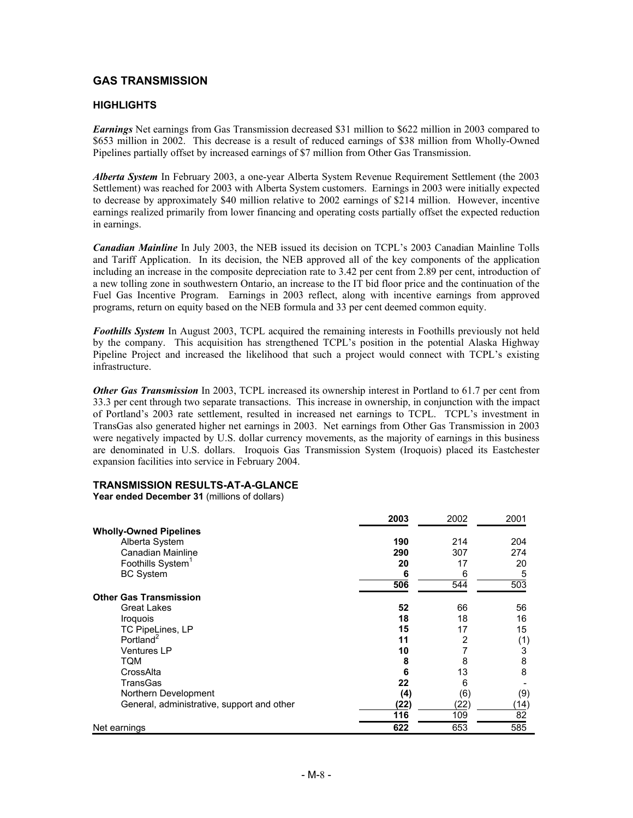# **GAS TRANSMISSION**

## **HIGHLIGHTS**

*Earnings* Net earnings from Gas Transmission decreased \$31 million to \$622 million in 2003 compared to \$653 million in 2002. This decrease is a result of reduced earnings of \$38 million from Wholly-Owned Pipelines partially offset by increased earnings of \$7 million from Other Gas Transmission.

*Alberta System* In February 2003, a one-year Alberta System Revenue Requirement Settlement (the 2003 Settlement) was reached for 2003 with Alberta System customers. Earnings in 2003 were initially expected to decrease by approximately \$40 million relative to 2002 earnings of \$214 million. However, incentive earnings realized primarily from lower financing and operating costs partially offset the expected reduction in earnings.

*Canadian Mainline* In July 2003, the NEB issued its decision on TCPL's 2003 Canadian Mainline Tolls and Tariff Application. In its decision, the NEB approved all of the key components of the application including an increase in the composite depreciation rate to 3.42 per cent from 2.89 per cent, introduction of a new tolling zone in southwestern Ontario, an increase to the IT bid floor price and the continuation of the Fuel Gas Incentive Program. Earnings in 2003 reflect, along with incentive earnings from approved programs, return on equity based on the NEB formula and 33 per cent deemed common equity.

*Foothills System* In August 2003, TCPL acquired the remaining interests in Foothills previously not held by the company. This acquisition has strengthened TCPL's position in the potential Alaska Highway Pipeline Project and increased the likelihood that such a project would connect with TCPL's existing infrastructure.

*Other Gas Transmission* In 2003, TCPL increased its ownership interest in Portland to 61.7 per cent from 33.3 per cent through two separate transactions. This increase in ownership, in conjunction with the impact of Portland's 2003 rate settlement, resulted in increased net earnings to TCPL. TCPL's investment in TransGas also generated higher net earnings in 2003. Net earnings from Other Gas Transmission in 2003 were negatively impacted by U.S. dollar currency movements, as the majority of earnings in this business are denominated in U.S. dollars. Iroquois Gas Transmission System (Iroquois) placed its Eastchester expansion facilities into service in February 2004.

#### **TRANSMISSION RESULTS-AT-A-GLANCE**

**Year ended December 31** (millions of dollars)

|                                            | 2003 | 2002 | 2001 |
|--------------------------------------------|------|------|------|
| <b>Wholly-Owned Pipelines</b>              |      |      |      |
| Alberta System                             | 190  | 214  | 204  |
| Canadian Mainline                          | 290  | 307  | 274  |
| Foothills System <sup>1</sup>              | 20   | 17   | 20   |
| <b>BC System</b>                           | 6    | 6    | 5    |
|                                            | 506  | 544  | 503  |
| <b>Other Gas Transmission</b>              |      |      |      |
| <b>Great Lakes</b>                         | 52   | 66   | 56   |
| <i><b>Iroquois</b></i>                     | 18   | 18   | 16   |
| TC PipeLines, LP                           | 15   | 17   | 15   |
| Portland <sup>2</sup>                      | 11   | 2    | (1)  |
| <b>Ventures LP</b>                         | 10   |      | 3    |
| TQM                                        | 8    | 8    | 8    |
| CrossAlta                                  | 6    | 13   | 8    |
| TransGas                                   | 22   | 6    |      |
| Northern Development                       | (4)  | (6)  | (9)  |
| General, administrative, support and other | (22) | (22) | (14) |
|                                            | 116  | 109  | 82   |
| Net earnings                               | 622  | 653  | 585  |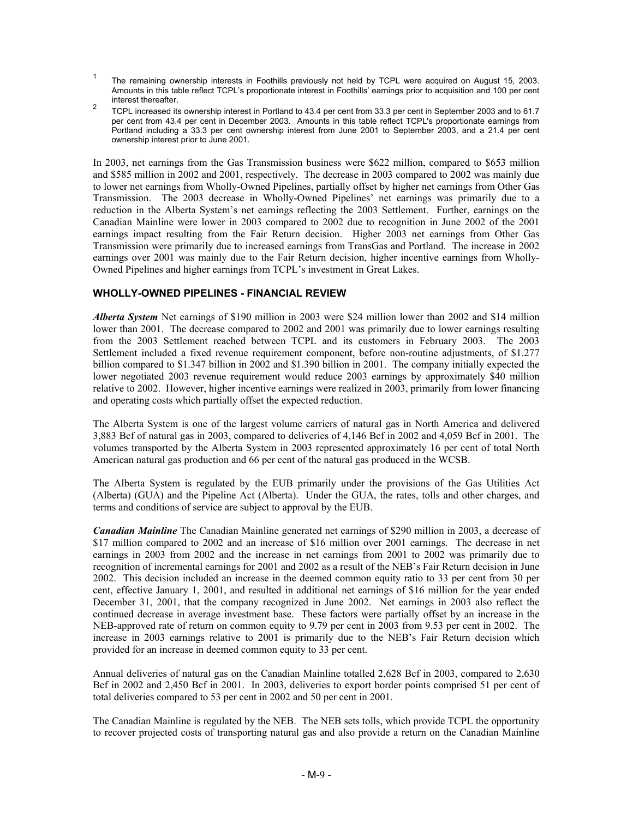- <sup>1</sup> The remaining ownership interests in Foothills previously not held by TCPL were acquired on August 15, 2003. Amounts in this table reflect TCPL's proportionate interest in Foothills' earnings prior to acquisition and 100 per cent interest thereafter.
- 2<br>TCPL increased its ownership interest in Portland to 43.4 per cent from 33.3 per cent in September 2003 and to 61.7 per cent from 43.4 per cent in December 2003. Amounts in this table reflect TCPL's proportionate earnings from Portland including a 33.3 per cent ownership interest from June 2001 to September 2003, and a 21.4 per cent ownership interest prior to June 2001.

In 2003, net earnings from the Gas Transmission business were \$622 million, compared to \$653 million and \$585 million in 2002 and 2001, respectively. The decrease in 2003 compared to 2002 was mainly due to lower net earnings from Wholly-Owned Pipelines, partially offset by higher net earnings from Other Gas Transmission. The 2003 decrease in Wholly-Owned Pipelines' net earnings was primarily due to a reduction in the Alberta System's net earnings reflecting the 2003 Settlement. Further, earnings on the Canadian Mainline were lower in 2003 compared to 2002 due to recognition in June 2002 of the 2001 earnings impact resulting from the Fair Return decision. Higher 2003 net earnings from Other Gas Transmission were primarily due to increased earnings from TransGas and Portland. The increase in 2002 earnings over 2001 was mainly due to the Fair Return decision, higher incentive earnings from Wholly-Owned Pipelines and higher earnings from TCPL's investment in Great Lakes.

## **WHOLLY-OWNED PIPELINES - FINANCIAL REVIEW**

*Alberta System* Net earnings of \$190 million in 2003 were \$24 million lower than 2002 and \$14 million lower than 2001. The decrease compared to 2002 and 2001 was primarily due to lower earnings resulting from the 2003 Settlement reached between TCPL and its customers in February 2003. The 2003 Settlement included a fixed revenue requirement component, before non-routine adjustments, of \$1.277 billion compared to \$1.347 billion in 2002 and \$1.390 billion in 2001. The company initially expected the lower negotiated 2003 revenue requirement would reduce 2003 earnings by approximately \$40 million relative to 2002. However, higher incentive earnings were realized in 2003, primarily from lower financing and operating costs which partially offset the expected reduction.

The Alberta System is one of the largest volume carriers of natural gas in North America and delivered 3,883 Bcf of natural gas in 2003, compared to deliveries of 4,146 Bcf in 2002 and 4,059 Bcf in 2001. The volumes transported by the Alberta System in 2003 represented approximately 16 per cent of total North American natural gas production and 66 per cent of the natural gas produced in the WCSB.

The Alberta System is regulated by the EUB primarily under the provisions of the Gas Utilities Act (Alberta) (GUA) and the Pipeline Act (Alberta). Under the GUA, the rates, tolls and other charges, and terms and conditions of service are subject to approval by the EUB.

*Canadian Mainline* The Canadian Mainline generated net earnings of \$290 million in 2003, a decrease of \$17 million compared to 2002 and an increase of \$16 million over 2001 earnings. The decrease in net earnings in 2003 from 2002 and the increase in net earnings from 2001 to 2002 was primarily due to recognition of incremental earnings for 2001 and 2002 as a result of the NEB's Fair Return decision in June 2002. This decision included an increase in the deemed common equity ratio to 33 per cent from 30 per cent, effective January 1, 2001, and resulted in additional net earnings of \$16 million for the year ended December 31, 2001, that the company recognized in June 2002. Net earnings in 2003 also reflect the continued decrease in average investment base. These factors were partially offset by an increase in the NEB-approved rate of return on common equity to 9.79 per cent in 2003 from 9.53 per cent in 2002. The increase in 2003 earnings relative to 2001 is primarily due to the NEB's Fair Return decision which provided for an increase in deemed common equity to 33 per cent.

Annual deliveries of natural gas on the Canadian Mainline totalled 2,628 Bcf in 2003, compared to 2,630 Bcf in 2002 and 2,450 Bcf in 2001. In 2003, deliveries to export border points comprised 51 per cent of total deliveries compared to 53 per cent in 2002 and 50 per cent in 2001.

The Canadian Mainline is regulated by the NEB. The NEB sets tolls, which provide TCPL the opportunity to recover projected costs of transporting natural gas and also provide a return on the Canadian Mainline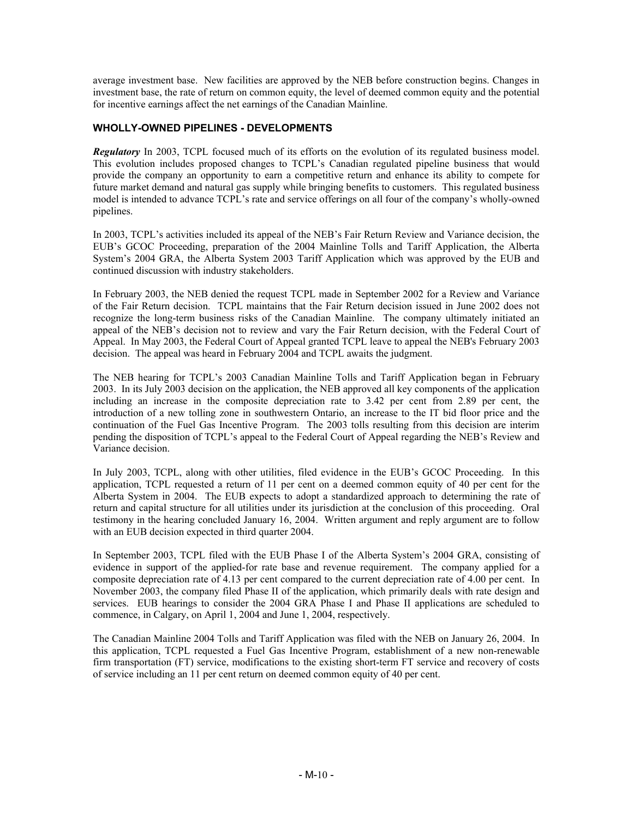average investment base. New facilities are approved by the NEB before construction begins. Changes in investment base, the rate of return on common equity, the level of deemed common equity and the potential for incentive earnings affect the net earnings of the Canadian Mainline.

# **WHOLLY-OWNED PIPELINES - DEVELOPMENTS**

*Regulatory* In 2003, TCPL focused much of its efforts on the evolution of its regulated business model. This evolution includes proposed changes to TCPL's Canadian regulated pipeline business that would provide the company an opportunity to earn a competitive return and enhance its ability to compete for future market demand and natural gas supply while bringing benefits to customers. This regulated business model is intended to advance TCPL's rate and service offerings on all four of the company's wholly-owned pipelines.

In 2003, TCPL's activities included its appeal of the NEB's Fair Return Review and Variance decision, the EUB's GCOC Proceeding, preparation of the 2004 Mainline Tolls and Tariff Application, the Alberta System's 2004 GRA, the Alberta System 2003 Tariff Application which was approved by the EUB and continued discussion with industry stakeholders.

In February 2003, the NEB denied the request TCPL made in September 2002 for a Review and Variance of the Fair Return decision. TCPL maintains that the Fair Return decision issued in June 2002 does not recognize the long-term business risks of the Canadian Mainline. The company ultimately initiated an appeal of the NEB's decision not to review and vary the Fair Return decision, with the Federal Court of Appeal. In May 2003, the Federal Court of Appeal granted TCPL leave to appeal the NEB's February 2003 decision. The appeal was heard in February 2004 and TCPL awaits the judgment.

The NEB hearing for TCPL's 2003 Canadian Mainline Tolls and Tariff Application began in February 2003. In its July 2003 decision on the application, the NEB approved all key components of the application including an increase in the composite depreciation rate to 3.42 per cent from 2.89 per cent, the introduction of a new tolling zone in southwestern Ontario, an increase to the IT bid floor price and the continuation of the Fuel Gas Incentive Program. The 2003 tolls resulting from this decision are interim pending the disposition of TCPL's appeal to the Federal Court of Appeal regarding the NEB's Review and Variance decision.

In July 2003, TCPL, along with other utilities, filed evidence in the EUB's GCOC Proceeding. In this application, TCPL requested a return of 11 per cent on a deemed common equity of 40 per cent for the Alberta System in 2004. The EUB expects to adopt a standardized approach to determining the rate of return and capital structure for all utilities under its jurisdiction at the conclusion of this proceeding. Oral testimony in the hearing concluded January 16, 2004. Written argument and reply argument are to follow with an EUB decision expected in third quarter 2004.

In September 2003, TCPL filed with the EUB Phase I of the Alberta System's 2004 GRA, consisting of evidence in support of the applied-for rate base and revenue requirement. The company applied for a composite depreciation rate of 4.13 per cent compared to the current depreciation rate of 4.00 per cent. In November 2003, the company filed Phase II of the application, which primarily deals with rate design and services. EUB hearings to consider the 2004 GRA Phase I and Phase II applications are scheduled to commence, in Calgary, on April 1, 2004 and June 1, 2004, respectively.

The Canadian Mainline 2004 Tolls and Tariff Application was filed with the NEB on January 26, 2004. In this application, TCPL requested a Fuel Gas Incentive Program, establishment of a new non-renewable firm transportation (FT) service, modifications to the existing short-term FT service and recovery of costs of service including an 11 per cent return on deemed common equity of 40 per cent.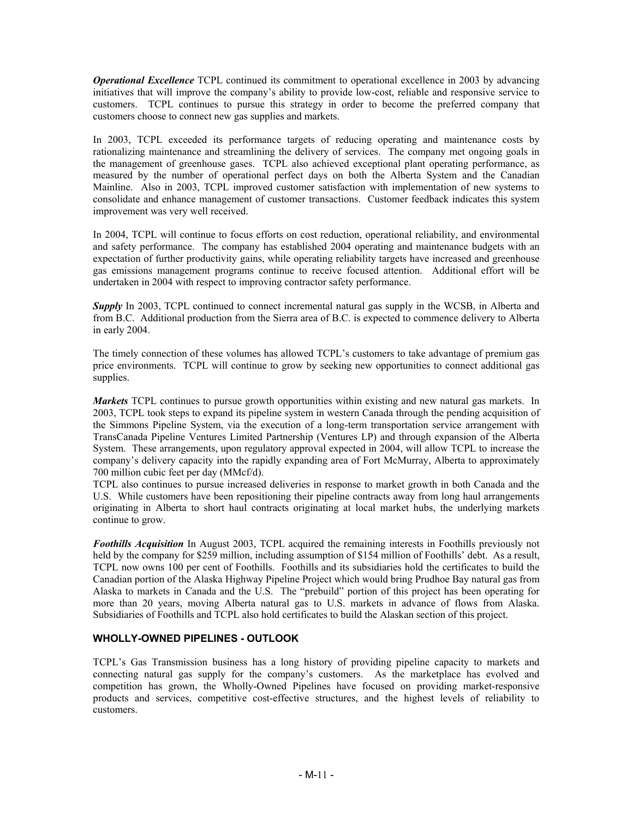*Operational Excellence* TCPL continued its commitment to operational excellence in 2003 by advancing initiatives that will improve the company's ability to provide low-cost, reliable and responsive service to customers. TCPL continues to pursue this strategy in order to become the preferred company that customers choose to connect new gas supplies and markets.

In 2003, TCPL exceeded its performance targets of reducing operating and maintenance costs by rationalizing maintenance and streamlining the delivery of services. The company met ongoing goals in the management of greenhouse gases. TCPL also achieved exceptional plant operating performance, as measured by the number of operational perfect days on both the Alberta System and the Canadian Mainline. Also in 2003, TCPL improved customer satisfaction with implementation of new systems to consolidate and enhance management of customer transactions. Customer feedback indicates this system improvement was very well received.

In 2004, TCPL will continue to focus efforts on cost reduction, operational reliability, and environmental and safety performance. The company has established 2004 operating and maintenance budgets with an expectation of further productivity gains, while operating reliability targets have increased and greenhouse gas emissions management programs continue to receive focused attention. Additional effort will be undertaken in 2004 with respect to improving contractor safety performance.

*Supply* In 2003, TCPL continued to connect incremental natural gas supply in the WCSB, in Alberta and from B.C. Additional production from the Sierra area of B.C. is expected to commence delivery to Alberta in early 2004.

The timely connection of these volumes has allowed TCPL's customers to take advantage of premium gas price environments. TCPL will continue to grow by seeking new opportunities to connect additional gas supplies.

*Markets* TCPL continues to pursue growth opportunities within existing and new natural gas markets. In 2003, TCPL took steps to expand its pipeline system in western Canada through the pending acquisition of the Simmons Pipeline System, via the execution of a long-term transportation service arrangement with TransCanada Pipeline Ventures Limited Partnership (Ventures LP) and through expansion of the Alberta System. These arrangements, upon regulatory approval expected in 2004, will allow TCPL to increase the company's delivery capacity into the rapidly expanding area of Fort McMurray, Alberta to approximately 700 million cubic feet per day (MMcf/d).

TCPL also continues to pursue increased deliveries in response to market growth in both Canada and the U.S. While customers have been repositioning their pipeline contracts away from long haul arrangements originating in Alberta to short haul contracts originating at local market hubs, the underlying markets continue to grow.

*Foothills Acquisition* In August 2003, TCPL acquired the remaining interests in Foothills previously not held by the company for \$259 million, including assumption of \$154 million of Foothills' debt. As a result, TCPL now owns 100 per cent of Foothills. Foothills and its subsidiaries hold the certificates to build the Canadian portion of the Alaska Highway Pipeline Project which would bring Prudhoe Bay natural gas from Alaska to markets in Canada and the U.S. The "prebuild" portion of this project has been operating for more than 20 years, moving Alberta natural gas to U.S. markets in advance of flows from Alaska. Subsidiaries of Foothills and TCPL also hold certificates to build the Alaskan section of this project.

# **WHOLLY-OWNED PIPELINES - OUTLOOK**

TCPL's Gas Transmission business has a long history of providing pipeline capacity to markets and connecting natural gas supply for the company's customers. As the marketplace has evolved and competition has grown, the Wholly-Owned Pipelines have focused on providing market-responsive products and services, competitive cost-effective structures, and the highest levels of reliability to customers.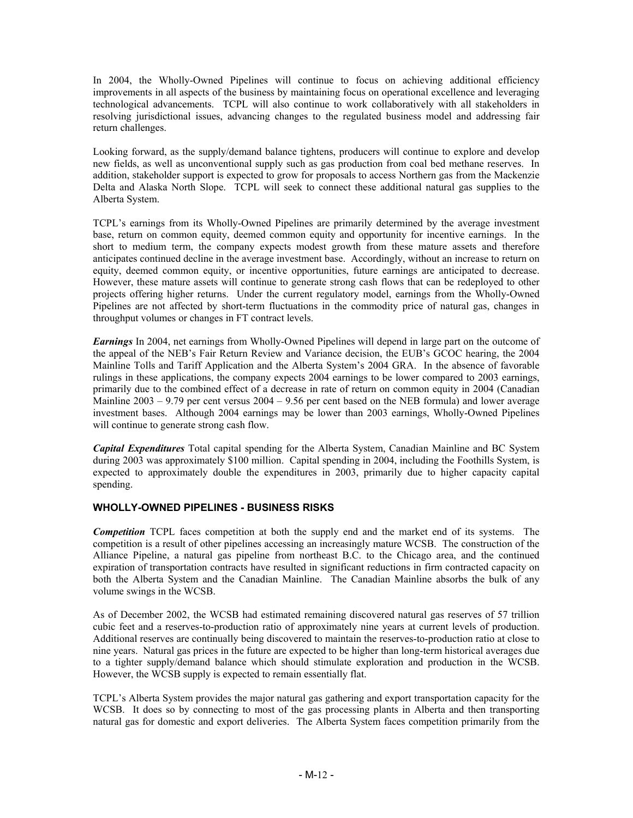In 2004, the Wholly-Owned Pipelines will continue to focus on achieving additional efficiency improvements in all aspects of the business by maintaining focus on operational excellence and leveraging technological advancements. TCPL will also continue to work collaboratively with all stakeholders in resolving jurisdictional issues, advancing changes to the regulated business model and addressing fair return challenges.

Looking forward, as the supply/demand balance tightens, producers will continue to explore and develop new fields, as well as unconventional supply such as gas production from coal bed methane reserves. In addition, stakeholder support is expected to grow for proposals to access Northern gas from the Mackenzie Delta and Alaska North Slope. TCPL will seek to connect these additional natural gas supplies to the Alberta System.

TCPL's earnings from its Wholly-Owned Pipelines are primarily determined by the average investment base, return on common equity, deemed common equity and opportunity for incentive earnings. In the short to medium term, the company expects modest growth from these mature assets and therefore anticipates continued decline in the average investment base. Accordingly, without an increase to return on equity, deemed common equity, or incentive opportunities, future earnings are anticipated to decrease. However, these mature assets will continue to generate strong cash flows that can be redeployed to other projects offering higher returns. Under the current regulatory model, earnings from the Wholly-Owned Pipelines are not affected by short-term fluctuations in the commodity price of natural gas, changes in throughput volumes or changes in FT contract levels.

*Earnings* In 2004, net earnings from Wholly-Owned Pipelines will depend in large part on the outcome of the appeal of the NEB's Fair Return Review and Variance decision, the EUB's GCOC hearing, the 2004 Mainline Tolls and Tariff Application and the Alberta System's 2004 GRA. In the absence of favorable rulings in these applications, the company expects 2004 earnings to be lower compared to 2003 earnings, primarily due to the combined effect of a decrease in rate of return on common equity in 2004 (Canadian Mainline  $2003 - 9.79$  per cent versus  $2004 - 9.56$  per cent based on the NEB formula) and lower average investment bases. Although 2004 earnings may be lower than 2003 earnings, Wholly-Owned Pipelines will continue to generate strong cash flow.

*Capital Expenditures* Total capital spending for the Alberta System, Canadian Mainline and BC System during 2003 was approximately \$100 million. Capital spending in 2004, including the Foothills System, is expected to approximately double the expenditures in 2003, primarily due to higher capacity capital spending.

# **WHOLLY-OWNED PIPELINES - BUSINESS RISKS**

*Competition* TCPL faces competition at both the supply end and the market end of its systems. The competition is a result of other pipelines accessing an increasingly mature WCSB. The construction of the Alliance Pipeline, a natural gas pipeline from northeast B.C. to the Chicago area, and the continued expiration of transportation contracts have resulted in significant reductions in firm contracted capacity on both the Alberta System and the Canadian Mainline. The Canadian Mainline absorbs the bulk of any volume swings in the WCSB.

As of December 2002, the WCSB had estimated remaining discovered natural gas reserves of 57 trillion cubic feet and a reserves-to-production ratio of approximately nine years at current levels of production. Additional reserves are continually being discovered to maintain the reserves-to-production ratio at close to nine years. Natural gas prices in the future are expected to be higher than long-term historical averages due to a tighter supply/demand balance which should stimulate exploration and production in the WCSB. However, the WCSB supply is expected to remain essentially flat.

TCPL's Alberta System provides the major natural gas gathering and export transportation capacity for the WCSB. It does so by connecting to most of the gas processing plants in Alberta and then transporting natural gas for domestic and export deliveries. The Alberta System faces competition primarily from the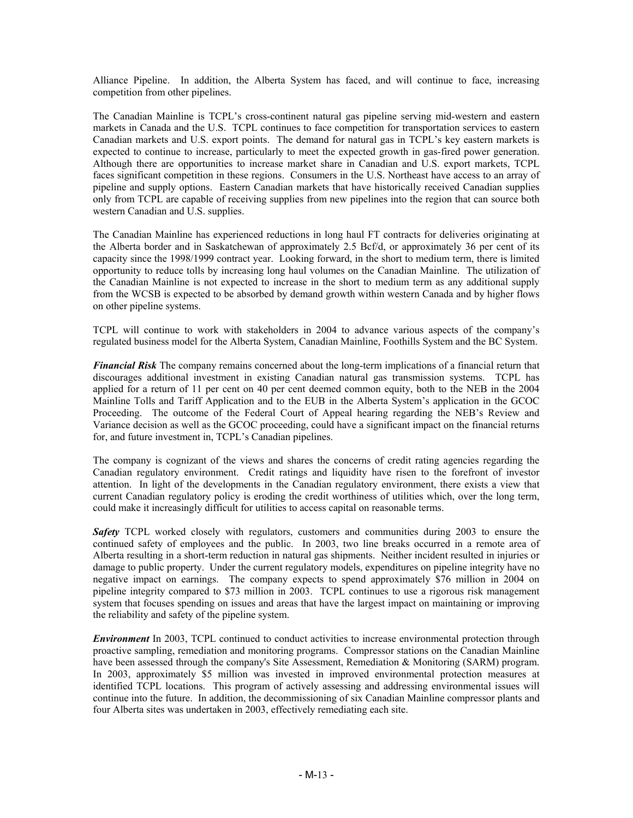Alliance Pipeline. In addition, the Alberta System has faced, and will continue to face, increasing competition from other pipelines.

The Canadian Mainline is TCPL's cross-continent natural gas pipeline serving mid-western and eastern markets in Canada and the U.S. TCPL continues to face competition for transportation services to eastern Canadian markets and U.S. export points. The demand for natural gas in TCPL's key eastern markets is expected to continue to increase, particularly to meet the expected growth in gas-fired power generation. Although there are opportunities to increase market share in Canadian and U.S. export markets, TCPL faces significant competition in these regions. Consumers in the U.S. Northeast have access to an array of pipeline and supply options. Eastern Canadian markets that have historically received Canadian supplies only from TCPL are capable of receiving supplies from new pipelines into the region that can source both western Canadian and U.S. supplies.

The Canadian Mainline has experienced reductions in long haul FT contracts for deliveries originating at the Alberta border and in Saskatchewan of approximately 2.5 Bcf/d, or approximately 36 per cent of its capacity since the 1998/1999 contract year. Looking forward, in the short to medium term, there is limited opportunity to reduce tolls by increasing long haul volumes on the Canadian Mainline. The utilization of the Canadian Mainline is not expected to increase in the short to medium term as any additional supply from the WCSB is expected to be absorbed by demand growth within western Canada and by higher flows on other pipeline systems.

TCPL will continue to work with stakeholders in 2004 to advance various aspects of the company's regulated business model for the Alberta System, Canadian Mainline, Foothills System and the BC System.

*Financial Risk* The company remains concerned about the long-term implications of a financial return that discourages additional investment in existing Canadian natural gas transmission systems. TCPL has applied for a return of 11 per cent on 40 per cent deemed common equity, both to the NEB in the 2004 Mainline Tolls and Tariff Application and to the EUB in the Alberta System's application in the GCOC Proceeding. The outcome of the Federal Court of Appeal hearing regarding the NEB's Review and Variance decision as well as the GCOC proceeding, could have a significant impact on the financial returns for, and future investment in, TCPL's Canadian pipelines.

The company is cognizant of the views and shares the concerns of credit rating agencies regarding the Canadian regulatory environment. Credit ratings and liquidity have risen to the forefront of investor attention. In light of the developments in the Canadian regulatory environment, there exists a view that current Canadian regulatory policy is eroding the credit worthiness of utilities which, over the long term, could make it increasingly difficult for utilities to access capital on reasonable terms.

*Safety* TCPL worked closely with regulators, customers and communities during 2003 to ensure the continued safety of employees and the public. In 2003, two line breaks occurred in a remote area of Alberta resulting in a short-term reduction in natural gas shipments. Neither incident resulted in injuries or damage to public property. Under the current regulatory models, expenditures on pipeline integrity have no negative impact on earnings. The company expects to spend approximately \$76 million in 2004 on pipeline integrity compared to \$73 million in 2003. TCPL continues to use a rigorous risk management system that focuses spending on issues and areas that have the largest impact on maintaining or improving the reliability and safety of the pipeline system.

*Environment* In 2003, TCPL continued to conduct activities to increase environmental protection through proactive sampling, remediation and monitoring programs. Compressor stations on the Canadian Mainline have been assessed through the company's Site Assessment, Remediation & Monitoring (SARM) program. In 2003, approximately \$5 million was invested in improved environmental protection measures at identified TCPL locations. This program of actively assessing and addressing environmental issues will continue into the future. In addition, the decommissioning of six Canadian Mainline compressor plants and four Alberta sites was undertaken in 2003, effectively remediating each site.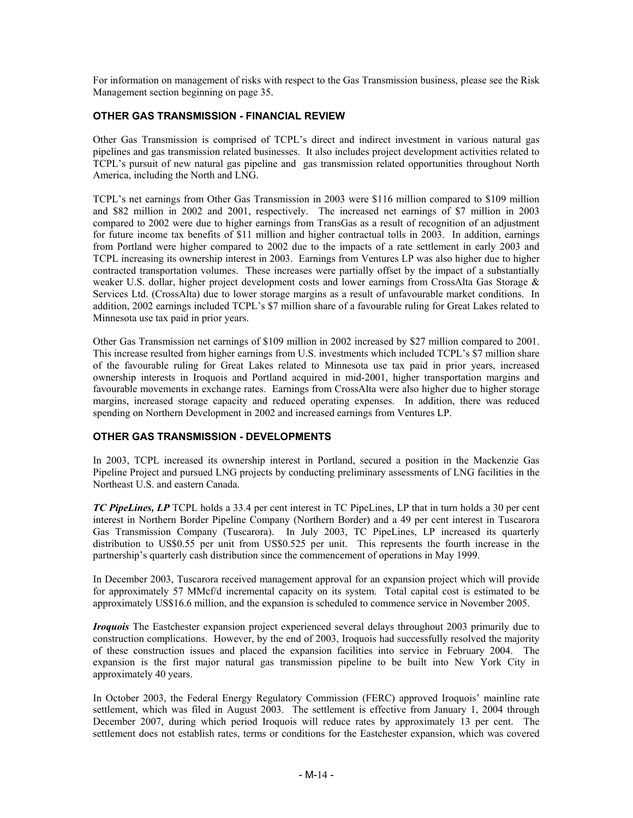For information on management of risks with respect to the Gas Transmission business, please see the Risk Management section beginning on page 35.

## **OTHER GAS TRANSMISSION - FINANCIAL REVIEW**

Other Gas Transmission is comprised of TCPL's direct and indirect investment in various natural gas pipelines and gas transmission related businesses. It also includes project development activities related to TCPL's pursuit of new natural gas pipeline and gas transmission related opportunities throughout North America, including the North and LNG.

TCPL's net earnings from Other Gas Transmission in 2003 were \$116 million compared to \$109 million and \$82 million in 2002 and 2001, respectively. The increased net earnings of \$7 million in 2003 compared to 2002 were due to higher earnings from TransGas as a result of recognition of an adjustment for future income tax benefits of \$11 million and higher contractual tolls in 2003. In addition, earnings from Portland were higher compared to 2002 due to the impacts of a rate settlement in early 2003 and TCPL increasing its ownership interest in 2003. Earnings from Ventures LP was also higher due to higher contracted transportation volumes. These increases were partially offset by the impact of a substantially weaker U.S. dollar, higher project development costs and lower earnings from CrossAlta Gas Storage & Services Ltd. (CrossAlta) due to lower storage margins as a result of unfavourable market conditions. In addition, 2002 earnings included TCPL's \$7 million share of a favourable ruling for Great Lakes related to Minnesota use tax paid in prior years.

Other Gas Transmission net earnings of \$109 million in 2002 increased by \$27 million compared to 2001. This increase resulted from higher earnings from U.S. investments which included TCPL's \$7 million share of the favourable ruling for Great Lakes related to Minnesota use tax paid in prior years, increased ownership interests in Iroquois and Portland acquired in mid-2001, higher transportation margins and favourable movements in exchange rates. Earnings from CrossAlta were also higher due to higher storage margins, increased storage capacity and reduced operating expenses. In addition, there was reduced spending on Northern Development in 2002 and increased earnings from Ventures LP.

# **OTHER GAS TRANSMISSION - DEVELOPMENTS**

In 2003, TCPL increased its ownership interest in Portland, secured a position in the Mackenzie Gas Pipeline Project and pursued LNG projects by conducting preliminary assessments of LNG facilities in the Northeast U.S. and eastern Canada.

*TC PipeLines, LP* TCPL holds a 33.4 per cent interest in TC PipeLines, LP that in turn holds a 30 per cent interest in Northern Border Pipeline Company (Northern Border) and a 49 per cent interest in Tuscarora Gas Transmission Company (Tuscarora). In July 2003, TC PipeLines, LP increased its quarterly distribution to US\$0.55 per unit from US\$0.525 per unit. This represents the fourth increase in the partnership's quarterly cash distribution since the commencement of operations in May 1999.

In December 2003, Tuscarora received management approval for an expansion project which will provide for approximately 57 MMcf/d incremental capacity on its system. Total capital cost is estimated to be approximately US\$16.6 million, and the expansion is scheduled to commence service in November 2005.

*Iroquois* The Eastchester expansion project experienced several delays throughout 2003 primarily due to construction complications. However, by the end of 2003, Iroquois had successfully resolved the majority of these construction issues and placed the expansion facilities into service in February 2004. The expansion is the first major natural gas transmission pipeline to be built into New York City in approximately 40 years.

In October 2003, the Federal Energy Regulatory Commission (FERC) approved Iroquois' mainline rate settlement, which was filed in August 2003. The settlement is effective from January 1, 2004 through December 2007, during which period Iroquois will reduce rates by approximately 13 per cent. The settlement does not establish rates, terms or conditions for the Eastchester expansion, which was covered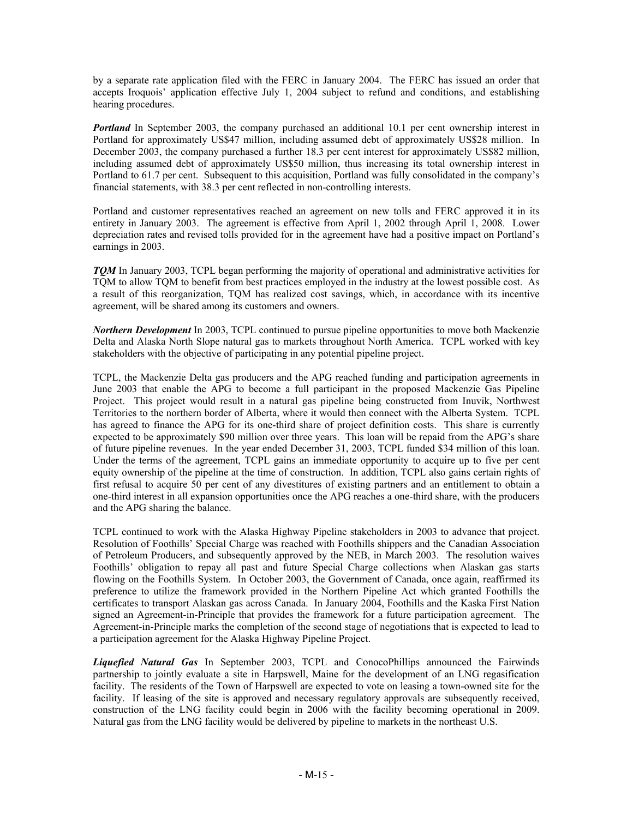by a separate rate application filed with the FERC in January 2004. The FERC has issued an order that accepts Iroquois' application effective July 1, 2004 subject to refund and conditions, and establishing hearing procedures.

*Portland* In September 2003, the company purchased an additional 10.1 per cent ownership interest in Portland for approximately US\$47 million, including assumed debt of approximately US\$28 million. In December 2003, the company purchased a further 18.3 per cent interest for approximately US\$82 million, including assumed debt of approximately US\$50 million, thus increasing its total ownership interest in Portland to 61.7 per cent. Subsequent to this acquisition, Portland was fully consolidated in the company's financial statements, with 38.3 per cent reflected in non-controlling interests.

Portland and customer representatives reached an agreement on new tolls and FERC approved it in its entirety in January 2003. The agreement is effective from April 1, 2002 through April 1, 2008. Lower depreciation rates and revised tolls provided for in the agreement have had a positive impact on Portland's earnings in 2003.

*TQM* In January 2003, TCPL began performing the majority of operational and administrative activities for TQM to allow TQM to benefit from best practices employed in the industry at the lowest possible cost. As a result of this reorganization, TQM has realized cost savings, which, in accordance with its incentive agreement, will be shared among its customers and owners.

*Northern Development* In 2003, TCPL continued to pursue pipeline opportunities to move both Mackenzie Delta and Alaska North Slope natural gas to markets throughout North America. TCPL worked with key stakeholders with the objective of participating in any potential pipeline project.

TCPL, the Mackenzie Delta gas producers and the APG reached funding and participation agreements in June 2003 that enable the APG to become a full participant in the proposed Mackenzie Gas Pipeline Project. This project would result in a natural gas pipeline being constructed from Inuvik, Northwest Territories to the northern border of Alberta, where it would then connect with the Alberta System. TCPL has agreed to finance the APG for its one-third share of project definition costs. This share is currently expected to be approximately \$90 million over three years. This loan will be repaid from the APG's share of future pipeline revenues. In the year ended December 31, 2003, TCPL funded \$34 million of this loan. Under the terms of the agreement, TCPL gains an immediate opportunity to acquire up to five per cent equity ownership of the pipeline at the time of construction. In addition, TCPL also gains certain rights of first refusal to acquire 50 per cent of any divestitures of existing partners and an entitlement to obtain a one-third interest in all expansion opportunities once the APG reaches a one-third share, with the producers and the APG sharing the balance.

TCPL continued to work with the Alaska Highway Pipeline stakeholders in 2003 to advance that project. Resolution of Foothills' Special Charge was reached with Foothills shippers and the Canadian Association of Petroleum Producers, and subsequently approved by the NEB, in March 2003. The resolution waives Foothills' obligation to repay all past and future Special Charge collections when Alaskan gas starts flowing on the Foothills System. In October 2003, the Government of Canada, once again, reaffirmed its preference to utilize the framework provided in the Northern Pipeline Act which granted Foothills the certificates to transport Alaskan gas across Canada. In January 2004, Foothills and the Kaska First Nation signed an Agreement-in-Principle that provides the framework for a future participation agreement. The Agreement-in-Principle marks the completion of the second stage of negotiations that is expected to lead to a participation agreement for the Alaska Highway Pipeline Project.

*Liquefied Natural Gas* In September 2003, TCPL and ConocoPhillips announced the Fairwinds partnership to jointly evaluate a site in Harpswell, Maine for the development of an LNG regasification facility. The residents of the Town of Harpswell are expected to vote on leasing a town-owned site for the facility. If leasing of the site is approved and necessary regulatory approvals are subsequently received, construction of the LNG facility could begin in 2006 with the facility becoming operational in 2009. Natural gas from the LNG facility would be delivered by pipeline to markets in the northeast U.S.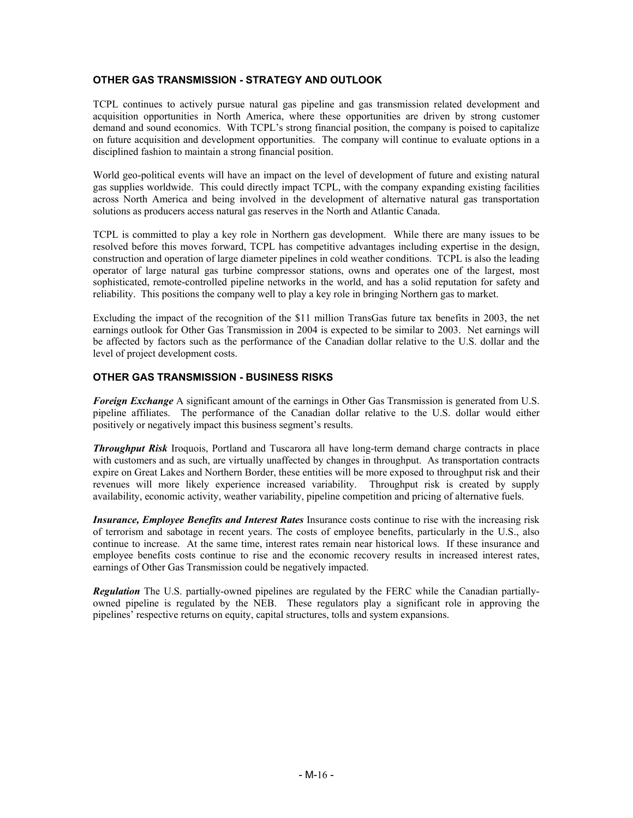# **OTHER GAS TRANSMISSION - STRATEGY AND OUTLOOK**

TCPL continues to actively pursue natural gas pipeline and gas transmission related development and acquisition opportunities in North America, where these opportunities are driven by strong customer demand and sound economics. With TCPL's strong financial position, the company is poised to capitalize on future acquisition and development opportunities. The company will continue to evaluate options in a disciplined fashion to maintain a strong financial position.

World geo-political events will have an impact on the level of development of future and existing natural gas supplies worldwide. This could directly impact TCPL, with the company expanding existing facilities across North America and being involved in the development of alternative natural gas transportation solutions as producers access natural gas reserves in the North and Atlantic Canada.

TCPL is committed to play a key role in Northern gas development. While there are many issues to be resolved before this moves forward, TCPL has competitive advantages including expertise in the design, construction and operation of large diameter pipelines in cold weather conditions. TCPL is also the leading operator of large natural gas turbine compressor stations, owns and operates one of the largest, most sophisticated, remote-controlled pipeline networks in the world, and has a solid reputation for safety and reliability. This positions the company well to play a key role in bringing Northern gas to market.

Excluding the impact of the recognition of the \$11 million TransGas future tax benefits in 2003, the net earnings outlook for Other Gas Transmission in 2004 is expected to be similar to 2003. Net earnings will be affected by factors such as the performance of the Canadian dollar relative to the U.S. dollar and the level of project development costs.

## **OTHER GAS TRANSMISSION - BUSINESS RISKS**

*Foreign Exchange* A significant amount of the earnings in Other Gas Transmission is generated from U.S. pipeline affiliates. The performance of the Canadian dollar relative to the U.S. dollar would either positively or negatively impact this business segment's results.

*Throughput Risk* Iroquois, Portland and Tuscarora all have long-term demand charge contracts in place with customers and as such, are virtually unaffected by changes in throughput. As transportation contracts expire on Great Lakes and Northern Border, these entities will be more exposed to throughput risk and their revenues will more likely experience increased variability. Throughput risk is created by supply availability, economic activity, weather variability, pipeline competition and pricing of alternative fuels.

*Insurance, Employee Benefits and Interest Rates* Insurance costs continue to rise with the increasing risk of terrorism and sabotage in recent years. The costs of employee benefits, particularly in the U.S., also continue to increase. At the same time, interest rates remain near historical lows. If these insurance and employee benefits costs continue to rise and the economic recovery results in increased interest rates, earnings of Other Gas Transmission could be negatively impacted.

*Regulation* The U.S. partially-owned pipelines are regulated by the FERC while the Canadian partiallyowned pipeline is regulated by the NEB. These regulators play a significant role in approving the pipelines' respective returns on equity, capital structures, tolls and system expansions.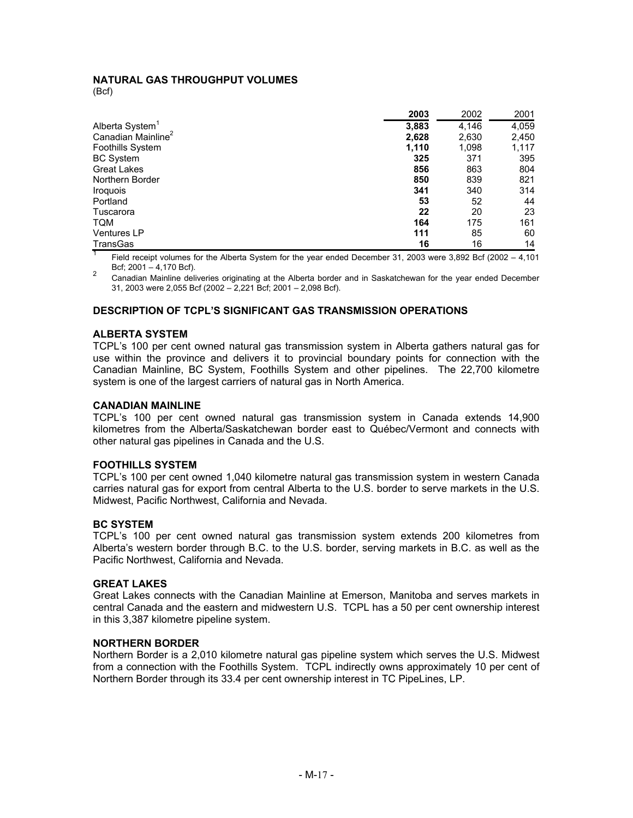# **NATURAL GAS THROUGHPUT VOLUMES**

(Bcf)

|                                | 2003  | 2002  | 2001  |
|--------------------------------|-------|-------|-------|
| Alberta System <sup>1</sup>    | 3,883 | 4,146 | 4,059 |
| Canadian Mainline <sup>2</sup> | 2,628 | 2,630 | 2,450 |
| <b>Foothills System</b>        | 1,110 | 1,098 | 1,117 |
| <b>BC</b> System               | 325   | 371   | 395   |
| <b>Great Lakes</b>             | 856   | 863   | 804   |
| Northern Border                | 850   | 839   | 821   |
| <i><b>Iroquois</b></i>         | 341   | 340   | 314   |
| Portland                       | 53    | 52    | 44    |
| Tuscarora                      | 22    | 20    | 23    |
| <b>TQM</b>                     | 164   | 175   | 161   |
| <b>Ventures LP</b>             | 111   | 85    | 60    |
| <b>TransGas</b>                | 16    | 16    | 14    |

Field receipt volumes for the Alberta System for the year ended December 31, 2003 were 3,892 Bcf (2002 – 4,101<br>Bcf: 2001 – 4.170 Bcf).

2 Canadian Mainline deliveries originating at the Alberta border and in Saskatchewan for the year ended December 31, 2003 were 2,055 Bcf (2002 – 2,221 Bcf; 2001 – 2,098 Bcf).

## **DESCRIPTION OF TCPL'S SIGNIFICANT GAS TRANSMISSION OPERATIONS**

#### **ALBERTA SYSTEM**

TCPL's 100 per cent owned natural gas transmission system in Alberta gathers natural gas for use within the province and delivers it to provincial boundary points for connection with the Canadian Mainline, BC System, Foothills System and other pipelines. The 22,700 kilometre system is one of the largest carriers of natural gas in North America.

## **CANADIAN MAINLINE**

TCPL's 100 per cent owned natural gas transmission system in Canada extends 14,900 kilometres from the Alberta/Saskatchewan border east to Québec/Vermont and connects with other natural gas pipelines in Canada and the U.S.

## **FOOTHILLS SYSTEM**

TCPL's 100 per cent owned 1,040 kilometre natural gas transmission system in western Canada carries natural gas for export from central Alberta to the U.S. border to serve markets in the U.S. Midwest, Pacific Northwest, California and Nevada.

#### **BC SYSTEM**

TCPL's 100 per cent owned natural gas transmission system extends 200 kilometres from Alberta's western border through B.C. to the U.S. border, serving markets in B.C. as well as the Pacific Northwest, California and Nevada.

#### **GREAT LAKES**

Great Lakes connects with the Canadian Mainline at Emerson, Manitoba and serves markets in central Canada and the eastern and midwestern U.S. TCPL has a 50 per cent ownership interest in this 3,387 kilometre pipeline system.

#### **NORTHERN BORDER**

Northern Border is a 2,010 kilometre natural gas pipeline system which serves the U.S. Midwest from a connection with the Foothills System. TCPL indirectly owns approximately 10 per cent of Northern Border through its 33.4 per cent ownership interest in TC PipeLines, LP.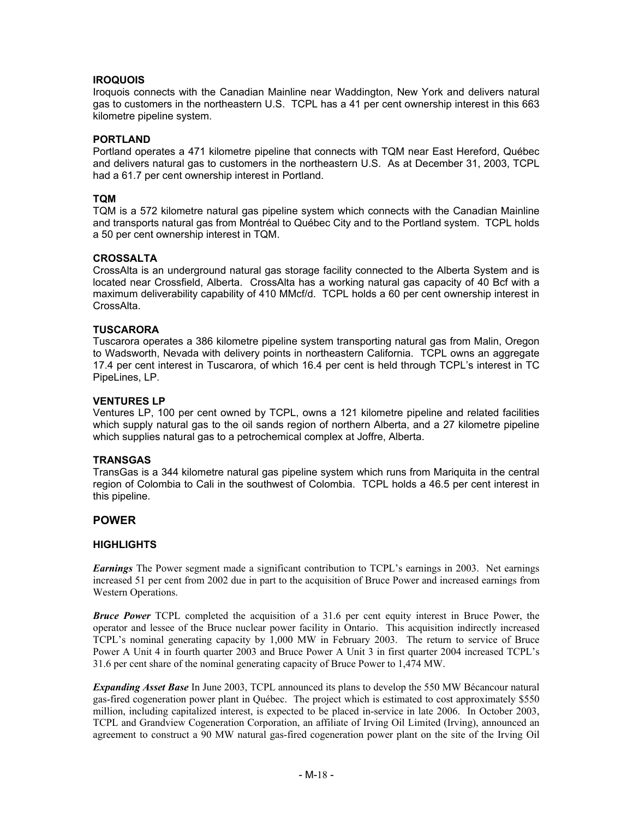## **IROQUOIS**

Iroquois connects with the Canadian Mainline near Waddington, New York and delivers natural gas to customers in the northeastern U.S. TCPL has a 41 per cent ownership interest in this 663 kilometre pipeline system.

## **PORTLAND**

Portland operates a 471 kilometre pipeline that connects with TQM near East Hereford, Québec and delivers natural gas to customers in the northeastern U.S. As at December 31, 2003, TCPL had a 61.7 per cent ownership interest in Portland.

## **TQM**

TQM is a 572 kilometre natural gas pipeline system which connects with the Canadian Mainline and transports natural gas from Montréal to Québec City and to the Portland system. TCPL holds a 50 per cent ownership interest in TQM.

#### **CROSSALTA**

CrossAlta is an underground natural gas storage facility connected to the Alberta System and is located near Crossfield, Alberta. CrossAlta has a working natural gas capacity of 40 Bcf with a maximum deliverability capability of 410 MMcf/d. TCPL holds a 60 per cent ownership interest in CrossAlta.

## **TUSCARORA**

Tuscarora operates a 386 kilometre pipeline system transporting natural gas from Malin, Oregon to Wadsworth, Nevada with delivery points in northeastern California. TCPL owns an aggregate 17.4 per cent interest in Tuscarora, of which 16.4 per cent is held through TCPL's interest in TC PipeLines, LP.

#### **VENTURES LP**

Ventures LP, 100 per cent owned by TCPL, owns a 121 kilometre pipeline and related facilities which supply natural gas to the oil sands region of northern Alberta, and a 27 kilometre pipeline which supplies natural gas to a petrochemical complex at Joffre, Alberta.

#### **TRANSGAS**

TransGas is a 344 kilometre natural gas pipeline system which runs from Mariquita in the central region of Colombia to Cali in the southwest of Colombia. TCPL holds a 46.5 per cent interest in this pipeline.

# **POWER**

#### **HIGHLIGHTS**

*Earnings* The Power segment made a significant contribution to TCPL's earnings in 2003. Net earnings increased 51 per cent from 2002 due in part to the acquisition of Bruce Power and increased earnings from Western Operations.

*Bruce Power* TCPL completed the acquisition of a 31.6 per cent equity interest in Bruce Power, the operator and lessee of the Bruce nuclear power facility in Ontario. This acquisition indirectly increased TCPL's nominal generating capacity by 1,000 MW in February 2003. The return to service of Bruce Power A Unit 4 in fourth quarter 2003 and Bruce Power A Unit 3 in first quarter 2004 increased TCPL's 31.6 per cent share of the nominal generating capacity of Bruce Power to 1,474 MW.

*Expanding Asset Base* In June 2003, TCPL announced its plans to develop the 550 MW Bécancour natural gas-fired cogeneration power plant in Québec. The project which is estimated to cost approximately \$550 million, including capitalized interest, is expected to be placed in-service in late 2006. In October 2003, TCPL and Grandview Cogeneration Corporation, an affiliate of Irving Oil Limited (Irving), announced an agreement to construct a 90 MW natural gas-fired cogeneration power plant on the site of the Irving Oil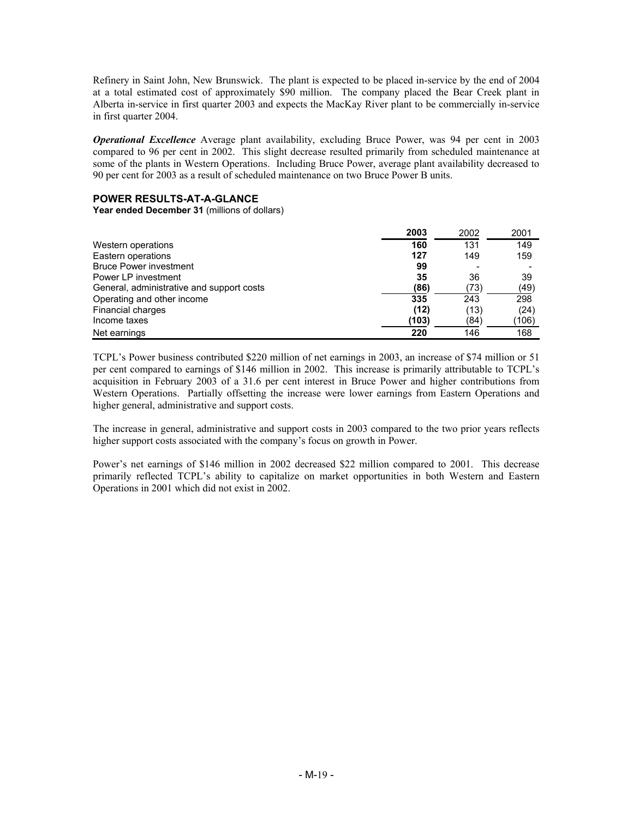Refinery in Saint John, New Brunswick. The plant is expected to be placed in-service by the end of 2004 at a total estimated cost of approximately \$90 million. The company placed the Bear Creek plant in Alberta in-service in first quarter 2003 and expects the MacKay River plant to be commercially in-service in first quarter 2004.

*Operational Excellence* Average plant availability, excluding Bruce Power, was 94 per cent in 2003 compared to 96 per cent in 2002. This slight decrease resulted primarily from scheduled maintenance at some of the plants in Western Operations. Including Bruce Power, average plant availability decreased to 90 per cent for 2003 as a result of scheduled maintenance on two Bruce Power B units.

## **POWER RESULTS-AT-A-GLANCE**

**Year ended December 31** (millions of dollars)

|                                           | 2003  | 2002 | 2001  |
|-------------------------------------------|-------|------|-------|
| Western operations                        | 160   | 131  | 149   |
| Eastern operations                        | 127   | 149  | 159   |
| <b>Bruce Power investment</b>             | 99    |      |       |
| Power LP investment                       | 35    | 36   | 39    |
| General, administrative and support costs | (86)  | (73) | (49)  |
| Operating and other income                | 335   | 243  | 298   |
| Financial charges                         | (12)  | (13) | (24)  |
| Income taxes                              | (103) | (84) | (106) |
| Net earnings                              | 220   | 146  | 168   |

TCPL's Power business contributed \$220 million of net earnings in 2003, an increase of \$74 million or 51 per cent compared to earnings of \$146 million in 2002. This increase is primarily attributable to TCPL's acquisition in February 2003 of a 31.6 per cent interest in Bruce Power and higher contributions from Western Operations. Partially offsetting the increase were lower earnings from Eastern Operations and higher general, administrative and support costs.

The increase in general, administrative and support costs in 2003 compared to the two prior years reflects higher support costs associated with the company's focus on growth in Power.

Power's net earnings of \$146 million in 2002 decreased \$22 million compared to 2001. This decrease primarily reflected TCPL's ability to capitalize on market opportunities in both Western and Eastern Operations in 2001 which did not exist in 2002.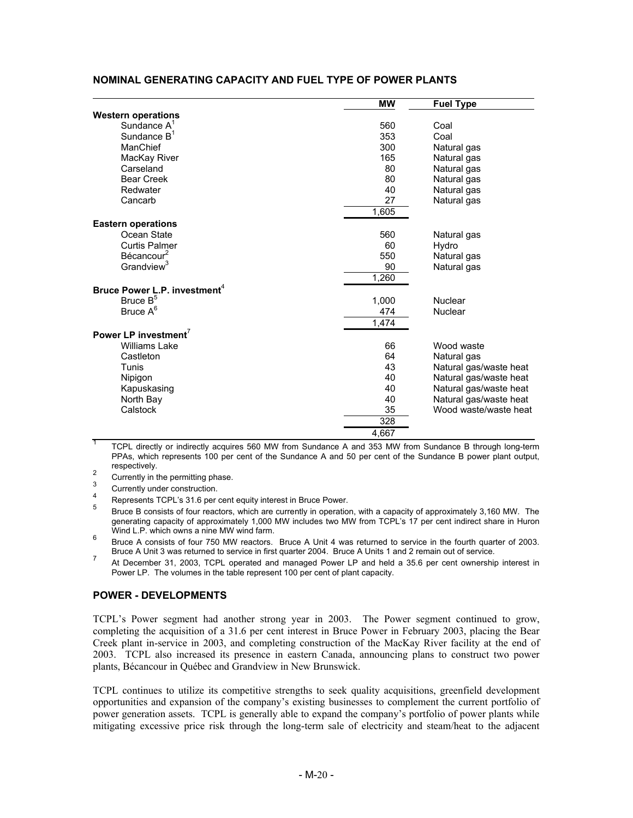|                                          | <b>MW</b> | <b>Fuel Type</b>       |
|------------------------------------------|-----------|------------------------|
| <b>Western operations</b>                |           |                        |
| Sundance $A^1$                           | 560       | Coal                   |
| Sundance B <sup>1</sup>                  | 353       | Coal                   |
| ManChief                                 | 300       | Natural gas            |
| MacKay River                             | 165       | Natural gas            |
| Carseland                                | 80        | Natural gas            |
| <b>Bear Creek</b>                        | 80        | Natural gas            |
| Redwater                                 | 40        | Natural gas            |
| Cancarb                                  | 27        | Natural gas            |
|                                          | 1,605     |                        |
| <b>Eastern operations</b>                |           |                        |
| Ocean State                              | 560       | Natural gas            |
| <b>Curtis Palmer</b>                     | 60        | Hydro                  |
| Bécancour <sup>2</sup>                   | 550       | Natural gas            |
| Grandview <sup>3</sup>                   | 90        | Natural gas            |
|                                          | 1,260     |                        |
| Bruce Power L.P. investment <sup>4</sup> |           |                        |
| Bruce B <sup>5</sup>                     | 1,000     | Nuclear                |
| Bruce A <sup>6</sup>                     | 474       | Nuclear                |
|                                          | 1,474     |                        |
| Power LP investment <sup>7</sup>         |           |                        |
| Williams Lake                            | 66        | Wood waste             |
| Castleton                                | 64        | Natural gas            |
| Tunis                                    | 43        | Natural gas/waste heat |
| Nipigon                                  | 40        | Natural gas/waste heat |
| Kapuskasing                              | 40        | Natural gas/waste heat |
| North Bay                                | 40        | Natural gas/waste heat |
| Calstock                                 | 35        | Wood waste/waste heat  |
|                                          | 328       |                        |
|                                          | 4.667     |                        |

## **NOMINAL GENERATING CAPACITY AND FUEL TYPE OF POWER PLANTS**

<sup>1</sup> TCPL directly or indirectly acquires 560 MW from Sundance A and 353 MW from Sundance B through long-term PPAs, which represents 100 per cent of the Sundance A and 50 per cent of the Sundance B power plant output, respectively.

2<br>
Currently in the permitting phase.<br>
Currently under construction.<br>
Represents TCPL's 31.6 per cent equity interest in Bruce Power.<br>
Funce B consists of four reactors, which are currently in operation, with a capacity of generating capacity of approximately 1,000 MW includes two MW from TCPL's 17 per cent indirect share in Huron Wind L.P. which owns a nine MW wind farm.

6 Bruce A consists of four 750 MW reactors. Bruce A Unit 4 was returned to service in the fourth quarter of 2003. Bruce A Unit 3 was returned to service in first quarter 2004. Bruce A Units 1 and 2 remain out of service.

<sup>7</sup> At December 31, 2003, TCPL operated and managed Power LP and held a 35.6 per cent ownership interest in Power LP. The volumes in the table represent 100 per cent of plant capacity.

#### **POWER - DEVELOPMENTS**

TCPL's Power segment had another strong year in 2003. The Power segment continued to grow, completing the acquisition of a 31.6 per cent interest in Bruce Power in February 2003, placing the Bear Creek plant in-service in 2003, and completing construction of the MacKay River facility at the end of 2003. TCPL also increased its presence in eastern Canada, announcing plans to construct two power plants, Bécancour in Québec and Grandview in New Brunswick.

TCPL continues to utilize its competitive strengths to seek quality acquisitions, greenfield development opportunities and expansion of the company's existing businesses to complement the current portfolio of power generation assets. TCPL is generally able to expand the company's portfolio of power plants while mitigating excessive price risk through the long-term sale of electricity and steam/heat to the adjacent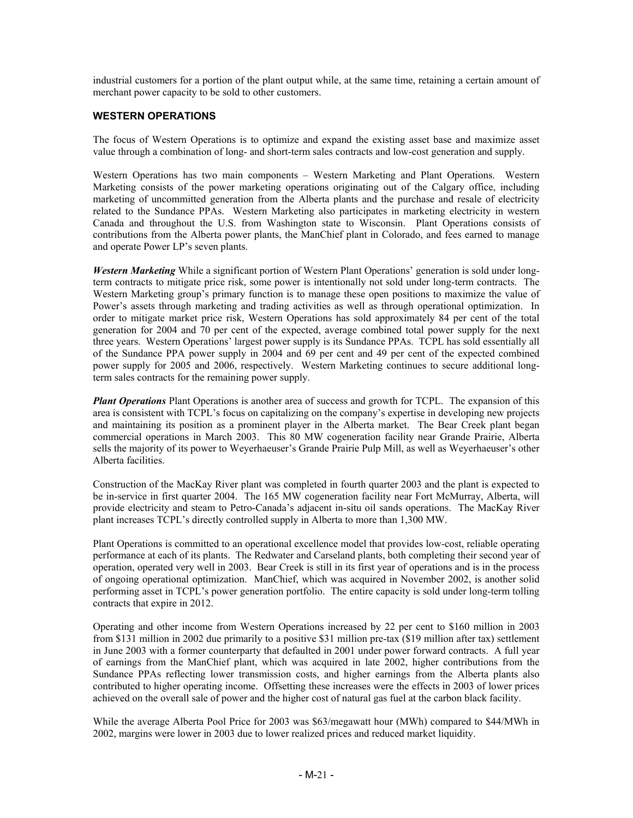industrial customers for a portion of the plant output while, at the same time, retaining a certain amount of merchant power capacity to be sold to other customers.

## **WESTERN OPERATIONS**

The focus of Western Operations is to optimize and expand the existing asset base and maximize asset value through a combination of long- and short-term sales contracts and low-cost generation and supply.

Western Operations has two main components – Western Marketing and Plant Operations. Western Marketing consists of the power marketing operations originating out of the Calgary office, including marketing of uncommitted generation from the Alberta plants and the purchase and resale of electricity related to the Sundance PPAs. Western Marketing also participates in marketing electricity in western Canada and throughout the U.S. from Washington state to Wisconsin. Plant Operations consists of contributions from the Alberta power plants, the ManChief plant in Colorado, and fees earned to manage and operate Power LP's seven plants.

*Western Marketing* While a significant portion of Western Plant Operations' generation is sold under longterm contracts to mitigate price risk, some power is intentionally not sold under long-term contracts. The Western Marketing group's primary function is to manage these open positions to maximize the value of Power's assets through marketing and trading activities as well as through operational optimization. In order to mitigate market price risk, Western Operations has sold approximately 84 per cent of the total generation for 2004 and 70 per cent of the expected, average combined total power supply for the next three years. Western Operations' largest power supply is its Sundance PPAs. TCPL has sold essentially all of the Sundance PPA power supply in 2004 and 69 per cent and 49 per cent of the expected combined power supply for 2005 and 2006, respectively. Western Marketing continues to secure additional longterm sales contracts for the remaining power supply.

*Plant Operations* Plant Operations is another area of success and growth for TCPL. The expansion of this area is consistent with TCPL's focus on capitalizing on the company's expertise in developing new projects and maintaining its position as a prominent player in the Alberta market. The Bear Creek plant began commercial operations in March 2003. This 80 MW cogeneration facility near Grande Prairie, Alberta sells the majority of its power to Weyerhaeuser's Grande Prairie Pulp Mill, as well as Weyerhaeuser's other Alberta facilities.

Construction of the MacKay River plant was completed in fourth quarter 2003 and the plant is expected to be in-service in first quarter 2004. The 165 MW cogeneration facility near Fort McMurray, Alberta, will provide electricity and steam to Petro-Canada's adjacent in-situ oil sands operations. The MacKay River plant increases TCPL's directly controlled supply in Alberta to more than 1,300 MW.

Plant Operations is committed to an operational excellence model that provides low-cost, reliable operating performance at each of its plants. The Redwater and Carseland plants, both completing their second year of operation, operated very well in 2003. Bear Creek is still in its first year of operations and is in the process of ongoing operational optimization. ManChief, which was acquired in November 2002, is another solid performing asset in TCPL's power generation portfolio. The entire capacity is sold under long-term tolling contracts that expire in 2012.

Operating and other income from Western Operations increased by 22 per cent to \$160 million in 2003 from \$131 million in 2002 due primarily to a positive \$31 million pre-tax (\$19 million after tax) settlement in June 2003 with a former counterparty that defaulted in 2001 under power forward contracts. A full year of earnings from the ManChief plant, which was acquired in late 2002, higher contributions from the Sundance PPAs reflecting lower transmission costs, and higher earnings from the Alberta plants also contributed to higher operating income. Offsetting these increases were the effects in 2003 of lower prices achieved on the overall sale of power and the higher cost of natural gas fuel at the carbon black facility.

While the average Alberta Pool Price for 2003 was \$63/megawatt hour (MWh) compared to \$44/MWh in 2002, margins were lower in 2003 due to lower realized prices and reduced market liquidity.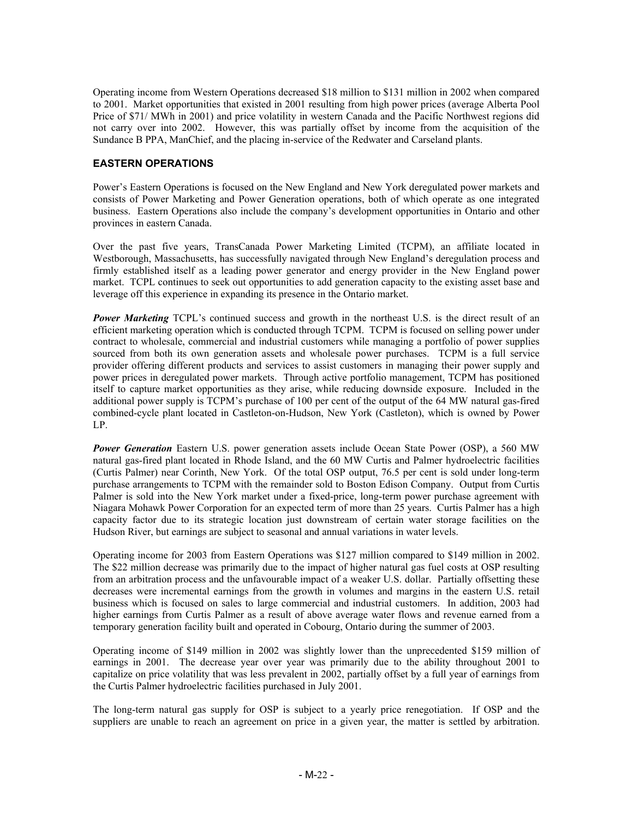Operating income from Western Operations decreased \$18 million to \$131 million in 2002 when compared to 2001. Market opportunities that existed in 2001 resulting from high power prices (average Alberta Pool Price of \$71/ MWh in 2001) and price volatility in western Canada and the Pacific Northwest regions did not carry over into 2002. However, this was partially offset by income from the acquisition of the Sundance B PPA, ManChief, and the placing in-service of the Redwater and Carseland plants.

# **EASTERN OPERATIONS**

Power's Eastern Operations is focused on the New England and New York deregulated power markets and consists of Power Marketing and Power Generation operations, both of which operate as one integrated business. Eastern Operations also include the company's development opportunities in Ontario and other provinces in eastern Canada.

Over the past five years, TransCanada Power Marketing Limited (TCPM), an affiliate located in Westborough, Massachusetts, has successfully navigated through New England's deregulation process and firmly established itself as a leading power generator and energy provider in the New England power market. TCPL continues to seek out opportunities to add generation capacity to the existing asset base and leverage off this experience in expanding its presence in the Ontario market.

**Power Marketing** TCPL's continued success and growth in the northeast U.S. is the direct result of an efficient marketing operation which is conducted through TCPM. TCPM is focused on selling power under contract to wholesale, commercial and industrial customers while managing a portfolio of power supplies sourced from both its own generation assets and wholesale power purchases. TCPM is a full service provider offering different products and services to assist customers in managing their power supply and power prices in deregulated power markets. Through active portfolio management, TCPM has positioned itself to capture market opportunities as they arise, while reducing downside exposure. Included in the additional power supply is TCPM's purchase of 100 per cent of the output of the 64 MW natural gas-fired combined-cycle plant located in Castleton-on-Hudson, New York (Castleton), which is owned by Power LP.

*Power Generation* Eastern U.S. power generation assets include Ocean State Power (OSP), a 560 MW natural gas-fired plant located in Rhode Island, and the 60 MW Curtis and Palmer hydroelectric facilities (Curtis Palmer) near Corinth, New York. Of the total OSP output, 76.5 per cent is sold under long-term purchase arrangements to TCPM with the remainder sold to Boston Edison Company. Output from Curtis Palmer is sold into the New York market under a fixed-price, long-term power purchase agreement with Niagara Mohawk Power Corporation for an expected term of more than 25 years. Curtis Palmer has a high capacity factor due to its strategic location just downstream of certain water storage facilities on the Hudson River, but earnings are subject to seasonal and annual variations in water levels.

Operating income for 2003 from Eastern Operations was \$127 million compared to \$149 million in 2002. The \$22 million decrease was primarily due to the impact of higher natural gas fuel costs at OSP resulting from an arbitration process and the unfavourable impact of a weaker U.S. dollar. Partially offsetting these decreases were incremental earnings from the growth in volumes and margins in the eastern U.S. retail business which is focused on sales to large commercial and industrial customers. In addition, 2003 had higher earnings from Curtis Palmer as a result of above average water flows and revenue earned from a temporary generation facility built and operated in Cobourg, Ontario during the summer of 2003.

Operating income of \$149 million in 2002 was slightly lower than the unprecedented \$159 million of earnings in 2001. The decrease year over year was primarily due to the ability throughout 2001 to capitalize on price volatility that was less prevalent in 2002, partially offset by a full year of earnings from the Curtis Palmer hydroelectric facilities purchased in July 2001.

The long-term natural gas supply for OSP is subject to a yearly price renegotiation. If OSP and the suppliers are unable to reach an agreement on price in a given year, the matter is settled by arbitration.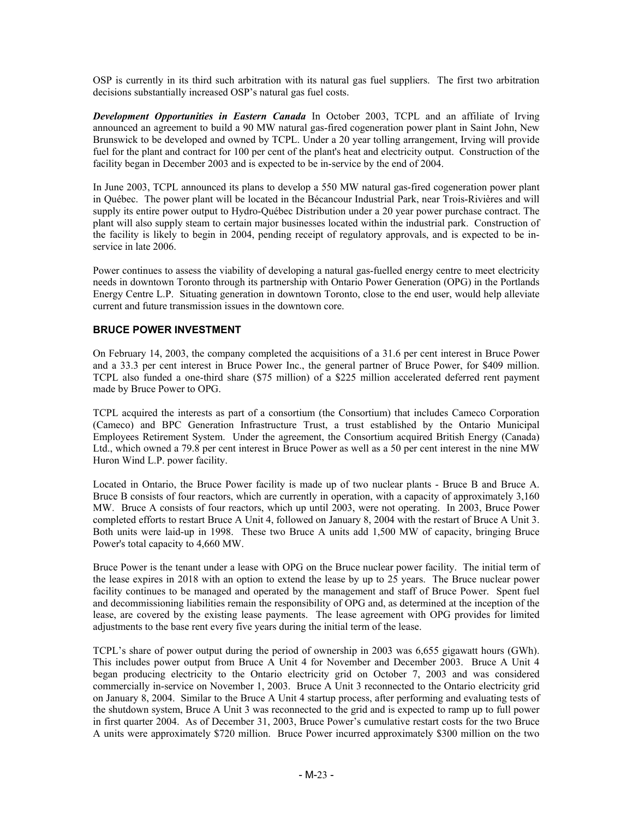OSP is currently in its third such arbitration with its natural gas fuel suppliers. The first two arbitration decisions substantially increased OSP's natural gas fuel costs.

*Development Opportunities in Eastern Canada* In October 2003, TCPL and an affiliate of Irving announced an agreement to build a 90 MW natural gas-fired cogeneration power plant in Saint John, New Brunswick to be developed and owned by TCPL. Under a 20 year tolling arrangement, Irving will provide fuel for the plant and contract for 100 per cent of the plant's heat and electricity output. Construction of the facility began in December 2003 and is expected to be in-service by the end of 2004.

In June 2003, TCPL announced its plans to develop a 550 MW natural gas-fired cogeneration power plant in Québec. The power plant will be located in the Bécancour Industrial Park, near Trois-Rivières and will supply its entire power output to Hydro-Québec Distribution under a 20 year power purchase contract. The plant will also supply steam to certain major businesses located within the industrial park. Construction of the facility is likely to begin in 2004, pending receipt of regulatory approvals, and is expected to be inservice in late 2006.

Power continues to assess the viability of developing a natural gas-fuelled energy centre to meet electricity needs in downtown Toronto through its partnership with Ontario Power Generation (OPG) in the Portlands Energy Centre L.P. Situating generation in downtown Toronto, close to the end user, would help alleviate current and future transmission issues in the downtown core.

## **BRUCE POWER INVESTMENT**

On February 14, 2003, the company completed the acquisitions of a 31.6 per cent interest in Bruce Power and a 33.3 per cent interest in Bruce Power Inc., the general partner of Bruce Power, for \$409 million. TCPL also funded a one-third share (\$75 million) of a \$225 million accelerated deferred rent payment made by Bruce Power to OPG.

TCPL acquired the interests as part of a consortium (the Consortium) that includes Cameco Corporation (Cameco) and BPC Generation Infrastructure Trust, a trust established by the Ontario Municipal Employees Retirement System. Under the agreement, the Consortium acquired British Energy (Canada) Ltd., which owned a 79.8 per cent interest in Bruce Power as well as a 50 per cent interest in the nine MW Huron Wind L.P. power facility.

Located in Ontario, the Bruce Power facility is made up of two nuclear plants - Bruce B and Bruce A. Bruce B consists of four reactors, which are currently in operation, with a capacity of approximately 3,160 MW. Bruce A consists of four reactors, which up until 2003, were not operating. In 2003, Bruce Power completed efforts to restart Bruce A Unit 4, followed on January 8, 2004 with the restart of Bruce A Unit 3. Both units were laid-up in 1998. These two Bruce A units add 1,500 MW of capacity, bringing Bruce Power's total capacity to 4,660 MW.

Bruce Power is the tenant under a lease with OPG on the Bruce nuclear power facility. The initial term of the lease expires in 2018 with an option to extend the lease by up to 25 years. The Bruce nuclear power facility continues to be managed and operated by the management and staff of Bruce Power. Spent fuel and decommissioning liabilities remain the responsibility of OPG and, as determined at the inception of the lease, are covered by the existing lease payments. The lease agreement with OPG provides for limited adjustments to the base rent every five years during the initial term of the lease.

TCPL's share of power output during the period of ownership in 2003 was 6,655 gigawatt hours (GWh). This includes power output from Bruce A Unit 4 for November and December 2003. Bruce A Unit 4 began producing electricity to the Ontario electricity grid on October 7, 2003 and was considered commercially in-service on November 1, 2003. Bruce A Unit 3 reconnected to the Ontario electricity grid on January 8, 2004. Similar to the Bruce A Unit 4 startup process, after performing and evaluating tests of the shutdown system, Bruce A Unit 3 was reconnected to the grid and is expected to ramp up to full power in first quarter 2004. As of December 31, 2003, Bruce Power's cumulative restart costs for the two Bruce A units were approximately \$720 million. Bruce Power incurred approximately \$300 million on the two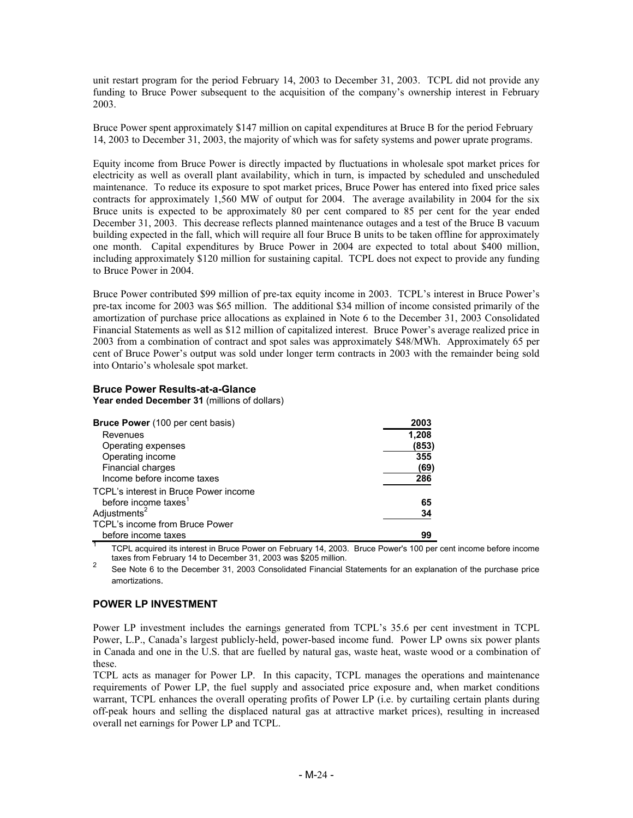unit restart program for the period February 14, 2003 to December 31, 2003. TCPL did not provide any funding to Bruce Power subsequent to the acquisition of the company's ownership interest in February 2003.

Bruce Power spent approximately \$147 million on capital expenditures at Bruce B for the period February 14, 2003 to December 31, 2003, the majority of which was for safety systems and power uprate programs.

Equity income from Bruce Power is directly impacted by fluctuations in wholesale spot market prices for electricity as well as overall plant availability, which in turn, is impacted by scheduled and unscheduled maintenance. To reduce its exposure to spot market prices, Bruce Power has entered into fixed price sales contracts for approximately 1,560 MW of output for 2004. The average availability in 2004 for the six Bruce units is expected to be approximately 80 per cent compared to 85 per cent for the year ended December 31, 2003. This decrease reflects planned maintenance outages and a test of the Bruce B vacuum building expected in the fall, which will require all four Bruce B units to be taken offline for approximately one month. Capital expenditures by Bruce Power in 2004 are expected to total about \$400 million, including approximately \$120 million for sustaining capital. TCPL does not expect to provide any funding to Bruce Power in 2004.

Bruce Power contributed \$99 million of pre-tax equity income in 2003. TCPL's interest in Bruce Power's pre-tax income for 2003 was \$65 million. The additional \$34 million of income consisted primarily of the amortization of purchase price allocations as explained in Note 6 to the December 31, 2003 Consolidated Financial Statements as well as \$12 million of capitalized interest. Bruce Power's average realized price in 2003 from a combination of contract and spot sales was approximately \$48/MWh. Approximately 65 per cent of Bruce Power's output was sold under longer term contracts in 2003 with the remainder being sold into Ontario's wholesale spot market.

## **Bruce Power Results-at-a-Glance**

**Year ended December 31** (millions of dollars)

| <b>Bruce Power</b> (100 per cent basis) | 2003  |
|-----------------------------------------|-------|
| Revenues                                | 1.208 |
| Operating expenses                      | (853) |
| Operating income                        | 355   |
| Financial charges                       | (69)  |
| Income before income taxes              | 286   |
| TCPL's interest in Bruce Power income   |       |
| before income taxes <sup>1</sup>        | 65    |
| Adjustments <sup>2</sup>                | 34    |
| TCPL's income from Bruce Power          |       |
| before income taxes                     | 99    |

TCPL acquired its interest in Bruce Power on February 14, 2003. Bruce Power's 100 per cent income before income taxes from February 14 to December 31, 2003 was \$205 million.

taxes from February 14 to Becember 31, 2003 Consolidated Financial Statements for an explanation of the purchase price<br>See Note 6 to the December 31, 2003 Consolidated Financial Statements for an explanation of the purchas amortizations.

## **POWER LP INVESTMENT**

Power LP investment includes the earnings generated from TCPL's 35.6 per cent investment in TCPL Power, L.P., Canada's largest publicly-held, power-based income fund. Power LP owns six power plants in Canada and one in the U.S. that are fuelled by natural gas, waste heat, waste wood or a combination of these.

TCPL acts as manager for Power LP. In this capacity, TCPL manages the operations and maintenance requirements of Power LP, the fuel supply and associated price exposure and, when market conditions warrant, TCPL enhances the overall operating profits of Power LP (i.e. by curtailing certain plants during off-peak hours and selling the displaced natural gas at attractive market prices), resulting in increased overall net earnings for Power LP and TCPL.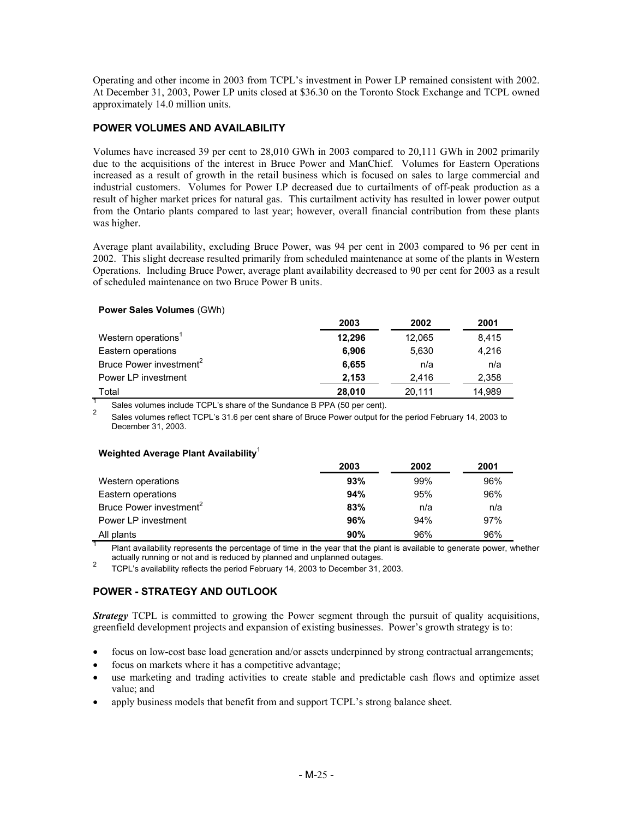Operating and other income in 2003 from TCPL's investment in Power LP remained consistent with 2002. At December 31, 2003, Power LP units closed at \$36.30 on the Toronto Stock Exchange and TCPL owned approximately 14.0 million units.

## **POWER VOLUMES AND AVAILABILITY**

Volumes have increased 39 per cent to 28,010 GWh in 2003 compared to 20,111 GWh in 2002 primarily due to the acquisitions of the interest in Bruce Power and ManChief. Volumes for Eastern Operations increased as a result of growth in the retail business which is focused on sales to large commercial and industrial customers. Volumes for Power LP decreased due to curtailments of off-peak production as a result of higher market prices for natural gas. This curtailment activity has resulted in lower power output from the Ontario plants compared to last year; however, overall financial contribution from these plants was higher.

Average plant availability, excluding Bruce Power, was 94 per cent in 2003 compared to 96 per cent in 2002. This slight decrease resulted primarily from scheduled maintenance at some of the plants in Western Operations. Including Bruce Power, average plant availability decreased to 90 per cent for 2003 as a result of scheduled maintenance on two Bruce Power B units.

#### **Power Sales Volumes** (GWh)

|                                     | 2003   | 2002   | 2001   |
|-------------------------------------|--------|--------|--------|
| Western operations'                 | 12,296 | 12.065 | 8,415  |
| Eastern operations                  | 6.906  | 5.630  | 4,216  |
| Bruce Power investment <sup>2</sup> | 6,655  | n/a    | n/a    |
| Power LP investment                 | 2.153  | 2.416  | 2,358  |
| Total                               | 28,010 | 20.111 | 14.989 |

<sup>1</sup> Sales volumes include TCPL's share of the Sundance B PPA (50 per cent).<br><sup>2</sup> Sales volumes reflect TCPL's 31.6 per cent share of Bruce Power output for the period February 14, 2003 to December 31, 2003.

#### **Weighted Average Plant Availability**<sup>1</sup>

|                                     | 2003 | 2002 | 2001 |
|-------------------------------------|------|------|------|
| Western operations                  | 93%  | 99%  | 96%  |
| Eastern operations                  | 94%  | 95%  | 96%  |
| Bruce Power investment <sup>2</sup> | 83%  | n/a  | n/a  |
| Power LP investment                 | 96%  | 94%  | 97%  |
| All plants                          | 90%  | 96%  | 96%  |

Plant availability represents the percentage of time in the year that the plant is available to generate power, whether actually running or not and is reduced by planned and unplanned outages.

actually running or not and is reduced by planned and unplanned outages. 2 TCPL's availability reflects the period February 14, 2003 to December 31, 2003.

# **POWER - STRATEGY AND OUTLOOK**

*Strategy* TCPL is committed to growing the Power segment through the pursuit of quality acquisitions, greenfield development projects and expansion of existing businesses. Power's growth strategy is to:

- focus on low-cost base load generation and/or assets underpinned by strong contractual arrangements;
- focus on markets where it has a competitive advantage;
- use marketing and trading activities to create stable and predictable cash flows and optimize asset value; and
- apply business models that benefit from and support TCPL's strong balance sheet.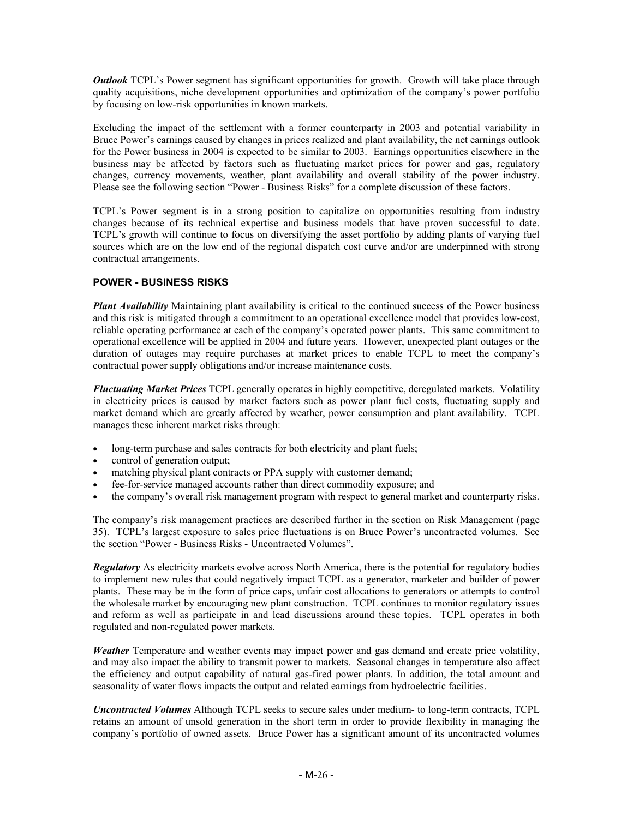*Outlook* TCPL's Power segment has significant opportunities for growth. Growth will take place through quality acquisitions, niche development opportunities and optimization of the company's power portfolio by focusing on low-risk opportunities in known markets.

Excluding the impact of the settlement with a former counterparty in 2003 and potential variability in Bruce Power's earnings caused by changes in prices realized and plant availability, the net earnings outlook for the Power business in 2004 is expected to be similar to 2003. Earnings opportunities elsewhere in the business may be affected by factors such as fluctuating market prices for power and gas, regulatory changes, currency movements, weather, plant availability and overall stability of the power industry. Please see the following section "Power - Business Risks" for a complete discussion of these factors.

TCPL's Power segment is in a strong position to capitalize on opportunities resulting from industry changes because of its technical expertise and business models that have proven successful to date. TCPL's growth will continue to focus on diversifying the asset portfolio by adding plants of varying fuel sources which are on the low end of the regional dispatch cost curve and/or are underpinned with strong contractual arrangements.

# **POWER - BUSINESS RISKS**

*Plant Availability* Maintaining plant availability is critical to the continued success of the Power business and this risk is mitigated through a commitment to an operational excellence model that provides low-cost, reliable operating performance at each of the company's operated power plants. This same commitment to operational excellence will be applied in 2004 and future years. However, unexpected plant outages or the duration of outages may require purchases at market prices to enable TCPL to meet the company's contractual power supply obligations and/or increase maintenance costs.

*Fluctuating Market Prices* TCPL generally operates in highly competitive, deregulated markets. Volatility in electricity prices is caused by market factors such as power plant fuel costs, fluctuating supply and market demand which are greatly affected by weather, power consumption and plant availability. TCPL manages these inherent market risks through:

- long-term purchase and sales contracts for both electricity and plant fuels;
- control of generation output;
- matching physical plant contracts or PPA supply with customer demand;
- fee-for-service managed accounts rather than direct commodity exposure; and
- the company's overall risk management program with respect to general market and counterparty risks.

The company's risk management practices are described further in the section on Risk Management (page 35). TCPL's largest exposure to sales price fluctuations is on Bruce Power's uncontracted volumes. See the section "Power - Business Risks - Uncontracted Volumes".

*Regulatory* As electricity markets evolve across North America, there is the potential for regulatory bodies to implement new rules that could negatively impact TCPL as a generator, marketer and builder of power plants. These may be in the form of price caps, unfair cost allocations to generators or attempts to control the wholesale market by encouraging new plant construction. TCPL continues to monitor regulatory issues and reform as well as participate in and lead discussions around these topics. TCPL operates in both regulated and non-regulated power markets.

*Weather* Temperature and weather events may impact power and gas demand and create price volatility, and may also impact the ability to transmit power to markets. Seasonal changes in temperature also affect the efficiency and output capability of natural gas-fired power plants. In addition, the total amount and seasonality of water flows impacts the output and related earnings from hydroelectric facilities.

*Uncontracted Volumes* Although TCPL seeks to secure sales under medium- to long-term contracts, TCPL retains an amount of unsold generation in the short term in order to provide flexibility in managing the company's portfolio of owned assets. Bruce Power has a significant amount of its uncontracted volumes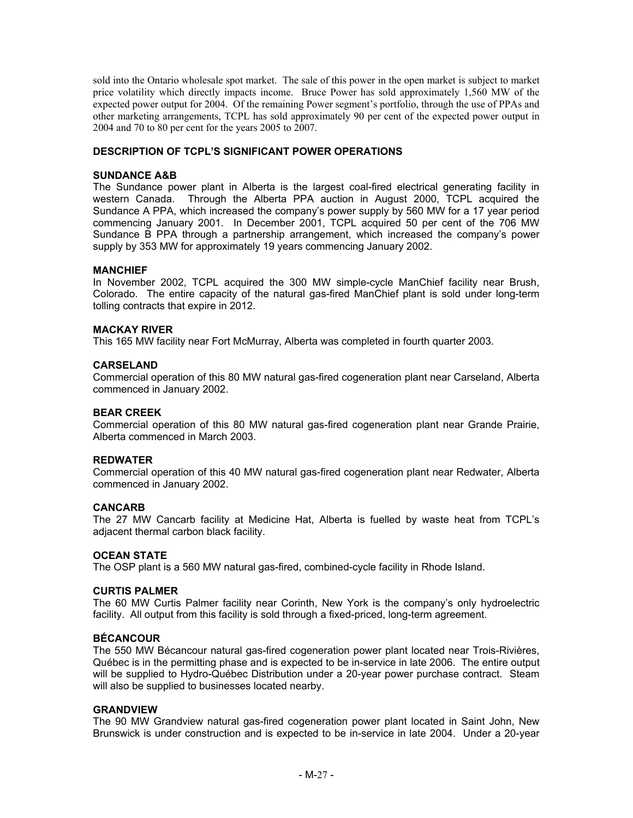sold into the Ontario wholesale spot market. The sale of this power in the open market is subject to market price volatility which directly impacts income. Bruce Power has sold approximately 1,560 MW of the expected power output for 2004. Of the remaining Power segment's portfolio, through the use of PPAs and other marketing arrangements, TCPL has sold approximately 90 per cent of the expected power output in 2004 and 70 to 80 per cent for the years 2005 to 2007.

# **DESCRIPTION OF TCPL'S SIGNIFICANT POWER OPERATIONS**

#### **SUNDANCE A&B**

The Sundance power plant in Alberta is the largest coal-fired electrical generating facility in western Canada. Through the Alberta PPA auction in August 2000, TCPL acquired the Sundance A PPA, which increased the company's power supply by 560 MW for a 17 year period commencing January 2001. In December 2001, TCPL acquired 50 per cent of the 706 MW Sundance B PPA through a partnership arrangement, which increased the company's power supply by 353 MW for approximately 19 years commencing January 2002.

#### **MANCHIEF**

In November 2002, TCPL acquired the 300 MW simple-cycle ManChief facility near Brush, Colorado. The entire capacity of the natural gas-fired ManChief plant is sold under long-term tolling contracts that expire in 2012.

#### **MACKAY RIVER**

This 165 MW facility near Fort McMurray, Alberta was completed in fourth quarter 2003.

#### **CARSELAND**

Commercial operation of this 80 MW natural gas-fired cogeneration plant near Carseland, Alberta commenced in January 2002.

#### **BEAR CREEK**

Commercial operation of this 80 MW natural gas-fired cogeneration plant near Grande Prairie, Alberta commenced in March 2003.

#### **REDWATER**

Commercial operation of this 40 MW natural gas-fired cogeneration plant near Redwater, Alberta commenced in January 2002.

#### **CANCARB**

The 27 MW Cancarb facility at Medicine Hat, Alberta is fuelled by waste heat from TCPL's adjacent thermal carbon black facility.

#### **OCEAN STATE**

The OSP plant is a 560 MW natural gas-fired, combined-cycle facility in Rhode Island.

#### **CURTIS PALMER**

The 60 MW Curtis Palmer facility near Corinth, New York is the company's only hydroelectric facility. All output from this facility is sold through a fixed-priced, long-term agreement.

#### **BÉCANCOUR**

The 550 MW Bécancour natural gas-fired cogeneration power plant located near Trois-Rivières, Québec is in the permitting phase and is expected to be in-service in late 2006. The entire output will be supplied to Hydro-Québec Distribution under a 20-year power purchase contract. Steam will also be supplied to businesses located nearby.

#### **GRANDVIEW**

The 90 MW Grandview natural gas-fired cogeneration power plant located in Saint John, New Brunswick is under construction and is expected to be in-service in late 2004. Under a 20-year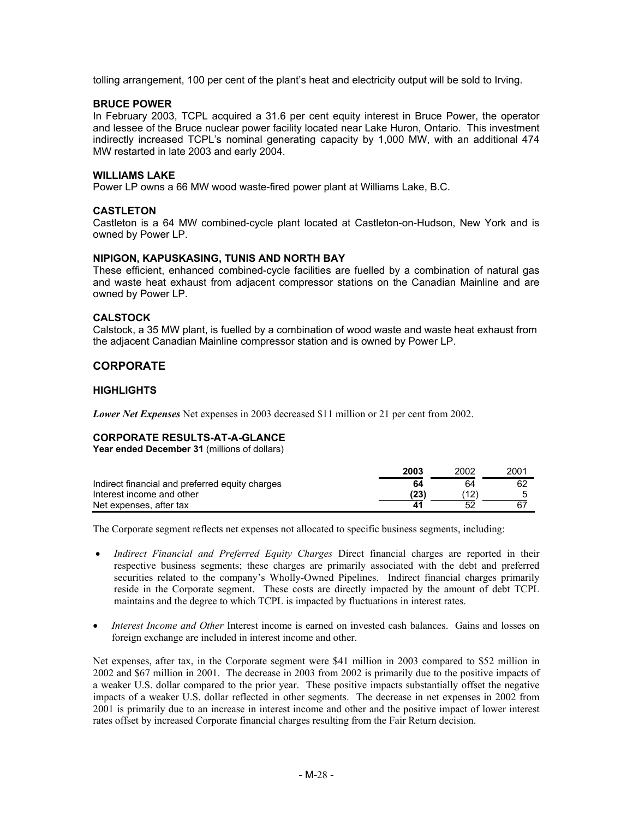tolling arrangement, 100 per cent of the plant's heat and electricity output will be sold to Irving.

#### **BRUCE POWER**

In February 2003, TCPL acquired a 31.6 per cent equity interest in Bruce Power, the operator and lessee of the Bruce nuclear power facility located near Lake Huron, Ontario. This investment indirectly increased TCPL's nominal generating capacity by 1,000 MW, with an additional 474 MW restarted in late 2003 and early 2004.

#### **WILLIAMS LAKE**

Power LP owns a 66 MW wood waste-fired power plant at Williams Lake, B.C.

#### **CASTLETON**

Castleton is a 64 MW combined-cycle plant located at Castleton-on-Hudson, New York and is owned by Power LP.

#### **NIPIGON, KAPUSKASING, TUNIS AND NORTH BAY**

These efficient, enhanced combined-cycle facilities are fuelled by a combination of natural gas and waste heat exhaust from adjacent compressor stations on the Canadian Mainline and are owned by Power LP.

#### **CALSTOCK**

Calstock, a 35 MW plant, is fuelled by a combination of wood waste and waste heat exhaust from the adjacent Canadian Mainline compressor station and is owned by Power LP.

# **CORPORATE**

#### **HIGHLIGHTS**

*Lower Net Expenses* Net expenses in 2003 decreased \$11 million or 21 per cent from 2002.

## **CORPORATE RESULTS-AT-A-GLANCE**

**Year ended December 31** (millions of dollars)

|                                                 | 2003 | 2002 | 2001 |
|-------------------------------------------------|------|------|------|
| Indirect financial and preferred equity charges | 64   | 64   | 62   |
| Interest income and other                       | (23) | ้12. |      |
| Net expenses, after tax                         |      |      | -67  |

The Corporate segment reflects net expenses not allocated to specific business segments, including:

- *Indirect Financial and Preferred Equity Charges Direct financial charges are reported in their* respective business segments; these charges are primarily associated with the debt and preferred securities related to the company's Wholly-Owned Pipelines. Indirect financial charges primarily reside in the Corporate segment. These costs are directly impacted by the amount of debt TCPL maintains and the degree to which TCPL is impacted by fluctuations in interest rates.
- *Interest Income and Other* Interest income is earned on invested cash balances. Gains and losses on foreign exchange are included in interest income and other.

Net expenses, after tax, in the Corporate segment were \$41 million in 2003 compared to \$52 million in 2002 and \$67 million in 2001. The decrease in 2003 from 2002 is primarily due to the positive impacts of a weaker U.S. dollar compared to the prior year. These positive impacts substantially offset the negative impacts of a weaker U.S. dollar reflected in other segments. The decrease in net expenses in 2002 from 2001 is primarily due to an increase in interest income and other and the positive impact of lower interest rates offset by increased Corporate financial charges resulting from the Fair Return decision.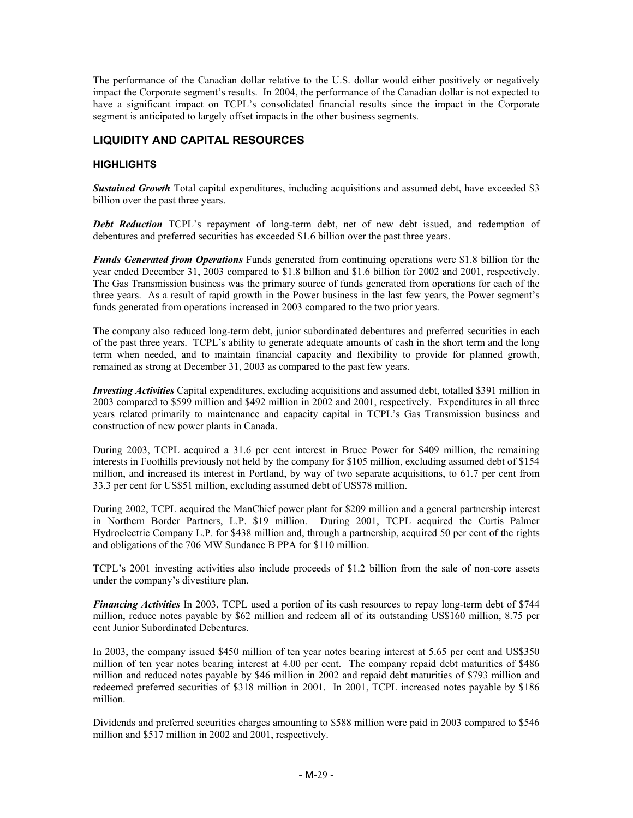The performance of the Canadian dollar relative to the U.S. dollar would either positively or negatively impact the Corporate segment's results. In 2004, the performance of the Canadian dollar is not expected to have a significant impact on TCPL's consolidated financial results since the impact in the Corporate segment is anticipated to largely offset impacts in the other business segments.

# **LIQUIDITY AND CAPITAL RESOURCES**

## **HIGHLIGHTS**

**Sustained Growth** Total capital expenditures, including acquisitions and assumed debt, have exceeded \$3 billion over the past three years.

*Debt Reduction* TCPL's repayment of long-term debt, net of new debt issued, and redemption of debentures and preferred securities has exceeded \$1.6 billion over the past three years.

*Funds Generated from Operations* Funds generated from continuing operations were \$1.8 billion for the year ended December 31, 2003 compared to \$1.8 billion and \$1.6 billion for 2002 and 2001, respectively. The Gas Transmission business was the primary source of funds generated from operations for each of the three years. As a result of rapid growth in the Power business in the last few years, the Power segment's funds generated from operations increased in 2003 compared to the two prior years.

The company also reduced long-term debt, junior subordinated debentures and preferred securities in each of the past three years. TCPL's ability to generate adequate amounts of cash in the short term and the long term when needed, and to maintain financial capacity and flexibility to provide for planned growth, remained as strong at December 31, 2003 as compared to the past few years.

*Investing Activities* Capital expenditures, excluding acquisitions and assumed debt, totalled \$391 million in 2003 compared to \$599 million and \$492 million in 2002 and 2001, respectively. Expenditures in all three years related primarily to maintenance and capacity capital in TCPL's Gas Transmission business and construction of new power plants in Canada.

During 2003, TCPL acquired a 31.6 per cent interest in Bruce Power for \$409 million, the remaining interests in Foothills previously not held by the company for \$105 million, excluding assumed debt of \$154 million, and increased its interest in Portland, by way of two separate acquisitions, to 61.7 per cent from 33.3 per cent for US\$51 million, excluding assumed debt of US\$78 million.

During 2002, TCPL acquired the ManChief power plant for \$209 million and a general partnership interest in Northern Border Partners, L.P. \$19 million. During 2001, TCPL acquired the Curtis Palmer Hydroelectric Company L.P. for \$438 million and, through a partnership, acquired 50 per cent of the rights and obligations of the 706 MW Sundance B PPA for \$110 million.

TCPL's 2001 investing activities also include proceeds of \$1.2 billion from the sale of non-core assets under the company's divestiture plan.

*Financing Activities* In 2003, TCPL used a portion of its cash resources to repay long-term debt of \$744 million, reduce notes payable by \$62 million and redeem all of its outstanding US\$160 million, 8.75 per cent Junior Subordinated Debentures.

In 2003, the company issued \$450 million of ten year notes bearing interest at 5.65 per cent and US\$350 million of ten year notes bearing interest at 4.00 per cent. The company repaid debt maturities of \$486 million and reduced notes payable by \$46 million in 2002 and repaid debt maturities of \$793 million and redeemed preferred securities of \$318 million in 2001. In 2001, TCPL increased notes payable by \$186 million.

Dividends and preferred securities charges amounting to \$588 million were paid in 2003 compared to \$546 million and \$517 million in 2002 and 2001, respectively.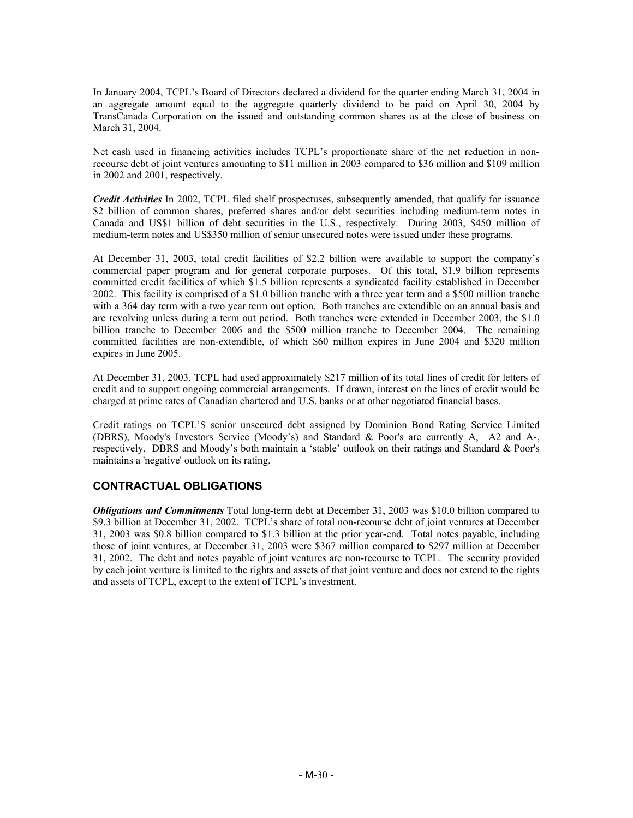In January 2004, TCPL's Board of Directors declared a dividend for the quarter ending March 31, 2004 in an aggregate amount equal to the aggregate quarterly dividend to be paid on April 30, 2004 by TransCanada Corporation on the issued and outstanding common shares as at the close of business on March 31, 2004.

Net cash used in financing activities includes TCPL's proportionate share of the net reduction in nonrecourse debt of joint ventures amounting to \$11 million in 2003 compared to \$36 million and \$109 million in 2002 and 2001, respectively.

*Credit Activities* In 2002, TCPL filed shelf prospectuses, subsequently amended, that qualify for issuance \$2 billion of common shares, preferred shares and/or debt securities including medium-term notes in Canada and US\$1 billion of debt securities in the U.S., respectively. During 2003, \$450 million of medium-term notes and US\$350 million of senior unsecured notes were issued under these programs.

At December 31, 2003, total credit facilities of \$2.2 billion were available to support the company's commercial paper program and for general corporate purposes. Of this total, \$1.9 billion represents committed credit facilities of which \$1.5 billion represents a syndicated facility established in December 2002. This facility is comprised of a \$1.0 billion tranche with a three year term and a \$500 million tranche with a 364 day term with a two year term out option. Both tranches are extendible on an annual basis and are revolving unless during a term out period. Both tranches were extended in December 2003, the \$1.0 billion tranche to December 2006 and the \$500 million tranche to December 2004. The remaining committed facilities are non-extendible, of which \$60 million expires in June 2004 and \$320 million expires in June 2005.

At December 31, 2003, TCPL had used approximately \$217 million of its total lines of credit for letters of credit and to support ongoing commercial arrangements. If drawn, interest on the lines of credit would be charged at prime rates of Canadian chartered and U.S. banks or at other negotiated financial bases.

Credit ratings on TCPL'S senior unsecured debt assigned by Dominion Bond Rating Service Limited (DBRS), Moody's Investors Service (Moody's) and Standard & Poor's are currently A, A2 and A-, respectively. DBRS and Moody's both maintain a 'stable' outlook on their ratings and Standard & Poor's maintains a 'negative' outlook on its rating.

# **CONTRACTUAL OBLIGATIONS**

*Obligations and Commitments* Total long-term debt at December 31, 2003 was \$10.0 billion compared to \$9.3 billion at December 31, 2002. TCPL's share of total non-recourse debt of joint ventures at December 31, 2003 was \$0.8 billion compared to \$1.3 billion at the prior year-end. Total notes payable, including those of joint ventures, at December 31, 2003 were \$367 million compared to \$297 million at December 31, 2002. The debt and notes payable of joint ventures are non-recourse to TCPL. The security provided by each joint venture is limited to the rights and assets of that joint venture and does not extend to the rights and assets of TCPL, except to the extent of TCPL's investment.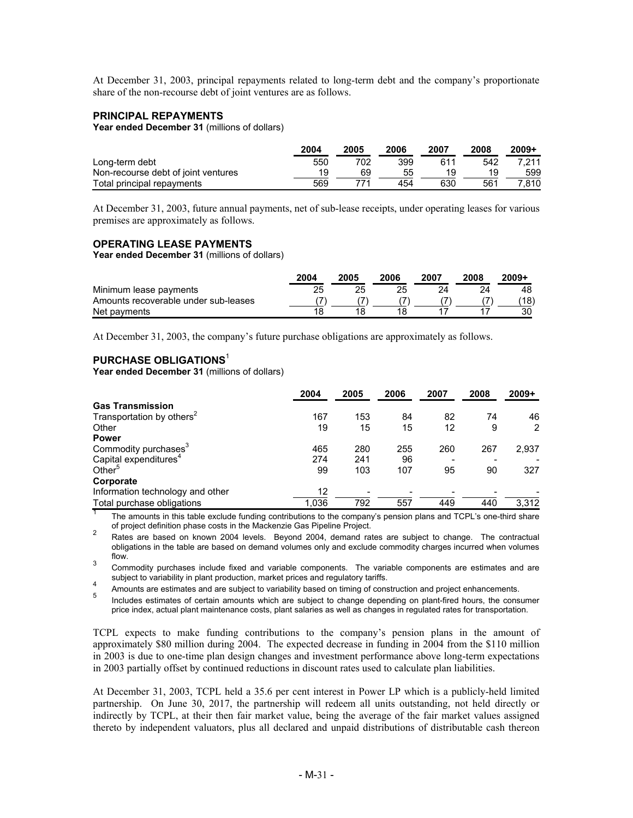At December 31, 2003, principal repayments related to long-term debt and the company's proportionate share of the non-recourse debt of joint ventures are as follows.

#### **PRINCIPAL REPAYMENTS**

Year ended December 31 (millions of dollars)

|                                     | 2004 | 2005 | 2006 | 2007 | 2008 | $2009+$ |
|-------------------------------------|------|------|------|------|------|---------|
| Long-term debt                      | 550  | 702  | 399  | 611  | 542  | 7.211   |
| Non-recourse debt of joint ventures |      | 69   | 55   | 19   | 19   | 599     |
| Total principal repayments          | 569  |      | 454  | 630  | 561  | 7.810   |

At December 31, 2003, future annual payments, net of sub-lease receipts, under operating leases for various premises are approximately as follows.

#### **OPERATING LEASE PAYMENTS**

**Year ended December 31** (millions of dollars)

|                                      | 2004 | 2005 | 2006 | 2007 | 2008 | $2009+$ |
|--------------------------------------|------|------|------|------|------|---------|
| Minimum lease payments               |      |      |      |      |      | 48      |
| Amounts recoverable under sub-leases |      |      |      |      |      | 18)     |
| Net payments                         | 18   |      |      |      |      | 30      |

At December 31, 2003, the company's future purchase obligations are approximately as follows.

### **PURCHASE OBLIGATIONS**<sup>1</sup>

**Year ended December 31** (millions of dollars)

|                                       | 2004  | 2005 | 2006 | 2007 | 2008 | $2009+$ |
|---------------------------------------|-------|------|------|------|------|---------|
| <b>Gas Transmission</b>               |       |      |      |      |      |         |
| Transportation by others <sup>2</sup> | 167   | 153  | 84   | 82   | 74   | 46      |
| Other                                 | 19    | 15   | 15   | 12   | 9    | 2       |
| <b>Power</b>                          |       |      |      |      |      |         |
| Commodity purchases <sup>3</sup>      | 465   | 280  | 255  | 260  | 267  | 2,937   |
| Capital expenditures <sup>4</sup>     | 274   | 241  | 96   |      |      |         |
| Other <sup>5</sup>                    | 99    | 103  | 107  | 95   | 90   | 327     |
| Corporate                             |       |      |      |      |      |         |
| Information technology and other      | 12    |      |      |      |      |         |
| Total purchase obligations            | 1,036 | 792  | 557  | 449  | 440  | 3.312   |

The amounts in this table exclude funding contributions to the company's pension plans and TCPL's one-third share of project definition phase costs in the Mackenzie Gas Pipeline Project.<br><sup>2</sup> Rates are based on known 2004 levels. Beyond 2004, demand rates are subject to change. The contractual

obligations in the table are based on demand volumes only and exclude commodity charges incurred when volumes flow.

3 Commodity purchases include fixed and variable components. The variable components are estimates and are

subject to variability in plant production, market prices and regulatory tariffs.<br>A mounts are estimates and are subject to variability based on timing of construction and project enhancements.<br>Includes estimates of certai

price index, actual plant maintenance costs, plant salaries as well as changes in regulated rates for transportation.

TCPL expects to make funding contributions to the company's pension plans in the amount of approximately \$80 million during 2004. The expected decrease in funding in 2004 from the \$110 million in 2003 is due to one-time plan design changes and investment performance above long-term expectations in 2003 partially offset by continued reductions in discount rates used to calculate plan liabilities.

At December 31, 2003, TCPL held a 35.6 per cent interest in Power LP which is a publicly-held limited partnership. On June 30, 2017, the partnership will redeem all units outstanding, not held directly or indirectly by TCPL, at their then fair market value, being the average of the fair market values assigned thereto by independent valuators, plus all declared and unpaid distributions of distributable cash thereon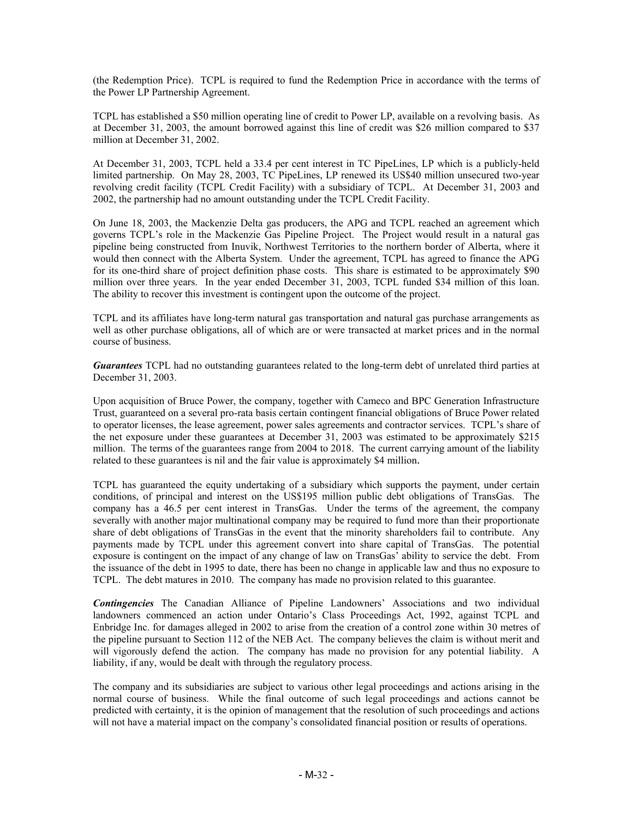(the Redemption Price). TCPL is required to fund the Redemption Price in accordance with the terms of the Power LP Partnership Agreement.

TCPL has established a \$50 million operating line of credit to Power LP, available on a revolving basis. As at December 31, 2003, the amount borrowed against this line of credit was \$26 million compared to \$37 million at December 31, 2002.

At December 31, 2003, TCPL held a 33.4 per cent interest in TC PipeLines, LP which is a publicly-held limited partnership. On May 28, 2003, TC PipeLines, LP renewed its US\$40 million unsecured two-year revolving credit facility (TCPL Credit Facility) with a subsidiary of TCPL. At December 31, 2003 and 2002, the partnership had no amount outstanding under the TCPL Credit Facility.

On June 18, 2003, the Mackenzie Delta gas producers, the APG and TCPL reached an agreement which governs TCPL's role in the Mackenzie Gas Pipeline Project. The Project would result in a natural gas pipeline being constructed from Inuvik, Northwest Territories to the northern border of Alberta, where it would then connect with the Alberta System. Under the agreement, TCPL has agreed to finance the APG for its one-third share of project definition phase costs. This share is estimated to be approximately \$90 million over three years. In the year ended December 31, 2003, TCPL funded \$34 million of this loan. The ability to recover this investment is contingent upon the outcome of the project.

TCPL and its affiliates have long-term natural gas transportation and natural gas purchase arrangements as well as other purchase obligations, all of which are or were transacted at market prices and in the normal course of business.

*Guarantees* TCPL had no outstanding guarantees related to the long-term debt of unrelated third parties at December 31, 2003.

Upon acquisition of Bruce Power, the company, together with Cameco and BPC Generation Infrastructure Trust, guaranteed on a several pro-rata basis certain contingent financial obligations of Bruce Power related to operator licenses, the lease agreement, power sales agreements and contractor services. TCPL's share of the net exposure under these guarantees at December 31, 2003 was estimated to be approximately \$215 million. The terms of the guarantees range from 2004 to 2018. The current carrying amount of the liability related to these guarantees is nil and the fair value is approximately \$4 million.

TCPL has guaranteed the equity undertaking of a subsidiary which supports the payment, under certain conditions, of principal and interest on the US\$195 million public debt obligations of TransGas. The company has a 46.5 per cent interest in TransGas. Under the terms of the agreement, the company severally with another major multinational company may be required to fund more than their proportionate share of debt obligations of TransGas in the event that the minority shareholders fail to contribute. Any payments made by TCPL under this agreement convert into share capital of TransGas. The potential exposure is contingent on the impact of any change of law on TransGas' ability to service the debt. From the issuance of the debt in 1995 to date, there has been no change in applicable law and thus no exposure to TCPL. The debt matures in 2010. The company has made no provision related to this guarantee.

*Contingencies* The Canadian Alliance of Pipeline Landowners' Associations and two individual landowners commenced an action under Ontario's Class Proceedings Act, 1992, against TCPL and Enbridge Inc. for damages alleged in 2002 to arise from the creation of a control zone within 30 metres of the pipeline pursuant to Section 112 of the NEB Act. The company believes the claim is without merit and will vigorously defend the action. The company has made no provision for any potential liability. A liability, if any, would be dealt with through the regulatory process.

The company and its subsidiaries are subject to various other legal proceedings and actions arising in the normal course of business. While the final outcome of such legal proceedings and actions cannot be predicted with certainty, it is the opinion of management that the resolution of such proceedings and actions will not have a material impact on the company's consolidated financial position or results of operations.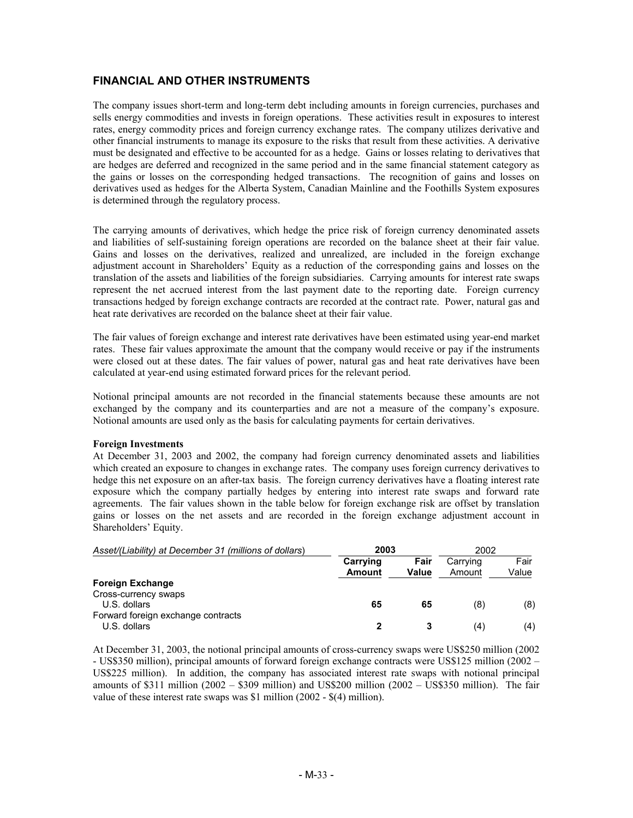# **FINANCIAL AND OTHER INSTRUMENTS**

The company issues short-term and long-term debt including amounts in foreign currencies, purchases and sells energy commodities and invests in foreign operations. These activities result in exposures to interest rates, energy commodity prices and foreign currency exchange rates. The company utilizes derivative and other financial instruments to manage its exposure to the risks that result from these activities. A derivative must be designated and effective to be accounted for as a hedge. Gains or losses relating to derivatives that are hedges are deferred and recognized in the same period and in the same financial statement category as the gains or losses on the corresponding hedged transactions. The recognition of gains and losses on derivatives used as hedges for the Alberta System, Canadian Mainline and the Foothills System exposures is determined through the regulatory process.

The carrying amounts of derivatives, which hedge the price risk of foreign currency denominated assets and liabilities of self-sustaining foreign operations are recorded on the balance sheet at their fair value. Gains and losses on the derivatives, realized and unrealized, are included in the foreign exchange adjustment account in Shareholders' Equity as a reduction of the corresponding gains and losses on the translation of the assets and liabilities of the foreign subsidiaries. Carrying amounts for interest rate swaps represent the net accrued interest from the last payment date to the reporting date. Foreign currency transactions hedged by foreign exchange contracts are recorded at the contract rate. Power, natural gas and heat rate derivatives are recorded on the balance sheet at their fair value.

The fair values of foreign exchange and interest rate derivatives have been estimated using year-end market rates. These fair values approximate the amount that the company would receive or pay if the instruments were closed out at these dates. The fair values of power, natural gas and heat rate derivatives have been calculated at year-end using estimated forward prices for the relevant period.

Notional principal amounts are not recorded in the financial statements because these amounts are not exchanged by the company and its counterparties and are not a measure of the company's exposure. Notional amounts are used only as the basis for calculating payments for certain derivatives.

#### **Foreign Investments**

At December 31, 2003 and 2002, the company had foreign currency denominated assets and liabilities which created an exposure to changes in exchange rates. The company uses foreign currency derivatives to hedge this net exposure on an after-tax basis. The foreign currency derivatives have a floating interest rate exposure which the company partially hedges by entering into interest rate swaps and forward rate agreements. The fair values shown in the table below for foreign exchange risk are offset by translation gains or losses on the net assets and are recorded in the foreign exchange adjustment account in Shareholders' Equity.

| Asset/(Liability) at December 31 (millions of dollars) | 2003               |                      | 2002               |               |
|--------------------------------------------------------|--------------------|----------------------|--------------------|---------------|
|                                                        | Carrying<br>Amount | Fair<br><b>Value</b> | Carrying<br>Amount | Fair<br>Value |
| <b>Foreign Exchange</b>                                |                    |                      |                    |               |
| Cross-currency swaps                                   |                    |                      |                    |               |
| U.S. dollars                                           | 65                 | 65                   | (8)                | (8)           |
| Forward foreign exchange contracts                     |                    |                      |                    |               |
| U.S. dollars                                           |                    |                      | (4)                | (4)           |

At December 31, 2003, the notional principal amounts of cross-currency swaps were US\$250 million (2002 - US\$350 million), principal amounts of forward foreign exchange contracts were US\$125 million (2002 – US\$225 million). In addition, the company has associated interest rate swaps with notional principal amounts of  $$311$  million  $(2002 - $309$  million) and US\$200 million  $(2002 - US$350$  million). The fair value of these interest rate swaps was \$1 million (2002 - \$(4) million).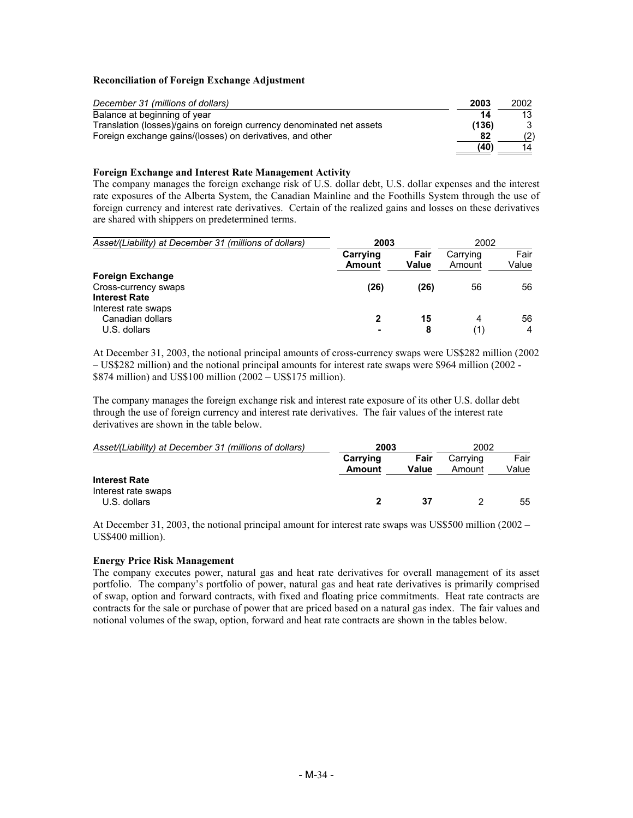#### **Reconciliation of Foreign Exchange Adjustment**

| December 31 (millions of dollars)                                     | 2003  | 2002 |
|-----------------------------------------------------------------------|-------|------|
| Balance at beginning of year                                          | 14    | 13   |
| Translation (losses)/gains on foreign currency denominated net assets | (136) |      |
| Foreign exchange gains/(losses) on derivatives, and other             | 82    | (2)  |
|                                                                       | (40)  | 14   |

#### **Foreign Exchange and Interest Rate Management Activity**

The company manages the foreign exchange risk of U.S. dollar debt, U.S. dollar expenses and the interest rate exposures of the Alberta System, the Canadian Mainline and the Foothills System through the use of foreign currency and interest rate derivatives. Certain of the realized gains and losses on these derivatives are shared with shippers on predetermined terms.

| Asset/(Liability) at December 31 (millions of dollars)                  | 2003               |               | 2002               |               |
|-------------------------------------------------------------------------|--------------------|---------------|--------------------|---------------|
|                                                                         | Carrying<br>Amount | Fair<br>Value | Carrying<br>Amount | Fair<br>Value |
| <b>Foreign Exchange</b><br>Cross-currency swaps<br><b>Interest Rate</b> | (26)               | (26)          | 56                 | 56            |
| Interest rate swaps<br>Canadian dollars<br>U.S. dollars                 | 2<br>-             | 15<br>8       | 4<br>(1)           | 56<br>4       |

At December 31, 2003, the notional principal amounts of cross-currency swaps were US\$282 million (2002 – US\$282 million) and the notional principal amounts for interest rate swaps were \$964 million (2002 - \$874 million) and US\$100 million (2002 – US\$175 million).

The company manages the foreign exchange risk and interest rate exposure of its other U.S. dollar debt through the use of foreign currency and interest rate derivatives. The fair values of the interest rate derivatives are shown in the table below.

| Asset/(Liability) at December 31 (millions of dollars) | 2003          |       | 2002     |       |
|--------------------------------------------------------|---------------|-------|----------|-------|
|                                                        | Carrying      | Fair  | Carrying | Fair  |
|                                                        | <b>Amount</b> | Value | Amount   | Value |
| <b>Interest Rate</b>                                   |               |       |          |       |
| Interest rate swaps                                    |               |       |          |       |
| U.S. dollars                                           |               | 37    |          | 55    |

At December 31, 2003, the notional principal amount for interest rate swaps was US\$500 million (2002 – US\$400 million).

#### **Energy Price Risk Management**

The company executes power, natural gas and heat rate derivatives for overall management of its asset portfolio. The company's portfolio of power, natural gas and heat rate derivatives is primarily comprised of swap, option and forward contracts, with fixed and floating price commitments. Heat rate contracts are contracts for the sale or purchase of power that are priced based on a natural gas index. The fair values and notional volumes of the swap, option, forward and heat rate contracts are shown in the tables below.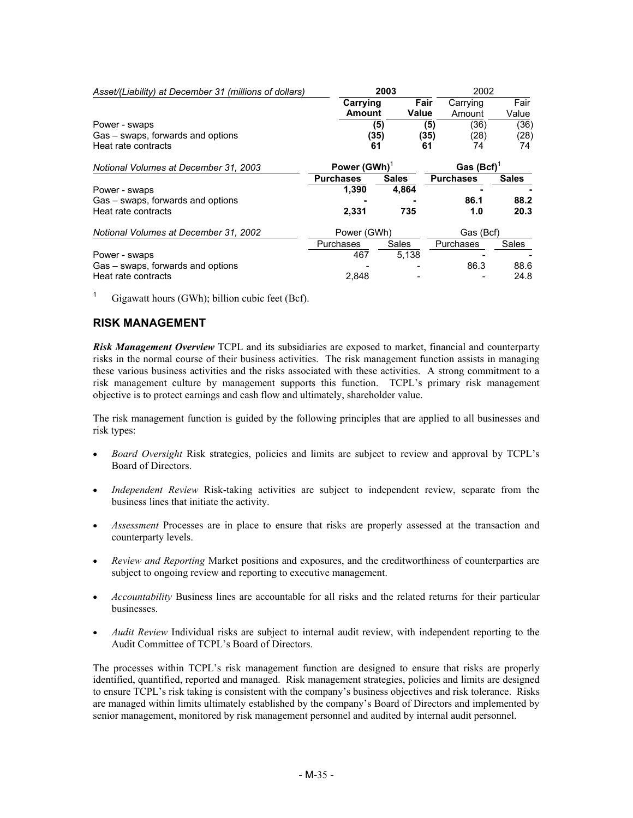| Asset/(Liability) at December 31 (millions of dollars) |                  | 2003         |                  | 2002         |  |
|--------------------------------------------------------|------------------|--------------|------------------|--------------|--|
|                                                        | Carrying         | Fair         | Carrying         | Fair         |  |
|                                                        | Amount           | <b>Value</b> | Amount           | Value        |  |
| Power - swaps                                          |                  | (5)          | (36)<br>(5)      | (36)         |  |
| Gas – swaps, forwards and options                      |                  | (35)         | (35)<br>(28)     | (28)         |  |
| Heat rate contracts                                    |                  | 61           | 61<br>74         | 74           |  |
| Notional Volumes at December 31, 2003                  | Power (GWh)      |              | Gas (Bcf)        |              |  |
|                                                        | <b>Purchases</b> | <b>Sales</b> | <b>Purchases</b> | <b>Sales</b> |  |
| Power - swaps                                          | 1,390            | 4,864        |                  |              |  |
| Gas – swaps, forwards and options                      |                  |              | 86.1             | 88.2         |  |
| Heat rate contracts                                    | 2,331            | 735          | 1.0              | 20.3         |  |
| Notional Volumes at December 31, 2002                  |                  | Power (GWh)  |                  | Gas (Bcf)    |  |
|                                                        | Purchases        | Sales        | Purchases        | Sales        |  |
| Power - swaps                                          | 467              | 5.138        |                  |              |  |
| Gas - swaps, forwards and options                      |                  |              | 86.3             | 88.6         |  |
| Heat rate contracts                                    | 2.848            |              |                  | 24.8         |  |

<sup>1</sup> Gigawatt hours (GWh); billion cubic feet (Bcf).

# **RISK MANAGEMENT**

*Risk Management Overview* TCPL and its subsidiaries are exposed to market, financial and counterparty risks in the normal course of their business activities. The risk management function assists in managing these various business activities and the risks associated with these activities. A strong commitment to a risk management culture by management supports this function. TCPL's primary risk management objective is to protect earnings and cash flow and ultimately, shareholder value.

The risk management function is guided by the following principles that are applied to all businesses and risk types:

- *Board Oversight* Risk strategies, policies and limits are subject to review and approval by TCPL's Board of Directors.
- *Independent Review* Risk-taking activities are subject to independent review, separate from the business lines that initiate the activity.
- *Assessment* Processes are in place to ensure that risks are properly assessed at the transaction and counterparty levels.
- *Review and Reporting* Market positions and exposures, and the creditworthiness of counterparties are subject to ongoing review and reporting to executive management.
- *Accountability* Business lines are accountable for all risks and the related returns for their particular businesses.
- *Audit Review* Individual risks are subject to internal audit review, with independent reporting to the Audit Committee of TCPL's Board of Directors.

The processes within TCPL's risk management function are designed to ensure that risks are properly identified, quantified, reported and managed. Risk management strategies, policies and limits are designed to ensure TCPL's risk taking is consistent with the company's business objectives and risk tolerance. Risks are managed within limits ultimately established by the company's Board of Directors and implemented by senior management, monitored by risk management personnel and audited by internal audit personnel.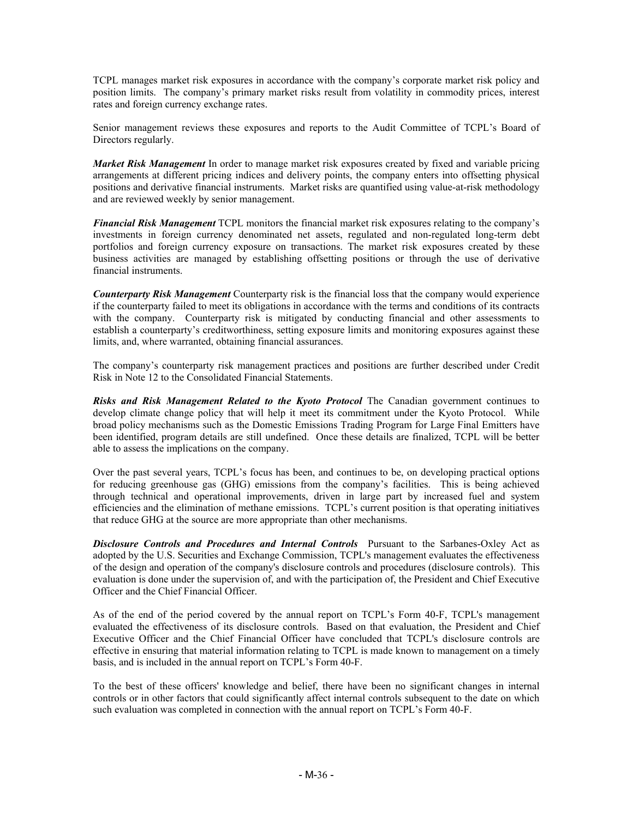TCPL manages market risk exposures in accordance with the company's corporate market risk policy and position limits. The company's primary market risks result from volatility in commodity prices, interest rates and foreign currency exchange rates.

Senior management reviews these exposures and reports to the Audit Committee of TCPL's Board of Directors regularly.

*Market Risk Management* In order to manage market risk exposures created by fixed and variable pricing arrangements at different pricing indices and delivery points, the company enters into offsetting physical positions and derivative financial instruments. Market risks are quantified using value-at-risk methodology and are reviewed weekly by senior management.

*Financial Risk Management* TCPL monitors the financial market risk exposures relating to the company's investments in foreign currency denominated net assets, regulated and non-regulated long-term debt portfolios and foreign currency exposure on transactions. The market risk exposures created by these business activities are managed by establishing offsetting positions or through the use of derivative financial instruments.

*Counterparty Risk Management* Counterparty risk is the financial loss that the company would experience if the counterparty failed to meet its obligations in accordance with the terms and conditions of its contracts with the company. Counterparty risk is mitigated by conducting financial and other assessments to establish a counterparty's creditworthiness, setting exposure limits and monitoring exposures against these limits, and, where warranted, obtaining financial assurances.

The company's counterparty risk management practices and positions are further described under Credit Risk in Note 12 to the Consolidated Financial Statements.

**Risks and Risk Management Related to the Kyoto Protocol** The Canadian government continues to develop climate change policy that will help it meet its commitment under the Kyoto Protocol. While broad policy mechanisms such as the Domestic Emissions Trading Program for Large Final Emitters have been identified, program details are still undefined. Once these details are finalized, TCPL will be better able to assess the implications on the company.

Over the past several years, TCPL's focus has been, and continues to be, on developing practical options for reducing greenhouse gas (GHG) emissions from the company's facilities. This is being achieved through technical and operational improvements, driven in large part by increased fuel and system efficiencies and the elimination of methane emissions. TCPL's current position is that operating initiatives that reduce GHG at the source are more appropriate than other mechanisms.

**Disclosure Controls and Procedures and Internal Controls** Pursuant to the Sarbanes-Oxley Act as adopted by the U.S. Securities and Exchange Commission, TCPL's management evaluates the effectiveness of the design and operation of the company's disclosure controls and procedures (disclosure controls). This evaluation is done under the supervision of, and with the participation of, the President and Chief Executive Officer and the Chief Financial Officer.

As of the end of the period covered by the annual report on TCPL's Form 40-F, TCPL's management evaluated the effectiveness of its disclosure controls. Based on that evaluation, the President and Chief Executive Officer and the Chief Financial Officer have concluded that TCPL's disclosure controls are effective in ensuring that material information relating to TCPL is made known to management on a timely basis, and is included in the annual report on TCPL's Form 40-F.

To the best of these officers' knowledge and belief, there have been no significant changes in internal controls or in other factors that could significantly affect internal controls subsequent to the date on which such evaluation was completed in connection with the annual report on TCPL's Form 40-F.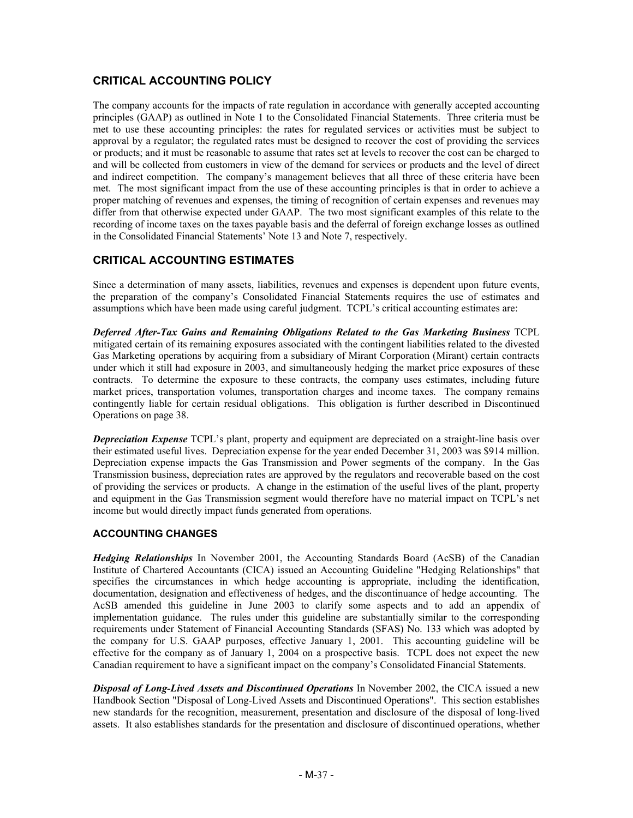# **CRITICAL ACCOUNTING POLICY**

The company accounts for the impacts of rate regulation in accordance with generally accepted accounting principles (GAAP) as outlined in Note 1 to the Consolidated Financial Statements. Three criteria must be met to use these accounting principles: the rates for regulated services or activities must be subject to approval by a regulator; the regulated rates must be designed to recover the cost of providing the services or products; and it must be reasonable to assume that rates set at levels to recover the cost can be charged to and will be collected from customers in view of the demand for services or products and the level of direct and indirect competition. The company's management believes that all three of these criteria have been met. The most significant impact from the use of these accounting principles is that in order to achieve a proper matching of revenues and expenses, the timing of recognition of certain expenses and revenues may differ from that otherwise expected under GAAP. The two most significant examples of this relate to the recording of income taxes on the taxes payable basis and the deferral of foreign exchange losses as outlined in the Consolidated Financial Statements' Note 13 and Note 7, respectively.

## **CRITICAL ACCOUNTING ESTIMATES**

Since a determination of many assets, liabilities, revenues and expenses is dependent upon future events, the preparation of the company's Consolidated Financial Statements requires the use of estimates and assumptions which have been made using careful judgment. TCPL's critical accounting estimates are:

*Deferred After-Tax Gains and Remaining Obligations Related to the Gas Marketing Business* TCPL mitigated certain of its remaining exposures associated with the contingent liabilities related to the divested Gas Marketing operations by acquiring from a subsidiary of Mirant Corporation (Mirant) certain contracts under which it still had exposure in 2003, and simultaneously hedging the market price exposures of these contracts. To determine the exposure to these contracts, the company uses estimates, including future market prices, transportation volumes, transportation charges and income taxes. The company remains contingently liable for certain residual obligations. This obligation is further described in Discontinued Operations on page 38.

*Depreciation Expense* TCPL's plant, property and equipment are depreciated on a straight-line basis over their estimated useful lives. Depreciation expense for the year ended December 31, 2003 was \$914 million. Depreciation expense impacts the Gas Transmission and Power segments of the company. In the Gas Transmission business, depreciation rates are approved by the regulators and recoverable based on the cost of providing the services or products. A change in the estimation of the useful lives of the plant, property and equipment in the Gas Transmission segment would therefore have no material impact on TCPL's net income but would directly impact funds generated from operations.

#### **ACCOUNTING CHANGES**

*Hedging Relationships* In November 2001, the Accounting Standards Board (AcSB) of the Canadian Institute of Chartered Accountants (CICA) issued an Accounting Guideline "Hedging Relationships" that specifies the circumstances in which hedge accounting is appropriate, including the identification, documentation, designation and effectiveness of hedges, and the discontinuance of hedge accounting. The AcSB amended this guideline in June 2003 to clarify some aspects and to add an appendix of implementation guidance. The rules under this guideline are substantially similar to the corresponding requirements under Statement of Financial Accounting Standards (SFAS) No. 133 which was adopted by the company for U.S. GAAP purposes, effective January 1, 2001. This accounting guideline will be effective for the company as of January 1, 2004 on a prospective basis. TCPL does not expect the new Canadian requirement to have a significant impact on the company's Consolidated Financial Statements.

*Disposal of Long-Lived Assets and Discontinued Operations* In November 2002, the CICA issued a new Handbook Section "Disposal of Long-Lived Assets and Discontinued Operations". This section establishes new standards for the recognition, measurement, presentation and disclosure of the disposal of long-lived assets. It also establishes standards for the presentation and disclosure of discontinued operations, whether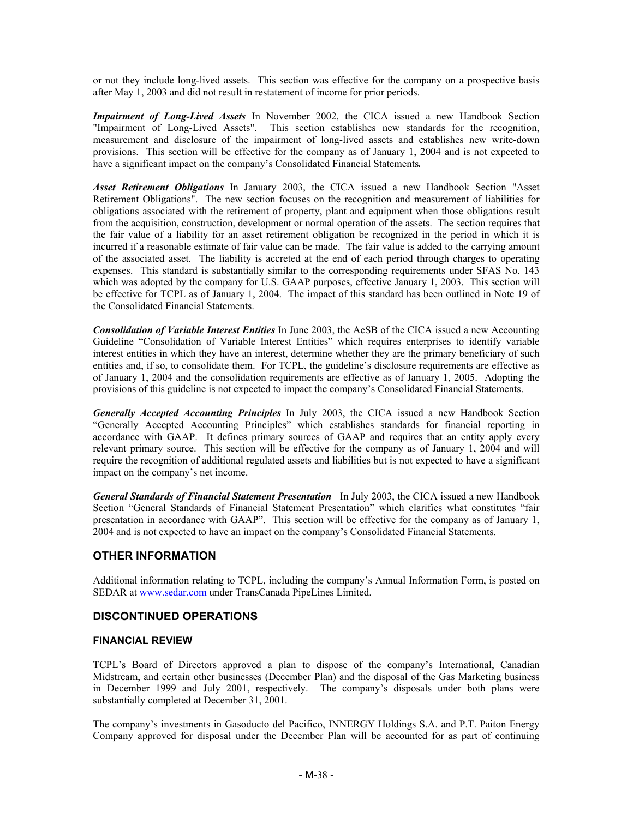or not they include long-lived assets. This section was effective for the company on a prospective basis after May 1, 2003 and did not result in restatement of income for prior periods.

*Impairment of Long-Lived Assets* In November 2002, the CICA issued a new Handbook Section "Impairment of Long-Lived Assets". This section establishes new standards for the recognition, measurement and disclosure of the impairment of long-lived assets and establishes new write-down provisions. This section will be effective for the company as of January 1, 2004 and is not expected to have a significant impact on the company's Consolidated Financial Statements*.*

*Asset Retirement Obligations* In January 2003, the CICA issued a new Handbook Section "Asset Retirement Obligations". The new section focuses on the recognition and measurement of liabilities for obligations associated with the retirement of property, plant and equipment when those obligations result from the acquisition, construction, development or normal operation of the assets. The section requires that the fair value of a liability for an asset retirement obligation be recognized in the period in which it is incurred if a reasonable estimate of fair value can be made. The fair value is added to the carrying amount of the associated asset. The liability is accreted at the end of each period through charges to operating expenses. This standard is substantially similar to the corresponding requirements under SFAS No. 143 which was adopted by the company for U.S. GAAP purposes, effective January 1, 2003. This section will be effective for TCPL as of January 1, 2004. The impact of this standard has been outlined in Note 19 of the Consolidated Financial Statements.

*Consolidation of Variable Interest Entities* In June 2003, the AcSB of the CICA issued a new Accounting Guideline "Consolidation of Variable Interest Entities" which requires enterprises to identify variable interest entities in which they have an interest, determine whether they are the primary beneficiary of such entities and, if so, to consolidate them. For TCPL, the guideline's disclosure requirements are effective as of January 1, 2004 and the consolidation requirements are effective as of January 1, 2005. Adopting the provisions of this guideline is not expected to impact the company's Consolidated Financial Statements.

*Generally Accepted Accounting Principles* In July 2003, the CICA issued a new Handbook Section "Generally Accepted Accounting Principles" which establishes standards for financial reporting in accordance with GAAP. It defines primary sources of GAAP and requires that an entity apply every relevant primary source. This section will be effective for the company as of January 1, 2004 and will require the recognition of additional regulated assets and liabilities but is not expected to have a significant impact on the company's net income.

*General Standards of Financial Statement Presentation* In July 2003, the CICA issued a new Handbook Section "General Standards of Financial Statement Presentation" which clarifies what constitutes "fair presentation in accordance with GAAP". This section will be effective for the company as of January 1, 2004 and is not expected to have an impact on the company's Consolidated Financial Statements.

# **OTHER INFORMATION**

Additional information relating to TCPL, including the company's Annual Information Form, is posted on SEDAR at www.sedar.com under TransCanada PipeLines Limited.

## **DISCONTINUED OPERATIONS**

#### **FINANCIAL REVIEW**

TCPL's Board of Directors approved a plan to dispose of the company's International, Canadian Midstream, and certain other businesses (December Plan) and the disposal of the Gas Marketing business in December 1999 and July 2001, respectively. The company's disposals under both plans were substantially completed at December 31, 2001.

The company's investments in Gasoducto del Pacifico, INNERGY Holdings S.A. and P.T. Paiton Energy Company approved for disposal under the December Plan will be accounted for as part of continuing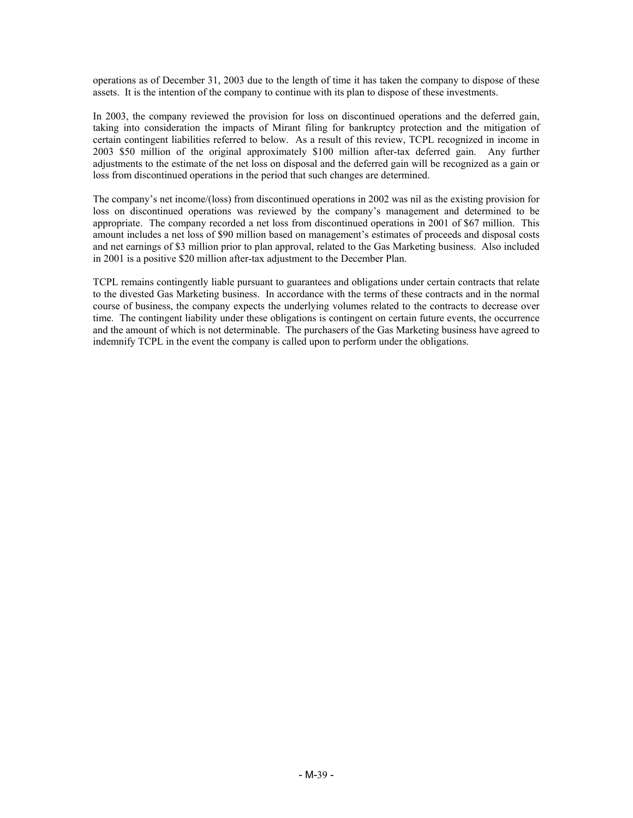operations as of December 31, 2003 due to the length of time it has taken the company to dispose of these assets. It is the intention of the company to continue with its plan to dispose of these investments.

In 2003, the company reviewed the provision for loss on discontinued operations and the deferred gain, taking into consideration the impacts of Mirant filing for bankruptcy protection and the mitigation of certain contingent liabilities referred to below. As a result of this review, TCPL recognized in income in 2003 \$50 million of the original approximately \$100 million after-tax deferred gain. Any further adjustments to the estimate of the net loss on disposal and the deferred gain will be recognized as a gain or loss from discontinued operations in the period that such changes are determined.

The company's net income/(loss) from discontinued operations in 2002 was nil as the existing provision for loss on discontinued operations was reviewed by the company's management and determined to be appropriate. The company recorded a net loss from discontinued operations in 2001 of \$67 million. This amount includes a net loss of \$90 million based on management's estimates of proceeds and disposal costs and net earnings of \$3 million prior to plan approval, related to the Gas Marketing business. Also included in 2001 is a positive \$20 million after-tax adjustment to the December Plan.

TCPL remains contingently liable pursuant to guarantees and obligations under certain contracts that relate to the divested Gas Marketing business. In accordance with the terms of these contracts and in the normal course of business, the company expects the underlying volumes related to the contracts to decrease over time. The contingent liability under these obligations is contingent on certain future events, the occurrence and the amount of which is not determinable. The purchasers of the Gas Marketing business have agreed to indemnify TCPL in the event the company is called upon to perform under the obligations.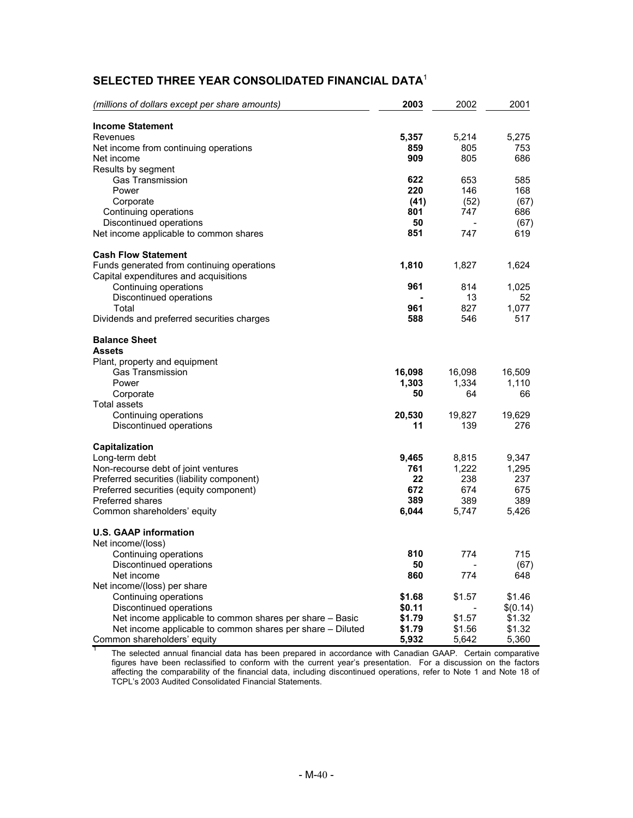# **SELECTED THREE YEAR CONSOLIDATED FINANCIAL DATA**<sup>1</sup>

| (millions of dollars except per share amounts)             | 2003   | 2002   | 2001     |
|------------------------------------------------------------|--------|--------|----------|
| <b>Income Statement</b>                                    |        |        |          |
| Revenues                                                   | 5,357  | 5,214  | 5,275    |
| Net income from continuing operations                      | 859    | 805    | 753      |
| Net income                                                 | 909    | 805    | 686      |
| Results by segment                                         |        |        |          |
| <b>Gas Transmission</b>                                    | 622    | 653    | 585      |
| Power                                                      | 220    | 146    | 168      |
| Corporate                                                  | (41)   | (52)   | (67)     |
| Continuing operations                                      | 801    | 747    | 686      |
| Discontinued operations                                    | 50     |        | (67)     |
| Net income applicable to common shares                     | 851    | 747    | 619      |
| <b>Cash Flow Statement</b>                                 |        |        |          |
| Funds generated from continuing operations                 | 1,810  | 1,827  | 1,624    |
| Capital expenditures and acquisitions                      |        |        |          |
| Continuing operations                                      | 961    | 814    | 1,025    |
| Discontinued operations                                    |        | 13     | 52       |
| Total                                                      | 961    | 827    | 1,077    |
| Dividends and preferred securities charges                 | 588    | 546    | 517      |
| <b>Balance Sheet</b>                                       |        |        |          |
| Assets                                                     |        |        |          |
| Plant, property and equipment                              |        |        |          |
| <b>Gas Transmission</b>                                    | 16,098 | 16,098 | 16,509   |
| Power                                                      | 1,303  | 1,334  | 1,110    |
| Corporate                                                  | 50     | 64     | 66       |
| Total assets                                               |        |        |          |
| Continuing operations                                      | 20,530 | 19,827 | 19,629   |
| Discontinued operations                                    | 11     | 139    | 276      |
| <b>Capitalization</b>                                      |        |        |          |
| Long-term debt                                             | 9,465  | 8,815  | 9,347    |
| Non-recourse debt of joint ventures                        | 761    | 1,222  | 1,295    |
| Preferred securities (liability component)                 | 22     | 238    | 237      |
| Preferred securities (equity component)                    | 672    | 674    | 675      |
| <b>Preferred shares</b>                                    | 389    | 389    | 389      |
| Common shareholders' equity                                | 6,044  | 5,747  | 5,426    |
| <b>U.S. GAAP information</b>                               |        |        |          |
| Net income/(loss)                                          |        |        |          |
| Continuing operations                                      | 810    | 774    | 715      |
| Discontinued operations                                    | 50     |        | (67)     |
| Net income                                                 | 860    | 774    | 648      |
| Net income/(loss) per share                                |        |        |          |
| Continuing operations                                      | \$1.68 | \$1.57 | \$1.46   |
| Discontinued operations                                    | \$0.11 |        | \$(0.14) |
| Net income applicable to common shares per share - Basic   | \$1.79 | \$1.57 | \$1.32   |
| Net income applicable to common shares per share - Diluted | \$1.79 | \$1.56 | \$1.32   |
| Common shareholders' equity                                | 5,932  | 5,642  | 5,360    |

<sup>1</sup> The selected annual financial data has been prepared in accordance with Canadian GAAP. Certain comparative figures have been reclassified to conform with the current year's presentation. For a discussion on the factors affecting the comparability of the financial data, including discontinued operations, refer to Note 1 and Note 18 of TCPL's 2003 Audited Consolidated Financial Statements.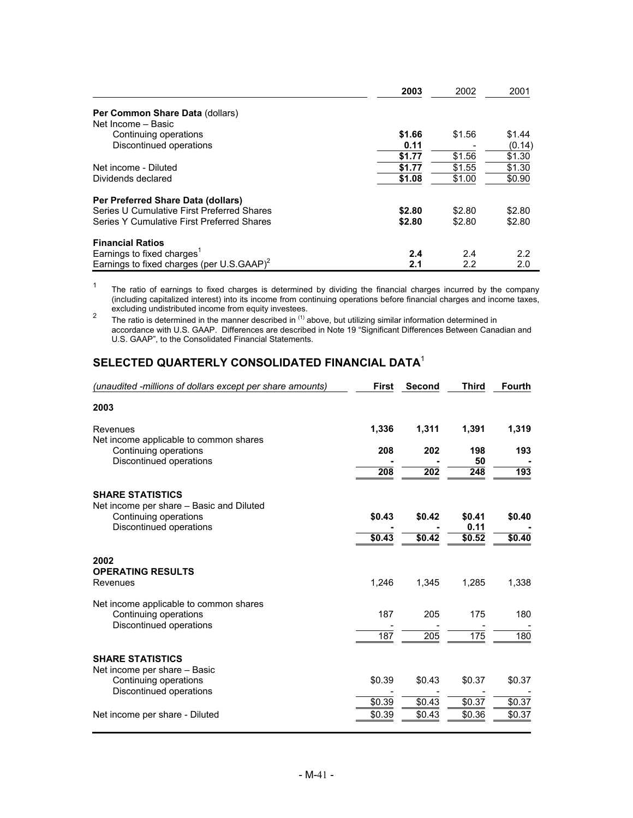|                                                       | 2003   | 2002   | 2001   |
|-------------------------------------------------------|--------|--------|--------|
| Per Common Share Data (dollars)<br>Net Income - Basic |        |        |        |
| Continuing operations                                 | \$1.66 | \$1.56 | \$1.44 |
| Discontinued operations                               | 0.11   |        | (0.14) |
|                                                       | \$1.77 | \$1.56 | \$1.30 |
| Net income - Diluted                                  | \$1.77 | \$1.55 | \$1.30 |
| Dividends declared                                    | \$1.08 | \$1.00 | \$0.90 |
| Per Preferred Share Data (dollars)                    |        |        |        |
| Series U Cumulative First Preferred Shares            | \$2.80 | \$2.80 | \$2.80 |
| Series Y Cumulative First Preferred Shares            | \$2.80 | \$2.80 | \$2.80 |
| <b>Financial Ratios</b>                               |        |        |        |
| Earnings to fixed charges <sup>1</sup>                | 2.4    | 2.4    | 2.2    |
| Earnings to fixed charges (per U.S.GAAP) <sup>2</sup> | 2.1    | 2.2    | 2.0    |

<sup>1</sup> The ratio of earnings to fixed charges is determined by dividing the financial charges incurred by the company (including capitalized interest) into its income from continuing operations before financial charges and income taxes,

excluding undistributed income from equity investees.<br><sup>2</sup> The ratio is determined in the manner described in <sup>(1)</sup> above, but utilizing similar information determined in accordance with U.S. GAAP. Differences are described in Note 19 "Significant Differences Between Canadian and U.S. GAAP", to the Consolidated Financial Statements.

# **SELECTED QUARTERLY CONSOLIDATED FINANCIAL DATA**<sup>1</sup>

| (unaudited -millions of dollars except per share amounts)                                  | <b>First</b> | Second | <b>Third</b>   | <b>Fourth</b> |
|--------------------------------------------------------------------------------------------|--------------|--------|----------------|---------------|
| 2003                                                                                       |              |        |                |               |
| Revenues                                                                                   | 1,336        | 1,311  | 1,391          | 1,319         |
| Net income applicable to common shares<br>Continuing operations                            | 208          | 202    | 198            | 193           |
| Discontinued operations                                                                    | 208          | 202    | 50<br>248      | 193           |
| <b>SHARE STATISTICS</b>                                                                    |              |        |                |               |
| Net income per share - Basic and Diluted<br>Continuing operations                          | \$0.43       | \$0.42 | \$0.41         | \$0.40        |
| Discontinued operations                                                                    | \$0.43       | \$0.42 | 0.11<br>\$0.52 | \$0.40        |
| 2002                                                                                       |              |        |                |               |
| <b>OPERATING RESULTS</b><br>Revenues                                                       | 1,246        | 1,345  | 1,285          | 1,338         |
| Net income applicable to common shares<br>Continuing operations<br>Discontinued operations | 187          | 205    | 175            | 180           |
|                                                                                            | 187          | 205    | 175            | 180           |
| <b>SHARE STATISTICS</b><br>Net income per share - Basic                                    |              |        |                |               |
| Continuing operations<br>Discontinued operations                                           | \$0.39       | \$0.43 | \$0.37         | \$0.37        |
|                                                                                            | \$0.39       | \$0.43 | \$0.37         | \$0.37        |
| Net income per share - Diluted                                                             | \$0.39       | \$0.43 | \$0.36         | \$0.37        |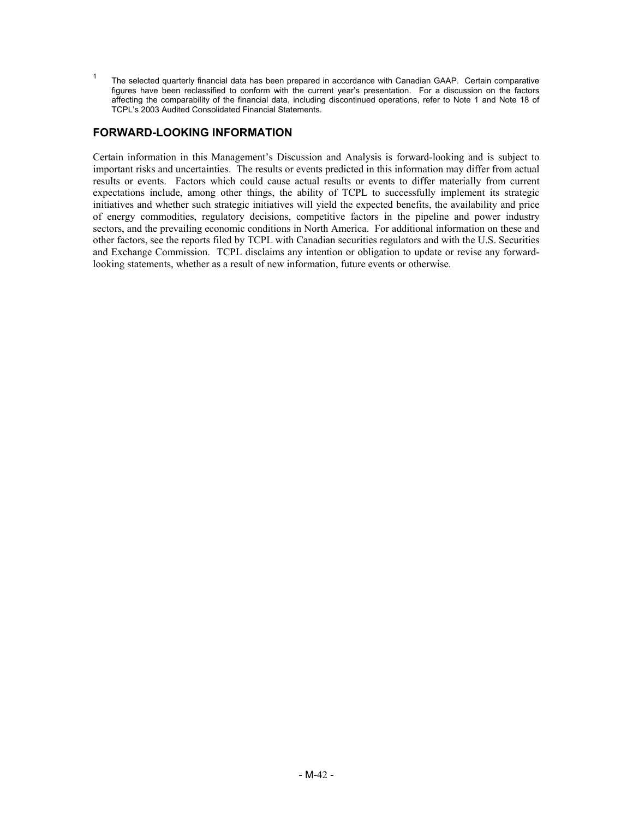<sup>1</sup> The selected quarterly financial data has been prepared in accordance with Canadian GAAP. Certain comparative figures have been reclassified to conform with the current year's presentation. For a discussion on the factors affecting the comparability of the financial data, including discontinued operations, refer to Note 1 and Note 18 of TCPL's 2003 Audited Consolidated Financial Statements.

# **FORWARD-LOOKING INFORMATION**

Certain information in this Management's Discussion and Analysis is forward-looking and is subject to important risks and uncertainties. The results or events predicted in this information may differ from actual results or events. Factors which could cause actual results or events to differ materially from current expectations include, among other things, the ability of TCPL to successfully implement its strategic initiatives and whether such strategic initiatives will yield the expected benefits, the availability and price of energy commodities, regulatory decisions, competitive factors in the pipeline and power industry sectors, and the prevailing economic conditions in North America. For additional information on these and other factors, see the reports filed by TCPL with Canadian securities regulators and with the U.S. Securities and Exchange Commission. TCPL disclaims any intention or obligation to update or revise any forwardlooking statements, whether as a result of new information, future events or otherwise.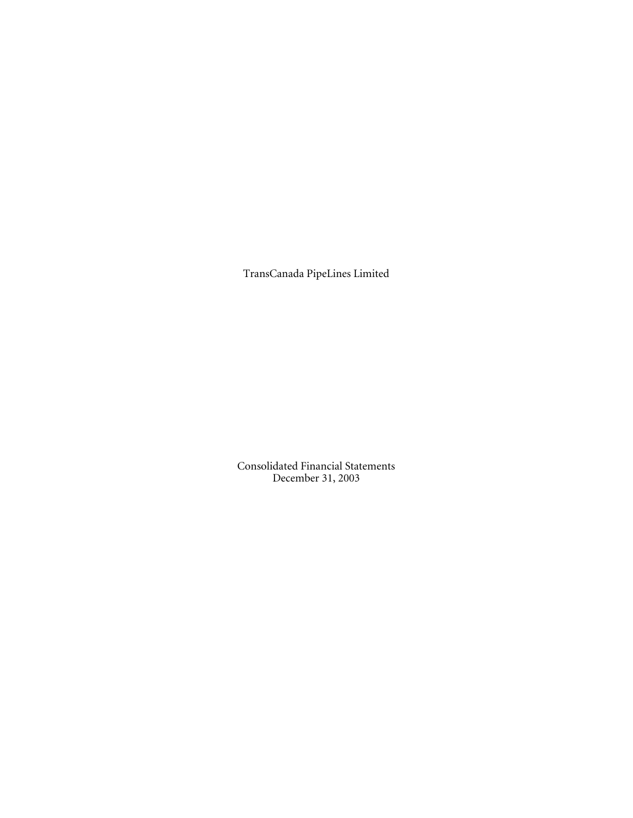TransCanada PipeLines Limited

Consolidated Financial Statements December 31, 2003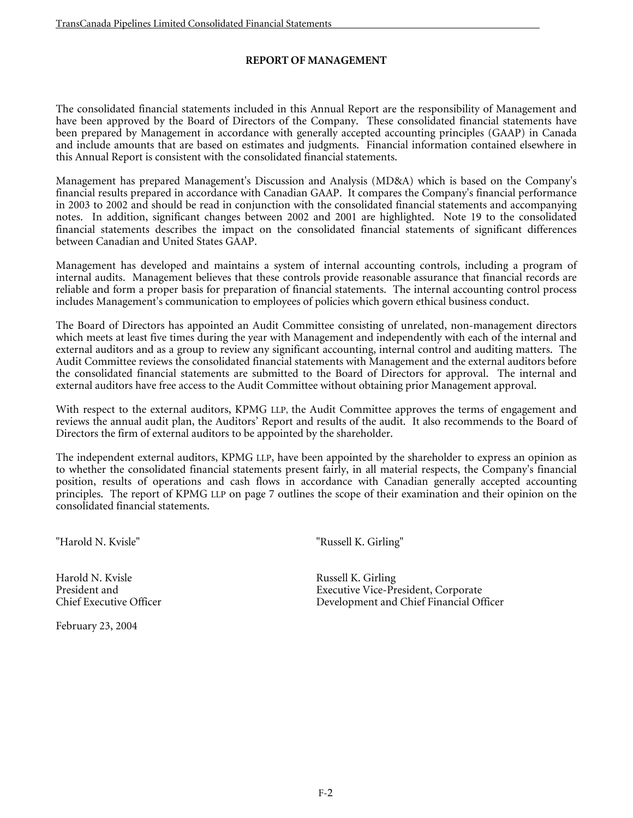# **REPORT OF MANAGEMENT**

The consolidated financial statements included in this Annual Report are the responsibility of Management and have been approved by the Board of Directors of the Company. These consolidated financial statements have been prepared by Management in accordance with generally accepted accounting principles (GAAP) in Canada and include amounts that are based on estimates and judgments. Financial information contained elsewhere in this Annual Report is consistent with the consolidated financial statements.

Management has prepared Management's Discussion and Analysis (MD&A) which is based on the Company's financial results prepared in accordance with Canadian GAAP. It compares the Company's financial performance in 2003 to 2002 and should be read in conjunction with the consolidated financial statements and accompanying notes. In addition, significant changes between 2002 and 2001 are highlighted. Note 19 to the consolidated financial statements describes the impact on the consolidated financial statements of significant differences between Canadian and United States GAAP.

Management has developed and maintains a system of internal accounting controls, including a program of internal audits. Management believes that these controls provide reasonable assurance that financial records are reliable and form a proper basis for preparation of financial statements. The internal accounting control process includes Management's communication to employees of policies which govern ethical business conduct.

The Board of Directors has appointed an Audit Committee consisting of unrelated, non-management directors which meets at least five times during the year with Management and independently with each of the internal and external auditors and as a group to review any significant accounting, internal control and auditing matters. The Audit Committee reviews the consolidated financial statements with Management and the external auditors before the consolidated financial statements are submitted to the Board of Directors for approval. The internal and external auditors have free access to the Audit Committee without obtaining prior Management approval.

With respect to the external auditors, KPMG LLP, the Audit Committee approves the terms of engagement and reviews the annual audit plan, the Auditors' Report and results of the audit. It also recommends to the Board of Directors the firm of external auditors to be appointed by the shareholder.

The independent external auditors, KPMG LLP, have been appointed by the shareholder to express an opinion as to whether the consolidated financial statements present fairly, in all material respects, the Company's financial position, results of operations and cash flows in accordance with Canadian generally accepted accounting principles. The report of KPMG LLP on page 7 outlines the scope of their examination and their opinion on the consolidated financial statements.

"Harold N. Kvisle" "Russell K. Girling"

Harold N. Kvisle Russell K. Girling

February 23, 2004

Executive Vice-President, Corporate Chief Executive Officer Development and Chief Financial Officer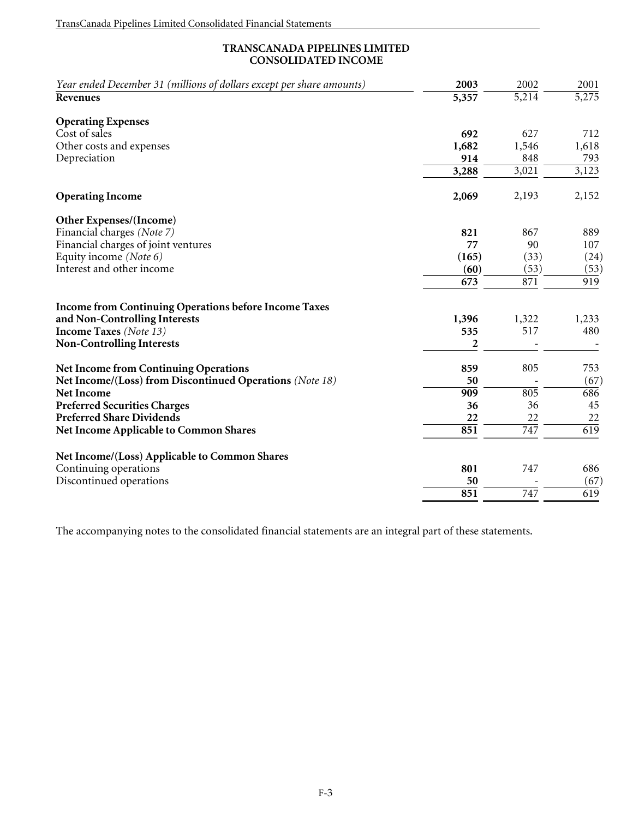# **TRANSCANADA PIPELINES LIMITED CONSOLIDATED INCOME**

| Year ended December 31 (millions of dollars except per share amounts)<br><b>Revenues</b> | 2003<br>$\overline{5,357}$ | 2002<br>$\overline{5,214}$ | 2001<br>5,275 |
|------------------------------------------------------------------------------------------|----------------------------|----------------------------|---------------|
| <b>Operating Expenses</b>                                                                |                            |                            |               |
| Cost of sales                                                                            | 692                        | 627                        | 712           |
| Other costs and expenses                                                                 | 1,682                      | 1,546                      | 1,618         |
| Depreciation                                                                             | 914                        | 848                        | 793           |
|                                                                                          | 3,288                      | 3,021                      | 3,123         |
| <b>Operating Income</b>                                                                  | 2,069                      | 2,193                      | 2,152         |
| Other Expenses/(Income)                                                                  |                            |                            |               |
| Financial charges (Note 7)                                                               | 821                        | 867                        | 889           |
| Financial charges of joint ventures                                                      | 77                         | 90                         | 107           |
| Equity income (Note 6)                                                                   | (165)                      | (33)                       | (24)          |
| Interest and other income                                                                | (60)                       | (53)                       | (53)          |
|                                                                                          | 673                        | 871                        | 919           |
| <b>Income from Continuing Operations before Income Taxes</b>                             |                            |                            |               |
| and Non-Controlling Interests                                                            | 1,396                      | 1,322                      | 1,233         |
| <b>Income Taxes</b> (Note 13)                                                            | 535                        | 517                        | 480           |
| <b>Non-Controlling Interests</b>                                                         | 2                          |                            |               |
| <b>Net Income from Continuing Operations</b>                                             | 859                        | 805                        | 753           |
| Net Income/(Loss) from Discontinued Operations (Note 18)                                 | 50                         |                            | (67)          |
| <b>Net Income</b>                                                                        | 909                        | 805                        | 686           |
| <b>Preferred Securities Charges</b>                                                      | 36                         | 36                         | 45            |
| <b>Preferred Share Dividends</b>                                                         | 22                         | 22                         | 22            |
| <b>Net Income Applicable to Common Shares</b>                                            | 851                        | 747                        | 619           |
| Net Income/(Loss) Applicable to Common Shares                                            |                            |                            |               |
| Continuing operations                                                                    | 801                        | 747                        | 686           |
| Discontinued operations                                                                  | 50                         |                            | (67)          |
|                                                                                          | 851                        | 747                        | 619           |
|                                                                                          |                            |                            |               |

The accompanying notes to the consolidated financial statements are an integral part of these statements.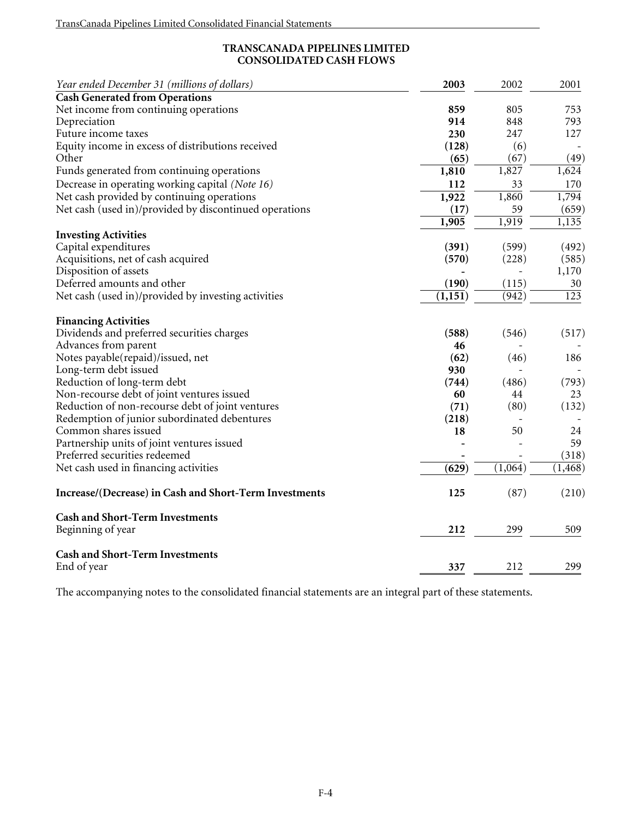# **TRANSCANADA PIPELINES LIMITED CONSOLIDATED CASH FLOWS**

| Year ended December 31 (millions of dollars)           | 2003     | 2002    | 2001     |
|--------------------------------------------------------|----------|---------|----------|
| <b>Cash Generated from Operations</b>                  |          |         |          |
| Net income from continuing operations                  | 859      | 805     | 753      |
| Depreciation                                           | 914      | 848     | 793      |
| Future income taxes                                    | 230      | 247     | 127      |
| Equity income in excess of distributions received      | (128)    | (6)     |          |
| Other                                                  | (65)     | (67)    | (49)     |
| Funds generated from continuing operations             | 1,810    | 1,827   | 1,624    |
| Decrease in operating working capital (Note 16)        | 112      | 33      | 170      |
| Net cash provided by continuing operations             | 1,922    | 1,860   | 1,794    |
| Net cash (used in)/provided by discontinued operations | (17)     | 59      | (659)    |
|                                                        | 1,905    | 1,919   | 1,135    |
| <b>Investing Activities</b>                            |          |         |          |
| Capital expenditures                                   | (391)    | (599)   | (492)    |
| Acquisitions, net of cash acquired                     | (570)    | (228)   | (585)    |
| Disposition of assets                                  |          |         | 1,170    |
| Deferred amounts and other                             | (190)    | (115)   | 30       |
| Net cash (used in)/provided by investing activities    | (1, 151) | (942)   | 123      |
| <b>Financing Activities</b>                            |          |         |          |
| Dividends and preferred securities charges             | (588)    | (546)   | (517)    |
| Advances from parent                                   | 46       |         |          |
| Notes payable(repaid)/issued, net                      | (62)     | (46)    | 186      |
| Long-term debt issued                                  | 930      |         |          |
| Reduction of long-term debt                            | (744)    | (486)   | (793)    |
| Non-recourse debt of joint ventures issued             | 60       | 44      | 23       |
| Reduction of non-recourse debt of joint ventures       | (71)     | (80)    | (132)    |
| Redemption of junior subordinated debentures           | (218)    |         |          |
| Common shares issued                                   | 18       | 50      | 24       |
| Partnership units of joint ventures issued             |          |         | 59       |
| Preferred securities redeemed                          |          |         | (318)    |
| Net cash used in financing activities                  | (629)    | (1,064) | (1, 468) |
|                                                        |          |         |          |
| Increase/(Decrease) in Cash and Short-Term Investments | 125      | (87)    | (210)    |
| <b>Cash and Short-Term Investments</b>                 |          |         |          |
| Beginning of year                                      | 212      | 299     | 509      |
| <b>Cash and Short-Term Investments</b>                 |          |         |          |
| End of year                                            | 337      | 212     | 299      |

The accompanying notes to the consolidated financial statements are an integral part of these statements.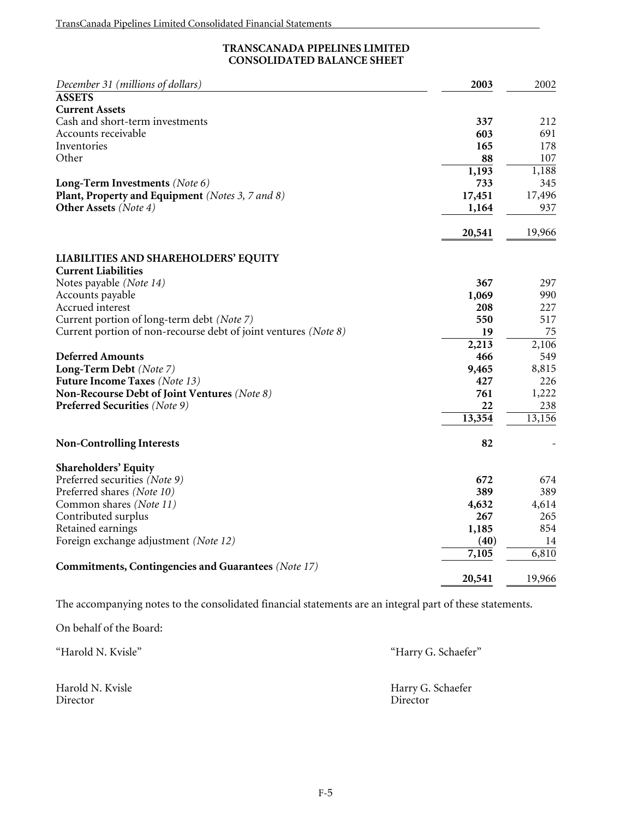# **TRANSCANADA PIPELINES LIMITED CONSOLIDATED BALANCE SHEET**

| December 31 (millions of dollars)                               | 2003          | 2002        |
|-----------------------------------------------------------------|---------------|-------------|
| <b>ASSETS</b>                                                   |               |             |
| <b>Current Assets</b>                                           |               |             |
| Cash and short-term investments                                 | 337           | 212         |
| Accounts receivable                                             | 603           | 691         |
| Inventories                                                     | 165           | 178         |
| Other                                                           | 88            | 107         |
|                                                                 | 1,193         | 1,188       |
| Long-Term Investments (Note 6)                                  | 733           | 345         |
| Plant, Property and Equipment (Notes 3, 7 and 8)                | 17,451        | 17,496      |
| <b>Other Assets</b> (Note 4)                                    | 1,164         | 937         |
|                                                                 | 20,541        | 19,966      |
| <b>LIABILITIES AND SHAREHOLDERS' EQUITY</b>                     |               |             |
| <b>Current Liabilities</b>                                      |               |             |
| Notes payable (Note 14)                                         | 367           | 297         |
| Accounts payable                                                | 1,069         | 990         |
| Accrued interest                                                | 208           | 227         |
| Current portion of long-term debt (Note 7)                      | 550           | 517         |
| Current portion of non-recourse debt of joint ventures (Note 8) | 19            | 75          |
|                                                                 | 2,213         | 2,106       |
| <b>Deferred Amounts</b>                                         | 466           | 549         |
| Long-Term Debt (Note 7)                                         | 9,465         | 8,815       |
| <b>Future Income Taxes</b> (Note 13)                            | 427           | 226         |
| Non-Recourse Debt of Joint Ventures (Note 8)                    | 761           | 1,222       |
| <b>Preferred Securities</b> (Note 9)                            | 22            | 238         |
|                                                                 | 13,354        | 13,156      |
| <b>Non-Controlling Interests</b>                                | 82            |             |
| <b>Shareholders' Equity</b>                                     |               |             |
| Preferred securities (Note 9)                                   | 672           | 674         |
| Preferred shares (Note 10)                                      | 389           | 389         |
| Common shares (Note 11)                                         | 4,632         | 4,614       |
| Contributed surplus                                             | 267           | 265         |
| Retained earnings                                               | 1,185         | 854         |
| Foreign exchange adjustment (Note 12)                           | (40)<br>7,105 | 14<br>6,810 |
| <b>Commitments, Contingencies and Guarantees</b> (Note 17)      |               |             |
|                                                                 | 20,541        | 19,966      |

The accompanying notes to the consolidated financial statements are an integral part of these statements.

On behalf of the Board:

"Harold N. Kvisle" "Harry G. Schaefer" Harold N. Kvisle Harry G. Schaefer Director Director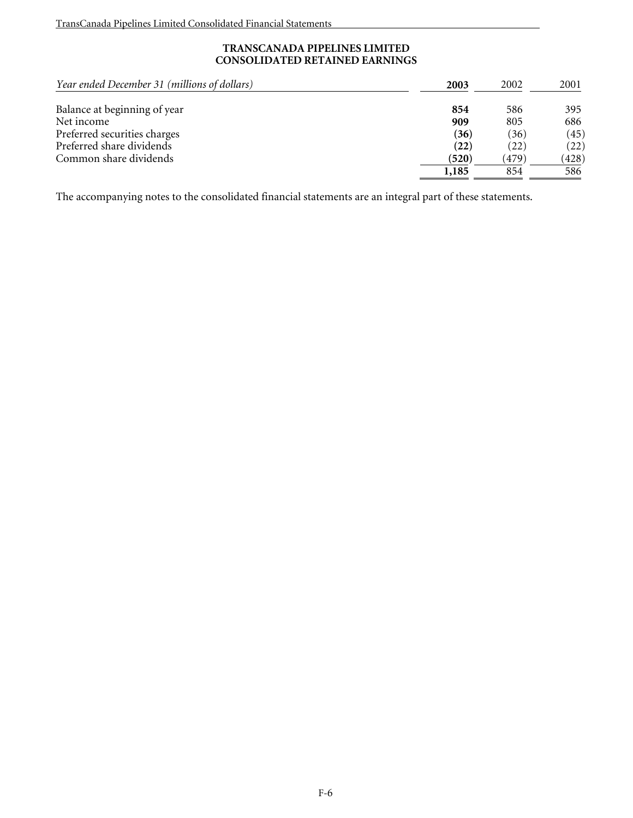## **TRANSCANADA PIPELINES LIMITED CONSOLIDATED RETAINED EARNINGS**

| Year ended December 31 (millions of dollars) | 2003  | 2002  | 2001  |
|----------------------------------------------|-------|-------|-------|
| Balance at beginning of year                 | 854   | 586   | 395   |
| Net income                                   | 909   | 805   | 686   |
| Preferred securities charges                 | (36)  | (36)  | (45)  |
| Preferred share dividends                    | (22)  | (22)  | (22)  |
| Common share dividends                       | (520) | (479) | (428) |
|                                              | 1,185 | 854   | 586   |

The accompanying notes to the consolidated financial statements are an integral part of these statements.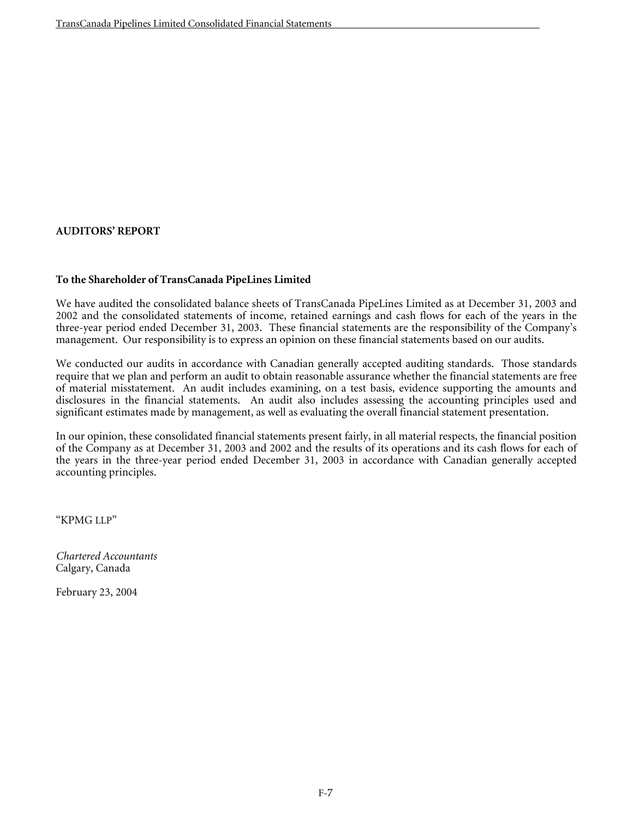# **AUDITORS' REPORT**

## **To the Shareholder of TransCanada PipeLines Limited**

We have audited the consolidated balance sheets of TransCanada PipeLines Limited as at December 31, 2003 and 2002 and the consolidated statements of income, retained earnings and cash flows for each of the years in the three-year period ended December 31, 2003. These financial statements are the responsibility of the Company's management. Our responsibility is to express an opinion on these financial statements based on our audits.

We conducted our audits in accordance with Canadian generally accepted auditing standards. Those standards require that we plan and perform an audit to obtain reasonable assurance whether the financial statements are free of material misstatement. An audit includes examining, on a test basis, evidence supporting the amounts and disclosures in the financial statements. An audit also includes assessing the accounting principles used and significant estimates made by management, as well as evaluating the overall financial statement presentation.

In our opinion, these consolidated financial statements present fairly, in all material respects, the financial position of the Company as at December 31, 2003 and 2002 and the results of its operations and its cash flows for each of the years in the three-year period ended December 31, 2003 in accordance with Canadian generally accepted accounting principles.

"KPMG LLP"

*Chartered Accountants*  Calgary, Canada

February 23, 2004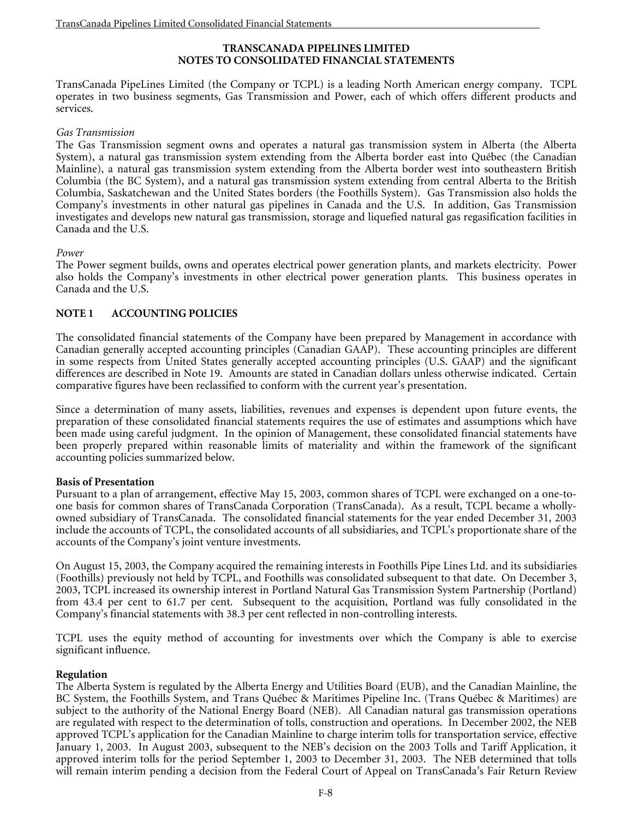## **TRANSCANADA PIPELINES LIMITED NOTES TO CONSOLIDATED FINANCIAL STATEMENTS**

TransCanada PipeLines Limited (the Company or TCPL) is a leading North American energy company. TCPL operates in two business segments, Gas Transmission and Power, each of which offers different products and services.

#### *Gas Transmission*

The Gas Transmission segment owns and operates a natural gas transmission system in Alberta (the Alberta System), a natural gas transmission system extending from the Alberta border east into Québec (the Canadian Mainline), a natural gas transmission system extending from the Alberta border west into southeastern British Columbia (the BC System), and a natural gas transmission system extending from central Alberta to the British Columbia, Saskatchewan and the United States borders (the Foothills System). Gas Transmission also holds the Company's investments in other natural gas pipelines in Canada and the U.S. In addition, Gas Transmission investigates and develops new natural gas transmission, storage and liquefied natural gas regasification facilities in Canada and the U.S.

## *Power*

The Power segment builds, owns and operates electrical power generation plants, and markets electricity. Power also holds the Company's investments in other electrical power generation plants. This business operates in Canada and the U.S.

## **NOTE 1 ACCOUNTING POLICIES**

The consolidated financial statements of the Company have been prepared by Management in accordance with Canadian generally accepted accounting principles (Canadian GAAP). These accounting principles are different in some respects from United States generally accepted accounting principles (U.S. GAAP) and the significant differences are described in Note 19. Amounts are stated in Canadian dollars unless otherwise indicated. Certain comparative figures have been reclassified to conform with the current year's presentation.

Since a determination of many assets, liabilities, revenues and expenses is dependent upon future events, the preparation of these consolidated financial statements requires the use of estimates and assumptions which have been made using careful judgment. In the opinion of Management, these consolidated financial statements have been properly prepared within reasonable limits of materiality and within the framework of the significant accounting policies summarized below.

## **Basis of Presentation**

Pursuant to a plan of arrangement, effective May 15, 2003, common shares of TCPL were exchanged on a one-toone basis for common shares of TransCanada Corporation (TransCanada). As a result, TCPL became a whollyowned subsidiary of TransCanada. The consolidated financial statements for the year ended December 31, 2003 include the accounts of TCPL, the consolidated accounts of all subsidiaries, and TCPL's proportionate share of the accounts of the Company's joint venture investments.

On August 15, 2003, the Company acquired the remaining interests in Foothills Pipe Lines Ltd. and its subsidiaries (Foothills) previously not held by TCPL, and Foothills was consolidated subsequent to that date. On December 3, 2003, TCPL increased its ownership interest in Portland Natural Gas Transmission System Partnership (Portland) from 43.4 per cent to 61.7 per cent. Subsequent to the acquisition, Portland was fully consolidated in the Company's financial statements with 38.3 per cent reflected in non-controlling interests.

TCPL uses the equity method of accounting for investments over which the Company is able to exercise significant influence.

## **Regulation**

The Alberta System is regulated by the Alberta Energy and Utilities Board (EUB), and the Canadian Mainline, the BC System, the Foothills System, and Trans Québec & Maritimes Pipeline Inc. (Trans Québec & Maritimes) are subject to the authority of the National Energy Board (NEB). All Canadian natural gas transmission operations are regulated with respect to the determination of tolls, construction and operations. In December 2002, the NEB approved TCPL's application for the Canadian Mainline to charge interim tolls for transportation service, effective January 1, 2003. In August 2003, subsequent to the NEB's decision on the 2003 Tolls and Tariff Application, it approved interim tolls for the period September 1, 2003 to December 31, 2003. The NEB determined that tolls will remain interim pending a decision from the Federal Court of Appeal on TransCanada's Fair Return Review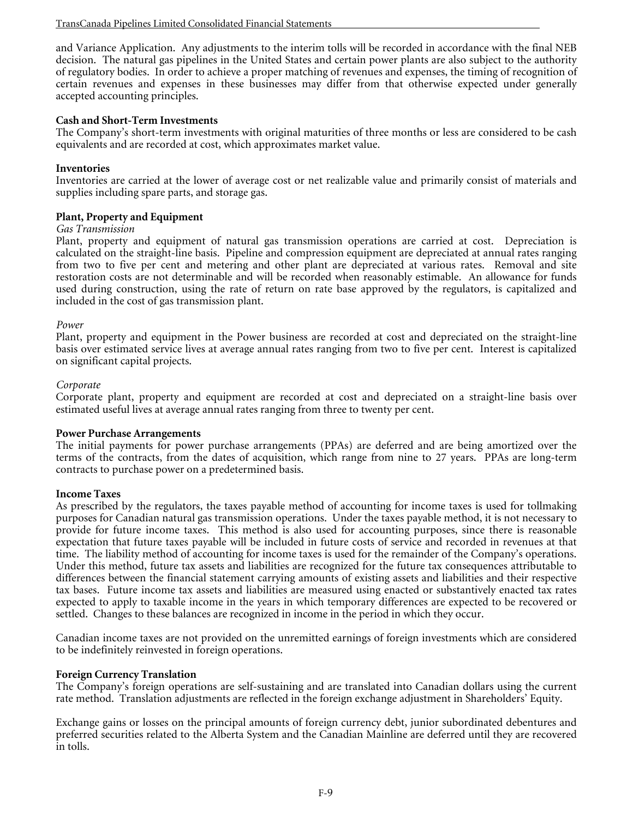and Variance Application. Any adjustments to the interim tolls will be recorded in accordance with the final NEB decision. The natural gas pipelines in the United States and certain power plants are also subject to the authority of regulatory bodies. In order to achieve a proper matching of revenues and expenses, the timing of recognition of certain revenues and expenses in these businesses may differ from that otherwise expected under generally accepted accounting principles.

## **Cash and Short-Term Investments**

The Company's short-term investments with original maturities of three months or less are considered to be cash equivalents and are recorded at cost, which approximates market value.

## **Inventories**

Inventories are carried at the lower of average cost or net realizable value and primarily consist of materials and supplies including spare parts, and storage gas.

## **Plant, Property and Equipment**

#### *Gas Transmission*

Plant, property and equipment of natural gas transmission operations are carried at cost. Depreciation is calculated on the straight-line basis. Pipeline and compression equipment are depreciated at annual rates ranging from two to five per cent and metering and other plant are depreciated at various rates. Removal and site restoration costs are not determinable and will be recorded when reasonably estimable. An allowance for funds used during construction, using the rate of return on rate base approved by the regulators, is capitalized and included in the cost of gas transmission plant.

#### *Power*

Plant, property and equipment in the Power business are recorded at cost and depreciated on the straight-line basis over estimated service lives at average annual rates ranging from two to five per cent. Interest is capitalized on significant capital projects.

#### *Corporate*

Corporate plant, property and equipment are recorded at cost and depreciated on a straight-line basis over estimated useful lives at average annual rates ranging from three to twenty per cent.

#### **Power Purchase Arrangements**

The initial payments for power purchase arrangements (PPAs) are deferred and are being amortized over the terms of the contracts, from the dates of acquisition, which range from nine to 27 years. PPAs are long-term contracts to purchase power on a predetermined basis.

#### **Income Taxes**

As prescribed by the regulators, the taxes payable method of accounting for income taxes is used for tollmaking purposes for Canadian natural gas transmission operations. Under the taxes payable method, it is not necessary to provide for future income taxes. This method is also used for accounting purposes, since there is reasonable expectation that future taxes payable will be included in future costs of service and recorded in revenues at that time. The liability method of accounting for income taxes is used for the remainder of the Company's operations. Under this method, future tax assets and liabilities are recognized for the future tax consequences attributable to differences between the financial statement carrying amounts of existing assets and liabilities and their respective tax bases. Future income tax assets and liabilities are measured using enacted or substantively enacted tax rates expected to apply to taxable income in the years in which temporary differences are expected to be recovered or settled. Changes to these balances are recognized in income in the period in which they occur.

Canadian income taxes are not provided on the unremitted earnings of foreign investments which are considered to be indefinitely reinvested in foreign operations.

#### **Foreign Currency Translation**

The Company's foreign operations are self-sustaining and are translated into Canadian dollars using the current rate method. Translation adjustments are reflected in the foreign exchange adjustment in Shareholders' Equity.

Exchange gains or losses on the principal amounts of foreign currency debt, junior subordinated debentures and preferred securities related to the Alberta System and the Canadian Mainline are deferred until they are recovered in tolls.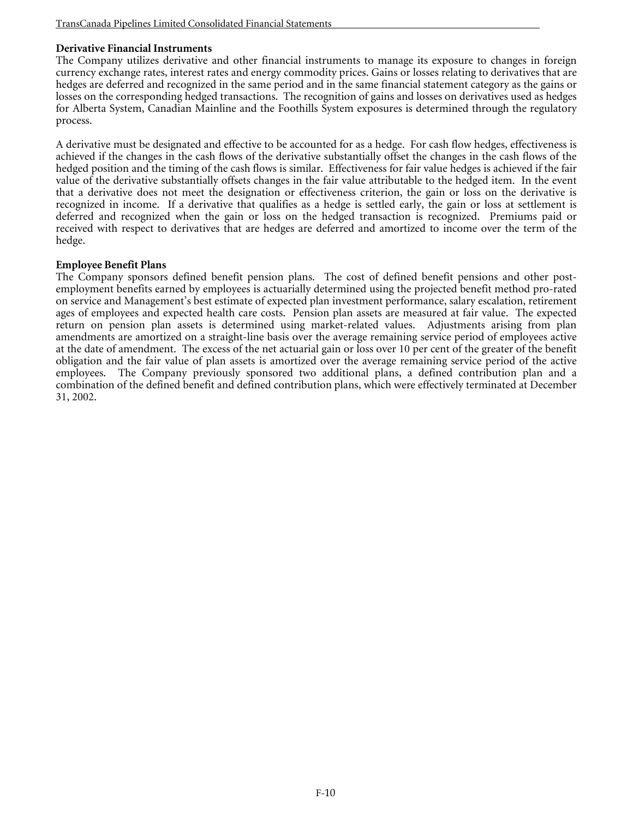# **Derivative Financial Instruments**

The Company utilizes derivative and other financial instruments to manage its exposure to changes in foreign currency exchange rates, interest rates and energy commodity prices. Gains or losses relating to derivatives that are hedges are deferred and recognized in the same period and in the same financial statement category as the gains or losses on the corresponding hedged transactions. The recognition of gains and losses on derivatives used as hedges for Alberta System, Canadian Mainline and the Foothills System exposures is determined through the regulatory process.

A derivative must be designated and effective to be accounted for as a hedge. For cash flow hedges, effectiveness is achieved if the changes in the cash flows of the derivative substantially offset the changes in the cash flows of the hedged position and the timing of the cash flows is similar. Effectiveness for fair value hedges is achieved if the fair value of the derivative substantially offsets changes in the fair value attributable to the hedged item. In the event that a derivative does not meet the designation or effectiveness criterion, the gain or loss on the derivative is recognized in income. If a derivative that qualifies as a hedge is settled early, the gain or loss at settlement is deferred and recognized when the gain or loss on the hedged transaction is recognized. Premiums paid or received with respect to derivatives that are hedges are deferred and amortized to income over the term of the hedge.

## **Employee Benefit Plans**

The Company sponsors defined benefit pension plans. The cost of defined benefit pensions and other postemployment benefits earned by employees is actuarially determined using the projected benefit method pro-rated on service and Management's best estimate of expected plan investment performance, salary escalation, retirement ages of employees and expected health care costs. Pension plan assets are measured at fair value. The expected return on pension plan assets is determined using market-related values. Adjustments arising from plan amendments are amortized on a straight-line basis over the average remaining service period of employees active at the date of amendment. The excess of the net actuarial gain or loss over 10 per cent of the greater of the benefit obligation and the fair value of plan assets is amortized over the average remaining service period of the active employees. The Company previously sponsored two additional plans, a defined contribution plan and a combination of the defined benefit and defined contribution plans, which were effectively terminated at December 31, 2002.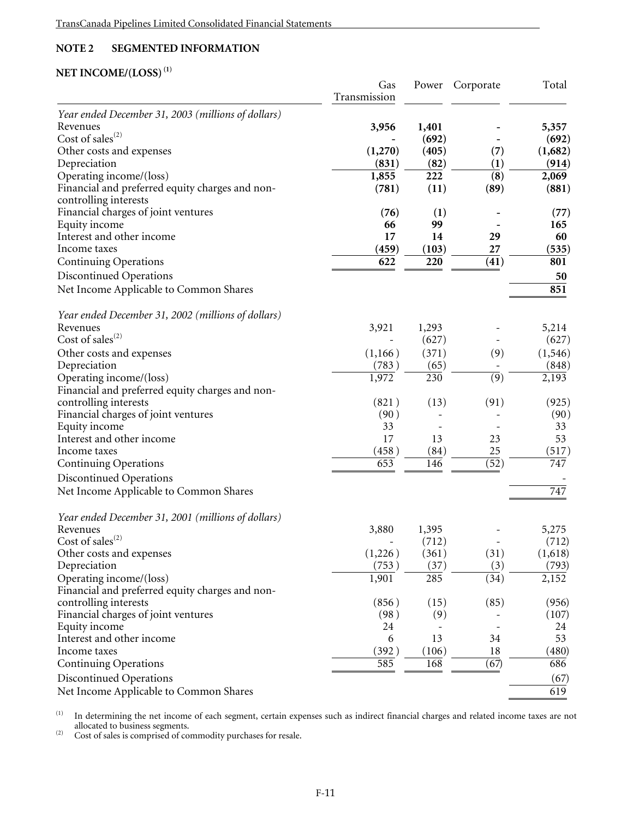# **NOTE 2 SEGMENTED INFORMATION**

# **NET INCOME/(LOSS) (1)**

|                                                    | Gas<br>Transmission | Power | Corporate        | Total              |
|----------------------------------------------------|---------------------|-------|------------------|--------------------|
| Year ended December 31, 2003 (millions of dollars) |                     |       |                  |                    |
| Revenues                                           | 3,956               | 1,401 |                  | 5,357              |
| Cost of sales $^{(2)}$                             |                     | (692) |                  | (692)              |
| Other costs and expenses                           | (1,270)             | (405) | (7)              | (1,682)            |
| Depreciation                                       | (831)               | (82)  | (1)              | (914)              |
| Operating income/(loss)                            | 1,855               | 222   | (8)              | 2,069              |
| Financial and preferred equity charges and non-    | (781)               | (11)  | (89)             | (881)              |
| controlling interests                              |                     |       |                  |                    |
| Financial charges of joint ventures                | (76)                | (1)   |                  | (77)               |
| Equity income                                      | 66                  | 99    |                  | 165                |
| Interest and other income                          | 17                  | 14    | 29               | 60                 |
| Income taxes                                       | (459)               | (103) | 27               | (535)              |
| <b>Continuing Operations</b>                       | 622                 | 220   | (41)             | 801                |
| Discontinued Operations                            |                     |       |                  | 50                 |
| Net Income Applicable to Common Shares             |                     |       |                  | 851                |
| Year ended December 31, 2002 (millions of dollars) |                     |       |                  |                    |
| Revenues                                           | 3,921               | 1,293 |                  | 5,214              |
| Cost of sales <sup>(2)</sup>                       |                     | (627) |                  | (627)              |
| Other costs and expenses                           | (1,166)             | (371) | (9)              | (1, 546)           |
| Depreciation                                       | (783)               | (65)  |                  | (848)              |
| Operating income/(loss)                            | 1,972               | 230   | $\overline{(9)}$ | $2,\overline{193}$ |
| Financial and preferred equity charges and non-    |                     |       |                  |                    |
| controlling interests                              | (821)               | (13)  | (91)             | (925)              |
| Financial charges of joint ventures                | (90)                |       |                  | (90)               |
| Equity income                                      | 33                  |       |                  | 33                 |
| Interest and other income                          | 17                  | 13    | 23               | 53                 |
| Income taxes                                       | (458)               | (84)  | 25               | (517)              |
| <b>Continuing Operations</b>                       | 653                 | 146   | (52)             | $\overline{747}$   |
|                                                    |                     |       |                  |                    |
| Discontinued Operations                            |                     |       |                  |                    |
| Net Income Applicable to Common Shares             |                     |       |                  | 747                |
| Year ended December 31, 2001 (millions of dollars) |                     |       |                  |                    |
| Revenues                                           | 3,880               | 1,395 |                  | 5,275              |
| Cost of sales $^{(2)}$                             |                     | (712) |                  | (712)              |
| Other costs and expenses                           | (1,226)             | (361) | (31)             | (1,618)            |
| Depreciation                                       | (753)               | (37)  | (3)              | (793)              |
| Operating income/(loss)                            | 1,901               | 285   | (34)             | 2,152              |
| Financial and preferred equity charges and non-    |                     |       |                  |                    |
| controlling interests                              | (856)               | (15)  | (85)             | (956)              |
| Financial charges of joint ventures                | (98)                | (9)   |                  | (107)              |
| Equity income                                      | 24                  |       |                  | 24                 |
| Interest and other income                          | 6                   | 13    | 34               | 53                 |
| Income taxes                                       | (392)               | (106) | 18               | (480)              |
| <b>Continuing Operations</b>                       | 585                 | 168   | (67)             | 686                |
| Discontinued Operations                            |                     |       |                  | (67)               |
| Net Income Applicable to Common Shares             |                     |       |                  | 619                |

 $<sup>(1)</sup>$  In determining the net income of each segment, certain expenses such as indirect financial charges and related income taxes are not</sup>

allocated to business segments.<br>  $(2)$  Cost of sales is comprised of commodity purchases for resale.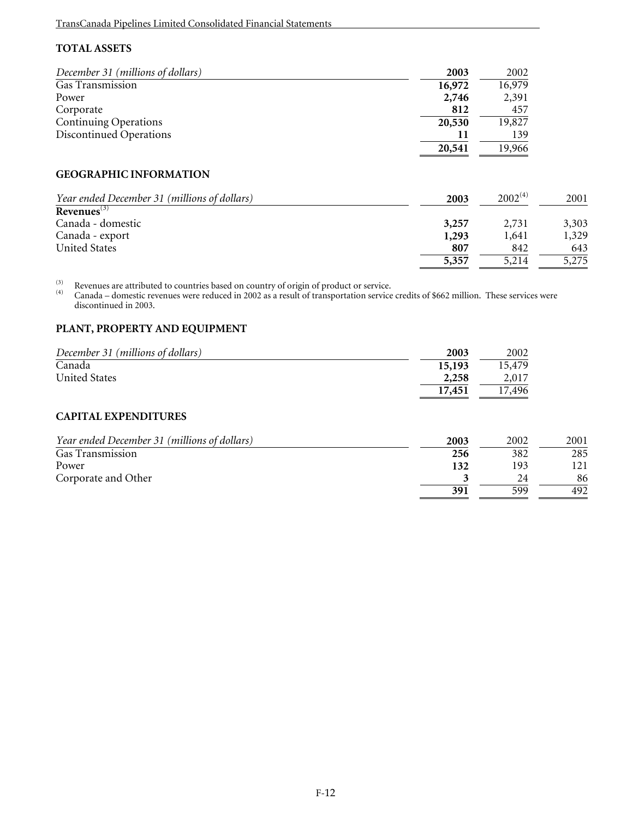# **TOTAL ASSETS**

| December 31 (millions of dollars)            | 2003   | 2002         |       |
|----------------------------------------------|--------|--------------|-------|
| Gas Transmission                             | 16,972 | 16,979       |       |
| Power                                        | 2,746  | 2,391        |       |
| Corporate                                    | 812    | 457          |       |
| <b>Continuing Operations</b>                 | 20,530 | 19,827       |       |
| Discontinued Operations                      | 11     | 139          |       |
|                                              | 20,541 | 19,966       |       |
| <b>GEOGRAPHIC INFORMATION</b>                |        |              |       |
| Year ended December 31 (millions of dollars) | 2003   | $2002^{(4)}$ | 2001  |
| Revenues $(3)$                               |        |              |       |
| Canada - domestic                            | 3,257  | 2,731        | 3,303 |
| Canada - export                              | 1,293  | 1,641        | 1,329 |
| <b>United States</b>                         | 807    | 842          | 643   |
|                                              | 5,357  | 5,214        | 5,275 |

<sup>(3)</sup> Revenues are attributed to countries based on country of origin of product or service.<br><sup>(4)</sup> Canada – domestic revenues were reduced in 2002 as a result of transportation service credits of \$662 million. These servi discontinued in 2003.

# **PLANT, PROPERTY AND EQUIPMENT**

| December 31 (millions of dollars) | 2003   | 2002   |
|-----------------------------------|--------|--------|
| Canada                            | 15,193 | 15,479 |
| <b>United States</b>              | 2,258  | 2,017  |
|                                   | 17,451 | 17,496 |

# **CAPITAL EXPENDITURES**

| Year ended December 31 (millions of dollars) | 2003 | 2002 | 2001 |
|----------------------------------------------|------|------|------|
| Gas Transmission                             | 256  | 382  | 285  |
| Power                                        | 132  | 193  | 121  |
| Corporate and Other                          |      | 24   | 86   |
|                                              | 391  | 599  | 492  |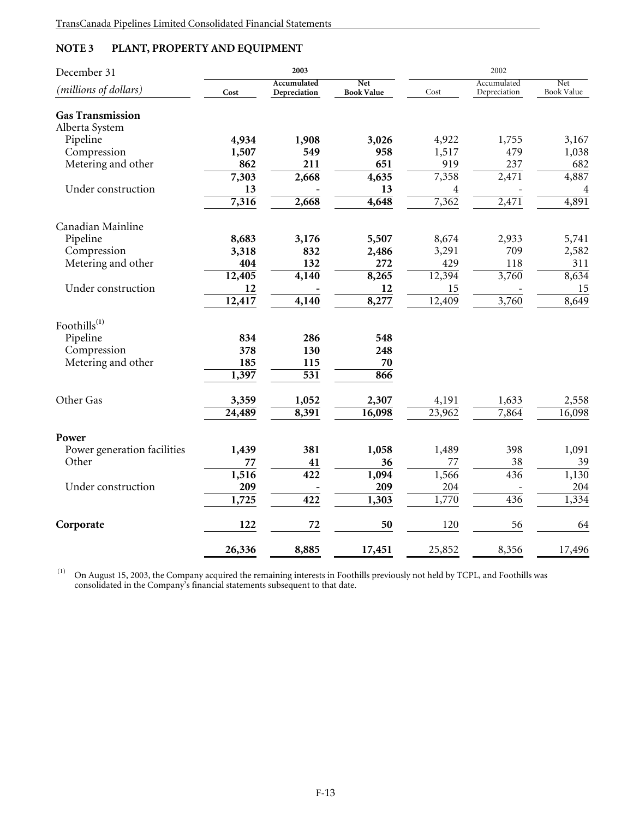# **NOTE 3 PLANT, PROPERTY AND EQUIPMENT**

| December 31                 |        | 2003                        |                                 |        |                             |                   |
|-----------------------------|--------|-----------------------------|---------------------------------|--------|-----------------------------|-------------------|
| (millions of dollars)       | Cost   | Accumulated<br>Depreciation | <b>Net</b><br><b>Book Value</b> | Cost   | Accumulated<br>Depreciation | Net<br>Book Value |
| <b>Gas Transmission</b>     |        |                             |                                 |        |                             |                   |
| Alberta System              |        |                             |                                 |        |                             |                   |
| Pipeline                    | 4,934  | 1,908                       | 3,026                           | 4,922  | 1,755                       | 3,167             |
| Compression                 | 1,507  | 549                         | 958                             | 1,517  | 479                         | 1,038             |
| Metering and other          | 862    | 211                         | 651                             | 919    | 237                         | 682               |
|                             | 7,303  | 2,668                       | 4,635                           | 7,358  | 2,471                       | 4,887             |
| Under construction          | 13     |                             | 13                              | 4      |                             | 4                 |
|                             | 7,316  | 2,668                       | 4,648                           | 7,362  | 2,471                       | 4,891             |
| Canadian Mainline           |        |                             |                                 |        |                             |                   |
| Pipeline                    | 8,683  | 3,176                       | 5,507                           | 8,674  | 2,933                       | 5,741             |
| Compression                 | 3,318  | 832                         | 2,486                           | 3,291  | 709                         | 2,582             |
| Metering and other          | 404    | 132                         | 272                             | 429    | 118                         | 311               |
|                             | 12,405 | 4,140                       | 8,265                           | 12,394 | 3,760                       | 8,634             |
| Under construction          | 12     |                             | 12                              | 15     |                             | 15                |
|                             | 12,417 | 4,140                       | 8,277                           | 12,409 | 3,760                       | 8,649             |
| Foothills $^{(1)}$          |        |                             |                                 |        |                             |                   |
| Pipeline                    | 834    | 286                         | 548                             |        |                             |                   |
| Compression                 | 378    | 130                         | 248                             |        |                             |                   |
| Metering and other          | 185    | 115                         | 70                              |        |                             |                   |
|                             | 1,397  | $\overline{531}$            | 866                             |        |                             |                   |
| Other Gas                   | 3,359  | 1,052                       | 2,307                           | 4,191  | 1,633                       | 2,558             |
|                             | 24,489 | 8,391                       | 16,098                          | 23,962 | 7,864                       | 16,098            |
| Power                       |        |                             |                                 |        |                             |                   |
| Power generation facilities | 1,439  | 381                         | 1,058                           | 1,489  | 398                         | 1,091             |
| Other                       | 77     | 41                          | 36                              | 77     | 38                          | 39                |
|                             | 1,516  | 422                         | 1,094                           | 1,566  | 436                         | 1,130             |
| Under construction          | 209    |                             | 209                             | 204    |                             | 204               |
|                             | 1,725  | 422                         | 1,303                           | 1,770  | 436                         | 1,334             |
| Corporate                   | 122    | 72                          | 50                              | 120    | 56                          | 64                |
|                             |        |                             |                                 |        |                             |                   |
|                             | 26,336 | 8,885                       | 17,451                          | 25,852 | 8,356                       | 17,496            |

 (1) On August 15, 2003, the Company acquired the remaining interests in Foothills previously not held by TCPL, and Foothills was consolidated in the Company's financial statements subsequent to that date.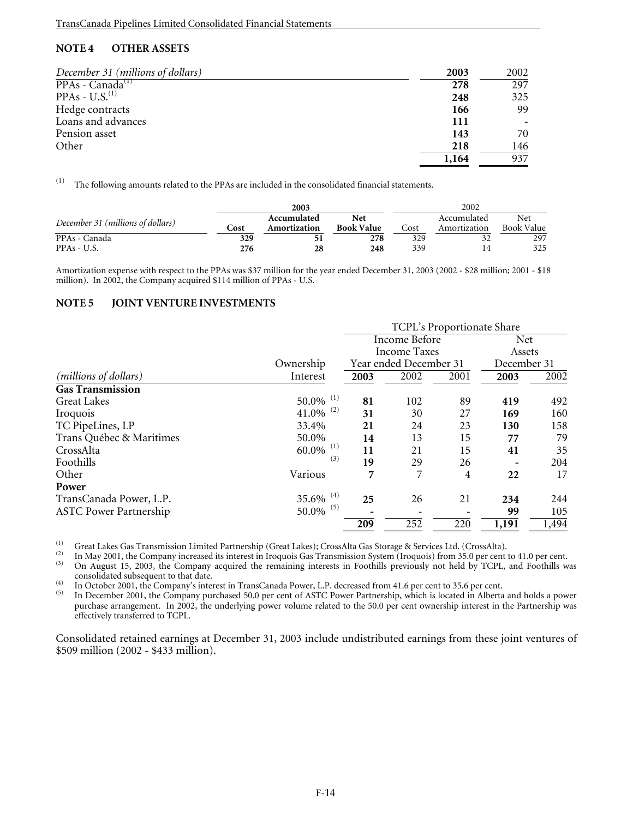# **NOTE 4 OTHER ASSETS**

| December 31 (millions of dollars) | 2003  | 2002 |
|-----------------------------------|-------|------|
| $PPAs - Canada^{(1)}$             | 278   | 297  |
| PPAs - $U.S.(1)$                  | 248   | 325  |
| Hedge contracts                   | 166   | 99   |
| Loans and advances                | 111   |      |
| Pension asset                     | 143   | 70   |
| Other                             | 218   | 146  |
|                                   | 1,164 | 937  |

 $(1)$  The following amounts related to the PPAs are included in the consolidated financial statements.

|                                   |      | 2003                        |                          |      | 2002                        |                          |
|-----------------------------------|------|-----------------------------|--------------------------|------|-----------------------------|--------------------------|
| December 31 (millions of dollars) | Cost | Accumulated<br>Amortization | Net<br><b>Book Value</b> | Cost | Accumulated<br>Amortization | Net<br><b>Book Value</b> |
| PPAs - Canada                     | 329  |                             | 278                      | 329  |                             | 297                      |
| PPAs - U.S.                       | 276  | 28                          | 248                      | 339  | 14                          | 325                      |

Amortization expense with respect to the PPAs was \$37 million for the year ended December 31, 2003 (2002 - \$28 million; 2001 - \$18 million). In 2002, the Company acquired \$114 million of PPAs - U.S.

## **NOTE 5 JOINT VENTURE INVESTMENTS**

|                                |                         | <b>TCPL's Proportionate Share</b> |                        |                |             |            |  |
|--------------------------------|-------------------------|-----------------------------------|------------------------|----------------|-------------|------------|--|
|                                |                         | <b>Income Before</b>              |                        |                |             | <b>Net</b> |  |
|                                |                         |                                   | <b>Income Taxes</b>    |                | Assets      |            |  |
|                                | Ownership               |                                   | Year ended December 31 |                | December 31 |            |  |
| ( <i>millions of dollars</i> ) | Interest                | 2003                              | 2002                   | 2001           | 2003        | 2002       |  |
| <b>Gas Transmission</b>        |                         |                                   |                        |                |             |            |  |
| <b>Great Lakes</b>             | $50.0\%$ <sup>(1)</sup> | 81                                | 102                    | 89             | 419         | 492        |  |
| Iroquois                       | $41.0\%$ <sup>(2)</sup> | 31                                | 30                     | 27             | 169         | 160        |  |
| TC PipeLines, LP               | 33.4%                   | 21                                | 24                     | 23             | 130         | 158        |  |
| Trans Québec & Maritimes       | 50.0%                   | 14                                | 13                     | 15             | 77          | 79         |  |
| CrossAlta                      | $60.0\%$ <sup>(1)</sup> | 11                                | 21                     | 15             | 41          | 35         |  |
| Foothills                      | (3)                     | 19                                | 29                     | 26             |             | 204        |  |
| Other                          | Various                 | 7                                 | 7                      | $\overline{4}$ | 22          | 17         |  |
| Power                          |                         |                                   |                        |                |             |            |  |
| TransCanada Power, L.P.        | $35.6\%$ <sup>(4)</sup> | 25                                | 26                     | 21             | 234         | 244        |  |
| <b>ASTC Power Partnership</b>  | $50.0\%$ <sup>(5)</sup> |                                   |                        |                | 99          | 105        |  |
|                                |                         | 209                               | 252                    | 220            | 1,191       | 1,494      |  |

Great Lakes Gas Transmission Limited Partnership (Great Lakes); CrossAlta Gas Storage & Services Ltd. (CrossAlta).<br>
In May 2001, the Company increased its interest in Iroquois Gas Transmission System (Iroquois) from 35.0 On August 15, 2003, the Company acquired the remaining interests in Foothills previously not held by TCPL, and Foothills was consolidated subsequent to that date.

consolidated subsequent to that date.<br>In October 2001, the Company's interest in TransCanada Power, L.P. decreased from 41.6 per cent to 35.6 per cent.<br><sup>(5)</sup> In December 2001, the Company purchased 50.0 per cent of ASTC Po purchase arrangement. In 2002, the underlying power volume related to the 50.0 per cent ownership interest in the Partnership was effectively transferred to TCPL.

Consolidated retained earnings at December 31, 2003 include undistributed earnings from these joint ventures of \$509 million (2002 - \$433 million).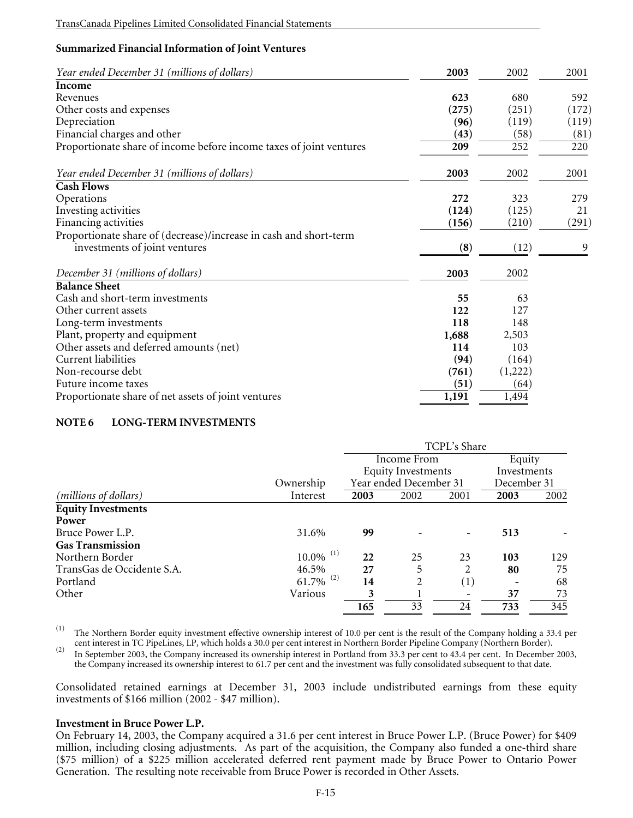# **Summarized Financial Information of Joint Ventures**

| Year ended December 31 (millions of dollars)                        | 2003  | 2002    | 2001  |
|---------------------------------------------------------------------|-------|---------|-------|
| Income                                                              |       |         |       |
| Revenues                                                            | 623   | 680     | 592   |
| Other costs and expenses                                            | (275) | (251)   | (172) |
| Depreciation                                                        | (96)  | (119)   | (119) |
| Financial charges and other                                         | (43)  | (58)    | (81)  |
| Proportionate share of income before income taxes of joint ventures | 209   | 252     | 220   |
| Year ended December 31 (millions of dollars)                        | 2003  | 2002    | 2001  |
| <b>Cash Flows</b>                                                   |       |         |       |
| Operations                                                          | 272   | 323     | 279   |
| Investing activities                                                | (124) | (125)   | 21    |
| Financing activities                                                | (156) | (210)   | (291) |
| Proportionate share of (decrease)/increase in cash and short-term   |       |         |       |
| investments of joint ventures                                       | (8)   | (12)    | 9     |
| December 31 (millions of dollars)                                   | 2003  | 2002    |       |
| <b>Balance Sheet</b>                                                |       |         |       |
| Cash and short-term investments                                     | 55    | 63      |       |
| Other current assets                                                | 122   | 127     |       |
| Long-term investments                                               | 118   | 148     |       |
| Plant, property and equipment                                       | 1,688 | 2,503   |       |
| Other assets and deferred amounts (net)                             | 114   | 103     |       |
| Current liabilities                                                 | (94)  | (164)   |       |
| Non-recourse debt                                                   | (761) | (1,222) |       |
| Future income taxes                                                 | (51)  | (64)    |       |
| Proportionate share of net assets of joint ventures                 | 1,191 | 1,494   |       |

## **NOTE 6 LONG-TERM INVESTMENTS**

|                                |                         |      | TCPL's Share              |                  |             |        |  |
|--------------------------------|-------------------------|------|---------------------------|------------------|-------------|--------|--|
|                                |                         |      | Income From               |                  |             | Equity |  |
|                                |                         |      | <b>Equity Investments</b> |                  | Investments |        |  |
|                                | Ownership               |      | Year ended December 31    |                  | December 31 |        |  |
| ( <i>millions of dollars</i> ) | Interest                | 2003 | 2002                      | 2001             | 2003        | 2002   |  |
| <b>Equity Investments</b>      |                         |      |                           |                  |             |        |  |
| Power                          |                         |      |                           |                  |             |        |  |
| Bruce Power L.P.               | 31.6%                   | 99   |                           |                  | 513         |        |  |
| <b>Gas Transmission</b>        |                         |      |                           |                  |             |        |  |
| Northern Border                | $10.0\%$ <sup>(1)</sup> | 22   | 25                        | 23               | 103         | 129    |  |
| TransGas de Occidente S.A.     | 46.5%                   | 27   | 5                         | 2                | 80          | 75     |  |
| Portland                       | $61.7\%$ <sup>(2)</sup> | 14   |                           | $\left(1\right)$ |             | 68     |  |
| Other                          | Various                 | 3    |                           |                  | 37          | 73     |  |
|                                |                         | 165  | 33                        | 24               | 733         | 345    |  |

(1) The Northern Border equity investment effective ownership interest of 10.0 per cent is the result of the Company holding a 33.4 per cent interest in TC PipeLines, LP, which holds a 30.0 per cent interest in Northern Bo

<sup>(2)</sup> In September 2003, the Company increased its ownership interest in Portland from 33.3 per cent to 43.4 per cent. In December 2003, the Company increased its ownership interest to 61.7 per cent and the investment was fully consolidated subsequent to that date.

Consolidated retained earnings at December 31, 2003 include undistributed earnings from these equity investments of \$166 million (2002 - \$47 million).

#### **Investment in Bruce Power L.P.**

On February 14, 2003, the Company acquired a 31.6 per cent interest in Bruce Power L.P. (Bruce Power) for \$409 million, including closing adjustments. As part of the acquisition, the Company also funded a one-third share (\$75 million) of a \$225 million accelerated deferred rent payment made by Bruce Power to Ontario Power Generation. The resulting note receivable from Bruce Power is recorded in Other Assets.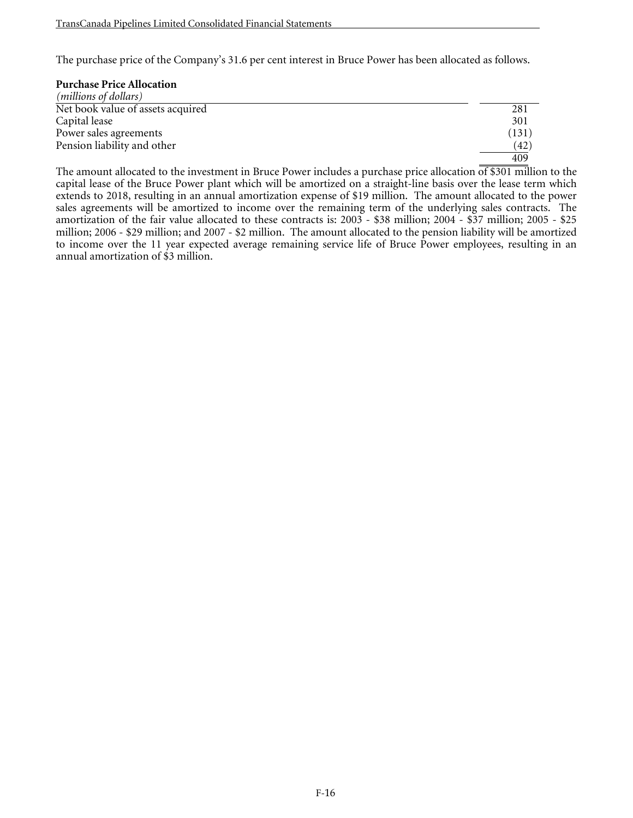The purchase price of the Company's 31.6 per cent interest in Bruce Power has been allocated as follows.

# **Purchase Price Allocation**

| ( <i>millions of dollars</i> )    |      |
|-----------------------------------|------|
| Net book value of assets acquired | 281  |
| Capital lease                     | 301  |
| Power sales agreements            | (131 |
| Pension liability and other       | (42  |
|                                   | 409  |

The amount allocated to the investment in Bruce Power includes a purchase price allocation  $\overline{of $301}$  million to the capital lease of the Bruce Power plant which will be amortized on a straight-line basis over the lease term which extends to 2018, resulting in an annual amortization expense of \$19 million. The amount allocated to the power sales agreements will be amortized to income over the remaining term of the underlying sales contracts. The amortization of the fair value allocated to these contracts is: 2003 - \$38 million; 2004 - \$37 million; 2005 - \$25 million; 2006 - \$29 million; and 2007 - \$2 million. The amount allocated to the pension liability will be amortized to income over the 11 year expected average remaining service life of Bruce Power employees, resulting in an annual amortization of \$3 million.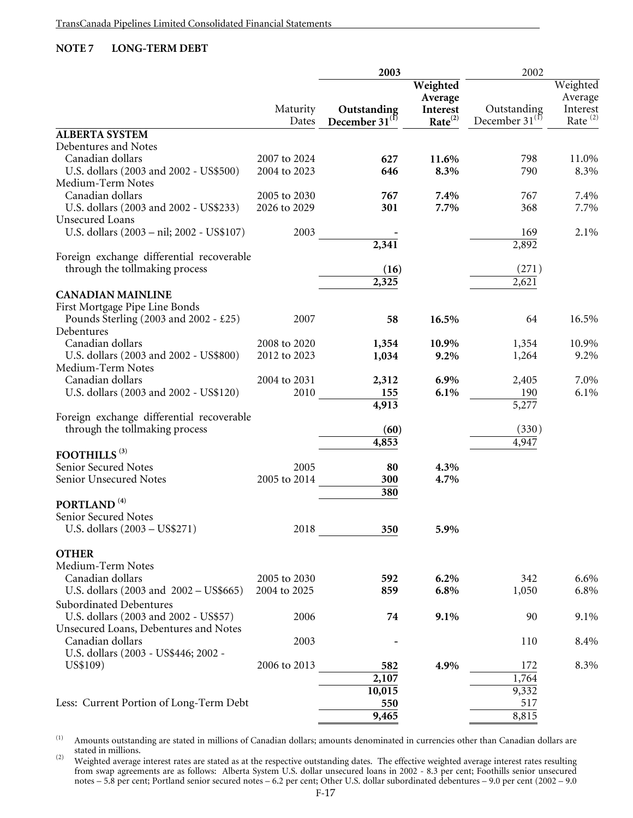# **NOTE 7 LONG-TERM DEBT**

|                                                            |                      | 2003                               |                                 | 2002                               |                                 |
|------------------------------------------------------------|----------------------|------------------------------------|---------------------------------|------------------------------------|---------------------------------|
|                                                            |                      |                                    | Weighted<br>Average             |                                    | Weighted<br>Average             |
|                                                            | Maturity<br>Dates    | Outstanding<br>December $31^\circ$ | Interest<br>Rate <sup>(2)</sup> | Outstanding<br>December $31^{(1)}$ | Interest<br>Rate <sup>(2)</sup> |
| <b>ALBERTA SYSTEM</b>                                      |                      |                                    |                                 |                                    |                                 |
| Debentures and Notes                                       |                      |                                    |                                 |                                    |                                 |
| Canadian dollars                                           | 2007 to 2024         | 627                                | 11.6%                           | 798                                | 11.0%                           |
| U.S. dollars (2003 and 2002 - US\$500)                     | 2004 to 2023         | 646                                | 8.3%                            | 790                                | 8.3%                            |
| Medium-Term Notes                                          |                      |                                    |                                 |                                    |                                 |
| Canadian dollars                                           | 2005 to 2030         | 767                                | 7.4%                            | 767                                | 7.4%                            |
| U.S. dollars (2003 and 2002 - US\$233)                     | 2026 to 2029         | 301                                | 7.7%                            | 368                                | 7.7%                            |
| <b>Unsecured Loans</b>                                     |                      |                                    |                                 |                                    |                                 |
| U.S. dollars (2003 - nil; 2002 - US\$107)                  | 2003                 |                                    |                                 | 169                                | 2.1%                            |
|                                                            |                      | 2,341                              |                                 | 2,892                              |                                 |
| Foreign exchange differential recoverable                  |                      |                                    |                                 |                                    |                                 |
| through the tollmaking process                             |                      | (16)                               |                                 | (271)                              |                                 |
|                                                            |                      | 2,325                              |                                 | 2,621                              |                                 |
| <b>CANADIAN MAINLINE</b>                                   |                      |                                    |                                 |                                    |                                 |
| First Mortgage Pipe Line Bonds                             |                      |                                    |                                 |                                    |                                 |
| Pounds Sterling (2003 and 2002 - £25)                      | 2007                 | 58                                 | 16.5%                           | 64                                 | 16.5%                           |
| Debentures                                                 |                      |                                    |                                 |                                    |                                 |
| Canadian dollars                                           | 2008 to 2020         | 1,354                              | 10.9%                           | 1,354                              | 10.9%                           |
| U.S. dollars (2003 and 2002 - US\$800)                     | 2012 to 2023         | 1,034                              | 9.2%                            | 1,264                              | 9.2%                            |
| Medium-Term Notes                                          |                      |                                    |                                 |                                    |                                 |
| Canadian dollars<br>U.S. dollars (2003 and 2002 - US\$120) | 2004 to 2031<br>2010 | 2,312                              | 6.9%<br>6.1%                    | 2,405<br>190                       | 7.0%<br>6.1%                    |
|                                                            |                      | 155<br>4,913                       |                                 | 5,277                              |                                 |
| Foreign exchange differential recoverable                  |                      |                                    |                                 |                                    |                                 |
| through the tollmaking process                             |                      | (60)                               |                                 | (330)                              |                                 |
|                                                            |                      | 4,853                              |                                 | 4,947                              |                                 |
| FOOTHILLS <sup>(3)</sup>                                   |                      |                                    |                                 |                                    |                                 |
| Senior Secured Notes                                       | 2005                 | 80                                 | 4.3%                            |                                    |                                 |
| Senior Unsecured Notes                                     | 2005 to 2014         | 300                                | 4.7%                            |                                    |                                 |
|                                                            |                      | 380                                |                                 |                                    |                                 |
| PORTLAND <sup>(4)</sup>                                    |                      |                                    |                                 |                                    |                                 |
| Senior Secured Notes                                       |                      |                                    |                                 |                                    |                                 |
| U.S. dollars (2003 – US\$271)                              | 2018                 | 350                                | 5.9%                            |                                    |                                 |
|                                                            |                      |                                    |                                 |                                    |                                 |
| <b>OTHER</b>                                               |                      |                                    |                                 |                                    |                                 |
| Medium-Term Notes                                          |                      |                                    |                                 |                                    |                                 |
| Canadian dollars                                           | 2005 to 2030         | 592                                | 6.2%                            | 342                                | 6.6%                            |
| U.S. dollars (2003 and 2002 - US\$665)                     | 2004 to 2025         | 859                                | 6.8%                            | 1,050                              | 6.8%                            |
| <b>Subordinated Debentures</b>                             |                      |                                    |                                 |                                    |                                 |
| U.S. dollars (2003 and 2002 - US\$57)                      | 2006                 | 74                                 | 9.1%                            | 90                                 | 9.1%                            |
| Unsecured Loans, Debentures and Notes                      |                      |                                    |                                 |                                    |                                 |
| Canadian dollars                                           | 2003                 |                                    |                                 | 110                                | 8.4%                            |
| U.S. dollars (2003 - US\$446; 2002 -                       |                      |                                    |                                 |                                    |                                 |
| US\$109)                                                   | 2006 to 2013         | 582                                | 4.9%                            | 172                                | 8.3%                            |
|                                                            |                      | 2,107                              |                                 | 1,764                              |                                 |
|                                                            |                      | 10,015                             |                                 | 9,332                              |                                 |
| Less: Current Portion of Long-Term Debt                    |                      | 550                                |                                 | 517                                |                                 |
|                                                            |                      | 9,465                              |                                 | 8,815                              |                                 |

(1) Amounts outstanding are stated in millions of Canadian dollars; amounts denominated in currencies other than Canadian dollars are stated in millions.

 $^{(2)}$  Weighted average interest rates are stated as at the respective outstanding dates. The effective weighted average interest rates resulting from swap agreements are as follows: Alberta System U.S. dollar unsecured loans in 2002 - 8.3 per cent; Foothills senior unsecured notes – 5.8 per cent; Portland senior secured notes – 6.2 per cent; Other U.S. dollar subordinated debentures – 9.0 per cent (2002 – 9.0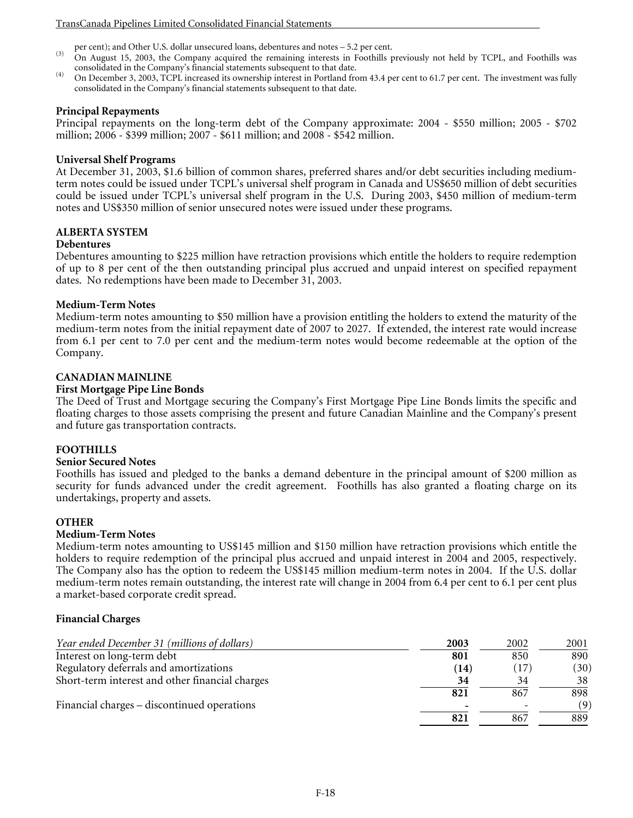- per cent); and Other U.S. dollar unsecured loans, debentures and notes 5.2 per cent.<br>
(3) On August 15, 2003, the Company acquired the remaining interests in Foothills previously not held by TCPL, and Foothills was cons
- (4) On December 3, 2003, TCPL increased its ownership interest in Portland from 43.4 per cent to 61.7 per cent. The investment was fully consolidated in the Company's financial statements subsequent to that date.

#### **Principal Repayments**

Principal repayments on the long-term debt of the Company approximate: 2004 - \$550 million; 2005 - \$702 million; 2006 - \$399 million; 2007 - \$611 million; and 2008 - \$542 million.

#### **Universal Shelf Programs**

At December 31, 2003, \$1.6 billion of common shares, preferred shares and/or debt securities including mediumterm notes could be issued under TCPL's universal shelf program in Canada and US\$650 million of debt securities could be issued under TCPL's universal shelf program in the U.S. During 2003, \$450 million of medium-term notes and US\$350 million of senior unsecured notes were issued under these programs.

# **ALBERTA SYSTEM**

## **Debentures**

Debentures amounting to \$225 million have retraction provisions which entitle the holders to require redemption of up to 8 per cent of the then outstanding principal plus accrued and unpaid interest on specified repayment dates. No redemptions have been made to December 31, 2003.

## **Medium-Term Notes**

Medium-term notes amounting to \$50 million have a provision entitling the holders to extend the maturity of the medium-term notes from the initial repayment date of 2007 to 2027. If extended, the interest rate would increase from 6.1 per cent to 7.0 per cent and the medium-term notes would become redeemable at the option of the Company.

## **CANADIAN MAINLINE**

## **First Mortgage Pipe Line Bonds**

The Deed of Trust and Mortgage securing the Company's First Mortgage Pipe Line Bonds limits the specific and floating charges to those assets comprising the present and future Canadian Mainline and the Company's present and future gas transportation contracts.

#### **FOOTHILLS**

#### **Senior Secured Notes**

Foothills has issued and pledged to the banks a demand debenture in the principal amount of \$200 million as security for funds advanced under the credit agreement. Foothills has also granted a floating charge on its undertakings, property and assets.

#### **OTHER**

#### **Medium-Term Notes**

Medium-term notes amounting to US\$145 million and \$150 million have retraction provisions which entitle the holders to require redemption of the principal plus accrued and unpaid interest in 2004 and 2005, respectively. The Company also has the option to redeem the US\$145 million medium-term notes in 2004. If the U.S. dollar medium-term notes remain outstanding, the interest rate will change in 2004 from 6.4 per cent to 6.1 per cent plus a market-based corporate credit spread.

#### **Financial Charges**

| Year ended December 31 (millions of dollars)    | 2003 | 2002 | 2001 |
|-------------------------------------------------|------|------|------|
| Interest on long-term debt                      | 801  | 850  | 890  |
| Regulatory deferrals and amortizations          | (14) | 17   | (30) |
| Short-term interest and other financial charges | 34   | 34   | 38   |
|                                                 | 821  | 867  | 898  |
| Financial charges – discontinued operations     |      |      | (9)  |
|                                                 | 821  | 867  | 889  |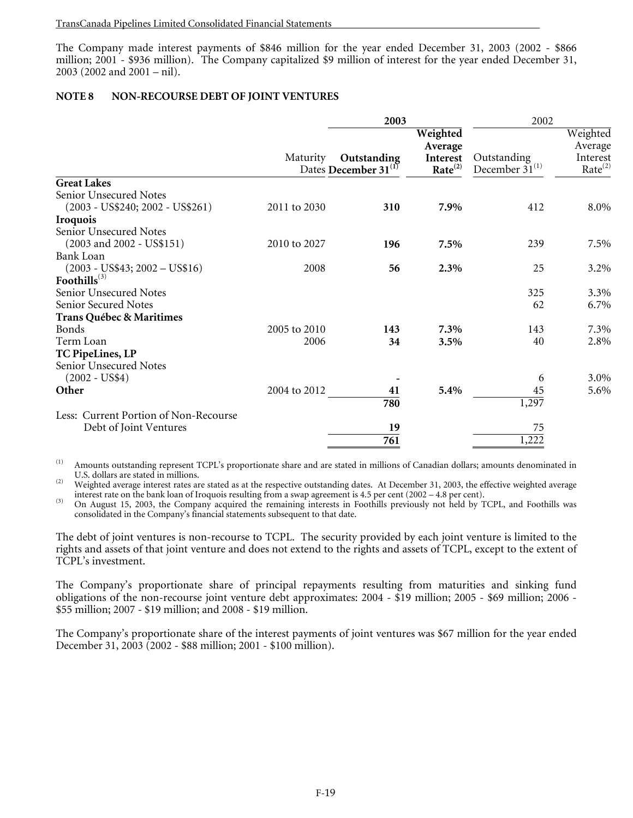The Company made interest payments of \$846 million for the year ended December 31, 2003 (2002 - \$866 million; 2001 - \$936 million). The Company capitalized \$9 million of interest for the year ended December 31, 2003 (2002 and 2001 – nil).

## **NOTE 8 NON-RECOURSE DEBT OF JOINT VENTURES**

|                                       | 2003         |                                  |                     | 2002                |                     |  |
|---------------------------------------|--------------|----------------------------------|---------------------|---------------------|---------------------|--|
|                                       |              |                                  | Weighted<br>Average |                     | Weighted<br>Average |  |
|                                       | Maturity     | Outstanding                      | Interest            | Outstanding         | Interest            |  |
|                                       |              | Dates December 31 <sup>(1)</sup> | Rate <sup>(2)</sup> | December $31^{(1)}$ | Rate <sup>(2)</sup> |  |
| <b>Great Lakes</b>                    |              |                                  |                     |                     |                     |  |
| Senior Unsecured Notes                |              |                                  |                     |                     |                     |  |
| $(2003 - US$240; 2002 - US$261)$      | 2011 to 2030 | 310                              | 7.9%                | 412                 | 8.0%                |  |
| <b>Iroquois</b>                       |              |                                  |                     |                     |                     |  |
| Senior Unsecured Notes                |              |                                  |                     |                     |                     |  |
| $(2003$ and $2002 - US$151)$          | 2010 to 2027 | 196                              | 7.5%                | 239                 | 7.5%                |  |
| Bank Loan                             |              |                                  |                     |                     |                     |  |
| $(2003 - US$43; 2002 - US$16)$        | 2008         | 56                               | 2.3%                | 25                  | 3.2%                |  |
| Foothills $^{(3)}$                    |              |                                  |                     |                     |                     |  |
| Senior Unsecured Notes                |              |                                  |                     | 325                 | 3.3%                |  |
| Senior Secured Notes                  |              |                                  |                     | 62                  | 6.7%                |  |
| <b>Trans Québec &amp; Maritimes</b>   |              |                                  |                     |                     |                     |  |
| Bonds                                 | 2005 to 2010 | 143                              | 7.3%                | 143                 | 7.3%                |  |
| Term Loan                             | 2006         | 34                               | 3.5%                | 40                  | 2.8%                |  |
| TC PipeLines, LP                      |              |                                  |                     |                     |                     |  |
| Senior Unsecured Notes                |              |                                  |                     |                     |                     |  |
| $(2002 - US $4)$                      |              |                                  |                     | 6                   | 3.0%                |  |
| Other                                 | 2004 to 2012 | 41                               | 5.4%                | 45                  | 5.6%                |  |
|                                       |              | 780                              |                     | 1,297               |                     |  |
| Less: Current Portion of Non-Recourse |              |                                  |                     |                     |                     |  |
| Debt of Joint Ventures                |              | 19                               |                     | 75                  |                     |  |
|                                       |              | 761                              |                     | 1,222               |                     |  |
|                                       |              |                                  |                     |                     |                     |  |

(1) Amounts outstanding represent TCPL's proportionate share and are stated in millions of Canadian dollars; amounts denominated in U.S. dollars are stated in millions.

(2) Weighted average interest rates are stated as at the respective outstanding dates. At December 31, 2003, the effective weighted average interest rate on the bank loan of Iroquois resulting from a swap agreement is 4.5

<sup>(3)</sup> On August 15, 2003, the Company acquired the remaining interests in Foothills previously not held by TCPL, and Foothills was consolidated in the Company's financial statements subsequent to that date.

The debt of joint ventures is non-recourse to TCPL. The security provided by each joint venture is limited to the rights and assets of that joint venture and does not extend to the rights and assets of TCPL, except to the extent of TCPL's investment.

The Company's proportionate share of principal repayments resulting from maturities and sinking fund obligations of the non-recourse joint venture debt approximates: 2004 - \$19 million; 2005 - \$69 million; 2006 - \$55 million; 2007 - \$19 million; and 2008 - \$19 million.

The Company's proportionate share of the interest payments of joint ventures was \$67 million for the year ended December 31, 2003 (2002 - \$88 million; 2001 - \$100 million).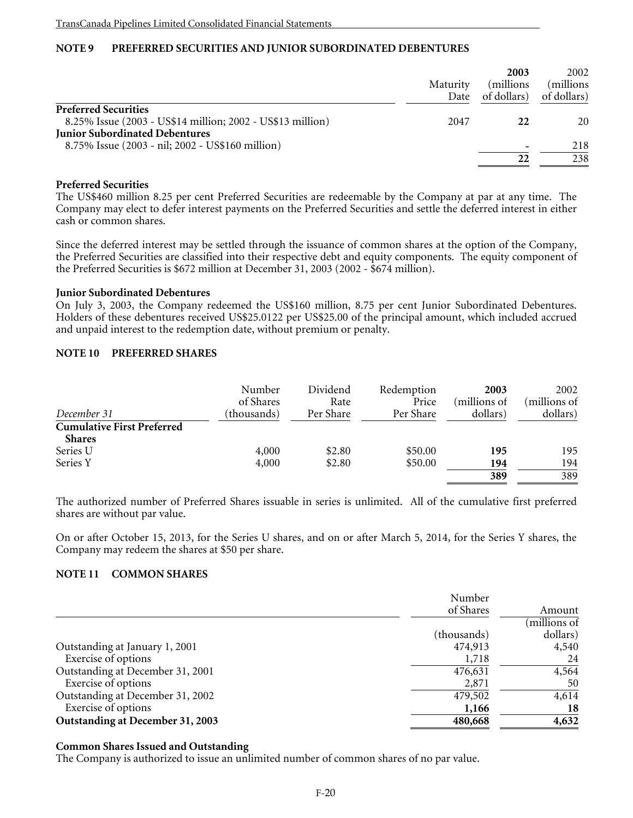# **NOTE 9 PREFERRED SECURITIES AND JUNIOR SUBORDINATED DEBENTURES**

|                                                                                           | Maturity<br>Date | 2003<br>millions)<br>of dollars) | 2002<br>millions)<br>of dollars) |
|-------------------------------------------------------------------------------------------|------------------|----------------------------------|----------------------------------|
| <b>Preferred Securities</b><br>8.25% Issue (2003 - US\$14 million; 2002 - US\$13 million) | 2047             | 22                               | 20                               |
| <b>Junior Subordinated Debentures</b>                                                     |                  |                                  |                                  |
| 8.75% Issue (2003 - nil; 2002 - US\$160 million)                                          |                  |                                  | 218                              |
|                                                                                           |                  |                                  | 238                              |

## **Preferred Securities**

The US\$460 million 8.25 per cent Preferred Securities are redeemable by the Company at par at any time. The Company may elect to defer interest payments on the Preferred Securities and settle the deferred interest in either cash or common shares.

Since the deferred interest may be settled through the issuance of common shares at the option of the Company, the Preferred Securities are classified into their respective debt and equity components. The equity component of the Preferred Securities is \$672 million at December 31, 2003 (2002 - \$674 million).

#### **Junior Subordinated Debentures**

On July 3, 2003, the Company redeemed the US\$160 million, 8.75 per cent Junior Subordinated Debentures. Holders of these debentures received US\$25.0122 per US\$25.00 of the principal amount, which included accrued and unpaid interest to the redemption date, without premium or penalty.

## **NOTE 10 PREFERRED SHARES**

|                                   | Number<br>of Shares | Dividend<br>Rate | Redemption<br>Price | 2003<br>(millions of | 2002<br>(millions of |
|-----------------------------------|---------------------|------------------|---------------------|----------------------|----------------------|
| December 31                       | (thousands)         | Per Share        | Per Share           | dollars)             | dollars)             |
| <b>Cumulative First Preferred</b> |                     |                  |                     |                      |                      |
| <b>Shares</b>                     |                     |                  |                     |                      |                      |
| Series U                          | 4,000               | \$2.80           | \$50.00             | 195                  | 195                  |
| Series Y                          | 4,000               | \$2.80           | \$50.00             | 194                  | 194                  |
|                                   |                     |                  |                     | 389                  | 389                  |

The authorized number of Preferred Shares issuable in series is unlimited. All of the cumulative first preferred shares are without par value.

On or after October 15, 2013, for the Series U shares, and on or after March 5, 2014, for the Series Y shares, the Company may redeem the shares at \$50 per share.

## **NOTE 11 COMMON SHARES**

|                                  | Number      |              |
|----------------------------------|-------------|--------------|
|                                  | of Shares   | Amount       |
|                                  |             | (millions of |
|                                  | (thousands) | dollars)     |
| Outstanding at January 1, 2001   | 474,913     | 4,540        |
| Exercise of options              | 1,718       | 24           |
| Outstanding at December 31, 2001 | 476,631     | 4,564        |
| Exercise of options              | 2,871       | 50           |
| Outstanding at December 31, 2002 | 479,502     | 4,614        |
| Exercise of options              | 1,166       | 18           |
| Outstanding at December 31, 2003 | 480,668     | 4,632        |

#### **Common Shares Issued and Outstanding**

The Company is authorized to issue an unlimited number of common shares of no par value.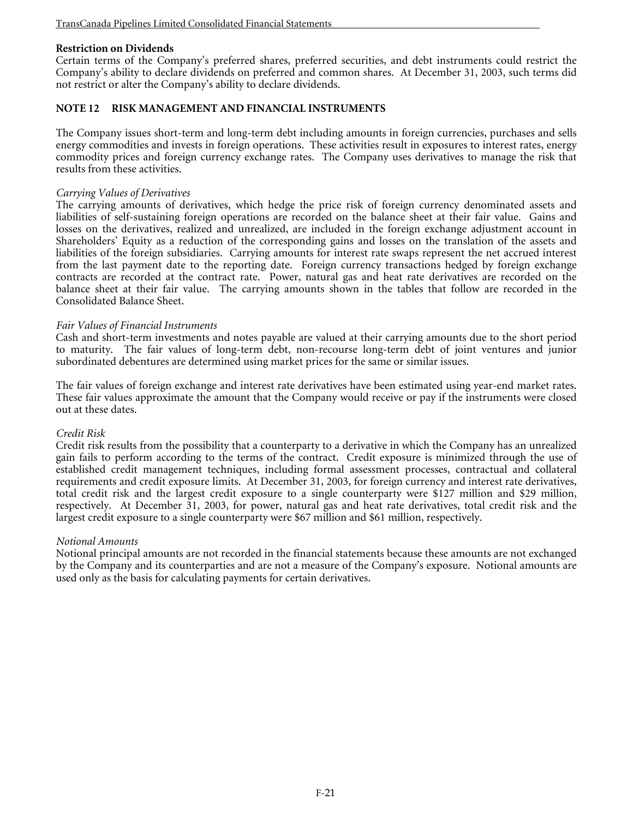## **Restriction on Dividends**

Certain terms of the Company's preferred shares, preferred securities, and debt instruments could restrict the Company's ability to declare dividends on preferred and common shares. At December 31, 2003, such terms did not restrict or alter the Company's ability to declare dividends.

## **NOTE 12 RISK MANAGEMENT AND FINANCIAL INSTRUMENTS**

The Company issues short-term and long-term debt including amounts in foreign currencies, purchases and sells energy commodities and invests in foreign operations. These activities result in exposures to interest rates, energy commodity prices and foreign currency exchange rates. The Company uses derivatives to manage the risk that results from these activities.

#### *Carrying Values of Derivatives*

The carrying amounts of derivatives, which hedge the price risk of foreign currency denominated assets and liabilities of self-sustaining foreign operations are recorded on the balance sheet at their fair value. Gains and losses on the derivatives, realized and unrealized, are included in the foreign exchange adjustment account in Shareholders' Equity as a reduction of the corresponding gains and losses on the translation of the assets and liabilities of the foreign subsidiaries. Carrying amounts for interest rate swaps represent the net accrued interest from the last payment date to the reporting date. Foreign currency transactions hedged by foreign exchange contracts are recorded at the contract rate. Power, natural gas and heat rate derivatives are recorded on the balance sheet at their fair value. The carrying amounts shown in the tables that follow are recorded in the Consolidated Balance Sheet.

## *Fair Values of Financial Instruments*

Cash and short-term investments and notes payable are valued at their carrying amounts due to the short period to maturity. The fair values of long-term debt, non-recourse long-term debt of joint ventures and junior subordinated debentures are determined using market prices for the same or similar issues.

The fair values of foreign exchange and interest rate derivatives have been estimated using year-end market rates. These fair values approximate the amount that the Company would receive or pay if the instruments were closed out at these dates.

#### *Credit Risk*

Credit risk results from the possibility that a counterparty to a derivative in which the Company has an unrealized gain fails to perform according to the terms of the contract. Credit exposure is minimized through the use of established credit management techniques, including formal assessment processes, contractual and collateral requirements and credit exposure limits. At December 31, 2003, for foreign currency and interest rate derivatives, total credit risk and the largest credit exposure to a single counterparty were \$127 million and \$29 million, respectively. At December 31, 2003, for power, natural gas and heat rate derivatives, total credit risk and the largest credit exposure to a single counterparty were \$67 million and \$61 million, respectively.

#### *Notional Amounts*

Notional principal amounts are not recorded in the financial statements because these amounts are not exchanged by the Company and its counterparties and are not a measure of the Company's exposure. Notional amounts are used only as the basis for calculating payments for certain derivatives.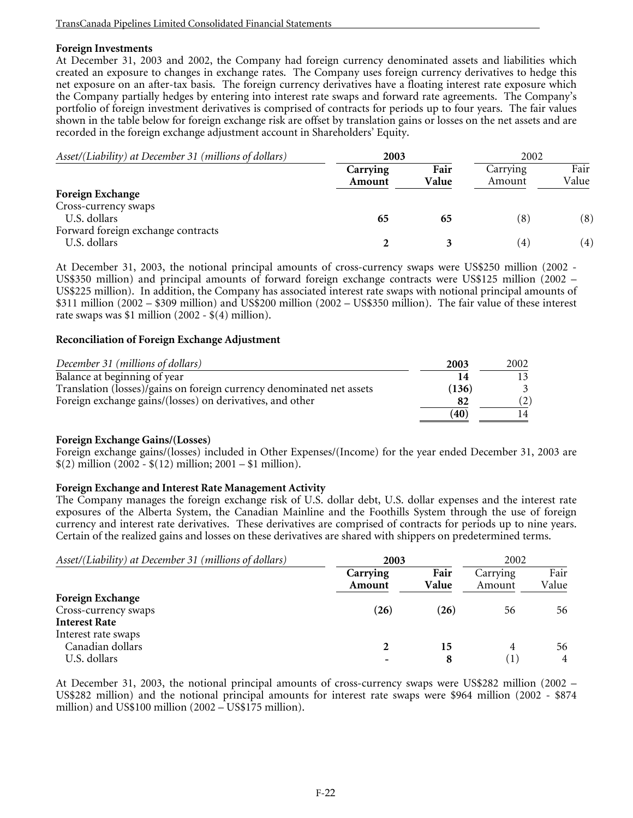## **Foreign Investments**

At December 31, 2003 and 2002, the Company had foreign currency denominated assets and liabilities which created an exposure to changes in exchange rates. The Company uses foreign currency derivatives to hedge this net exposure on an after-tax basis. The foreign currency derivatives have a floating interest rate exposure which the Company partially hedges by entering into interest rate swaps and forward rate agreements. The Company's portfolio of foreign investment derivatives is comprised of contracts for periods up to four years. The fair values shown in the table below for foreign exchange risk are offset by translation gains or losses on the net assets and are recorded in the foreign exchange adjustment account in Shareholders' Equity.

| Asset/(Liability) at December 31 (millions of dollars) | 2003               |               | 2002                   |               |
|--------------------------------------------------------|--------------------|---------------|------------------------|---------------|
|                                                        | Carrying<br>Amount | Fair<br>Value | Carrying<br>Amount     | Fair<br>Value |
| <b>Foreign Exchange</b>                                |                    |               |                        |               |
| Cross-currency swaps                                   |                    |               |                        |               |
| U.S. dollars                                           | 65                 | 65            | (8)                    | (8)           |
| Forward foreign exchange contracts                     |                    |               |                        |               |
| U.S. dollars                                           |                    |               | $\left 4\right\rangle$ | (4)           |

At December 31, 2003, the notional principal amounts of cross-currency swaps were US\$250 million (2002 - US\$350 million) and principal amounts of forward foreign exchange contracts were US\$125 million (2002 – US\$225 million). In addition, the Company has associated interest rate swaps with notional principal amounts of \$311 million (2002 – \$309 million) and US\$200 million (2002 – US\$350 million). The fair value of these interest rate swaps was \$1 million (2002 - \$(4) million).

## **Reconciliation of Foreign Exchange Adjustment**

| December 31 (millions of dollars)                                     | 2003  | 2002 |
|-----------------------------------------------------------------------|-------|------|
| Balance at beginning of year                                          |       |      |
| Translation (losses)/gains on foreign currency denominated net assets | (136) |      |
| Foreign exchange gains/(losses) on derivatives, and other             | 82    |      |
|                                                                       | (40)  |      |

#### **Foreign Exchange Gains/(Losses)**

Foreign exchange gains/(losses) included in Other Expenses/(Income) for the year ended December 31, 2003 are  $$(2)$  million  $(2002 - $(12)$  million;  $2001 - $1$  million).

#### **Foreign Exchange and Interest Rate Management Activity**

The Company manages the foreign exchange risk of U.S. dollar debt, U.S. dollar expenses and the interest rate exposures of the Alberta System, the Canadian Mainline and the Foothills System through the use of foreign currency and interest rate derivatives. These derivatives are comprised of contracts for periods up to nine years. Certain of the realized gains and losses on these derivatives are shared with shippers on predetermined terms.

| Asset/(Liability) at December 31 (millions of dollars) | 2003               |               | 2002               |               |  |
|--------------------------------------------------------|--------------------|---------------|--------------------|---------------|--|
|                                                        | Carrying<br>Amount | Fair<br>Value | Carrying<br>Amount | Fair<br>Value |  |
| <b>Foreign Exchange</b>                                |                    |               |                    |               |  |
| Cross-currency swaps                                   | (26)               | (26)          | 56                 | 56            |  |
| <b>Interest Rate</b>                                   |                    |               |                    |               |  |
| Interest rate swaps                                    |                    |               |                    |               |  |
| Canadian dollars                                       |                    | 15            | 4                  | 56            |  |
| U.S. dollars                                           |                    |               | $\mathbf{1}$       | 4             |  |

At December 31, 2003, the notional principal amounts of cross-currency swaps were US\$282 million (2002 – US\$282 million) and the notional principal amounts for interest rate swaps were \$964 million (2002 - \$874 million) and US\$100 million (2002 – US\$175 million).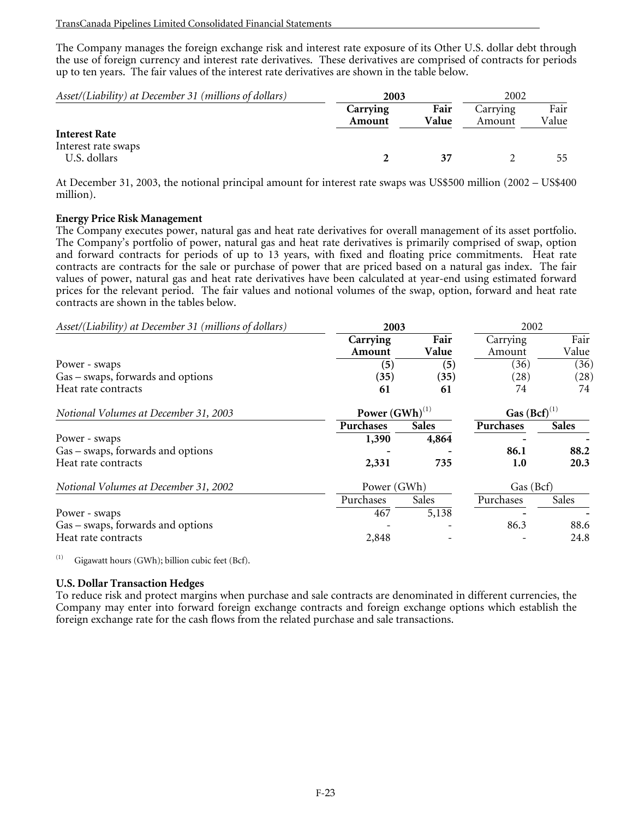The Company manages the foreign exchange risk and interest rate exposure of its Other U.S. dollar debt through the use of foreign currency and interest rate derivatives. These derivatives are comprised of contracts for periods up to ten years. The fair values of the interest rate derivatives are shown in the table below.

| Asset/(Liability) at December 31 (millions of dollars) | 2003               |               | 2002               |               |
|--------------------------------------------------------|--------------------|---------------|--------------------|---------------|
|                                                        | Carrying<br>Amount | Fair<br>Value | Carrying<br>Amount | Fair<br>Value |
| <b>Interest Rate</b><br>Interest rate swaps            |                    |               |                    |               |
| U.S. dollars                                           |                    |               |                    | 55            |

At December 31, 2003, the notional principal amount for interest rate swaps was US\$500 million (2002 – US\$400 million).

## **Energy Price Risk Management**

The Company executes power, natural gas and heat rate derivatives for overall management of its asset portfolio. The Company's portfolio of power, natural gas and heat rate derivatives is primarily comprised of swap, option and forward contracts for periods of up to 13 years, with fixed and floating price commitments. Heat rate contracts are contracts for the sale or purchase of power that are priced based on a natural gas index. The fair values of power, natural gas and heat rate derivatives have been calculated at year-end using estimated forward prices for the relevant period. The fair values and notional volumes of the swap, option, forward and heat rate contracts are shown in the tables below.

| Asset/(Liability) at December 31 (millions of dollars) | 2003                |              |                   | 2002         |  |
|--------------------------------------------------------|---------------------|--------------|-------------------|--------------|--|
|                                                        | Carrying            | Fair         | Carrying          | Fair         |  |
|                                                        | Amount              | Value        | Amount            | Value        |  |
| Power - swaps                                          | (5)                 | (5)          | (36)              | (36)         |  |
| Gas – swaps, forwards and options                      | (35)                | (35)         | (28)              | (28)         |  |
| Heat rate contracts                                    | 61                  | 61           | 74                | 74           |  |
| Notional Volumes at December 31, 2003                  | Power $(GWh)^{(1)}$ |              | Gas $(Bcf)^{(1)}$ |              |  |
|                                                        | Purchases           | <b>Sales</b> | Purchases         | <b>Sales</b> |  |
| Power - swaps                                          | 1,390               | 4,864        |                   |              |  |
| Gas – swaps, forwards and options                      |                     |              | 86.1              | 88.2         |  |
| Heat rate contracts                                    | 2,331               | 735          | 1.0               | 20.3         |  |
| Notional Volumes at December 31, 2002                  | Power (GWh)         |              | Gas (Bcf)         |              |  |
|                                                        | Purchases           | Sales        | Purchases         | Sales        |  |
| Power - swaps                                          | 467                 | 5,138        |                   |              |  |
| Gas – swaps, forwards and options                      |                     |              | 86.3              | 88.6         |  |
| Heat rate contracts                                    | 2,848               |              |                   | 24.8         |  |

 $(i)$  Gigawatt hours (GWh); billion cubic feet (Bcf).

#### **U.S. Dollar Transaction Hedges**

To reduce risk and protect margins when purchase and sale contracts are denominated in different currencies, the Company may enter into forward foreign exchange contracts and foreign exchange options which establish the foreign exchange rate for the cash flows from the related purchase and sale transactions.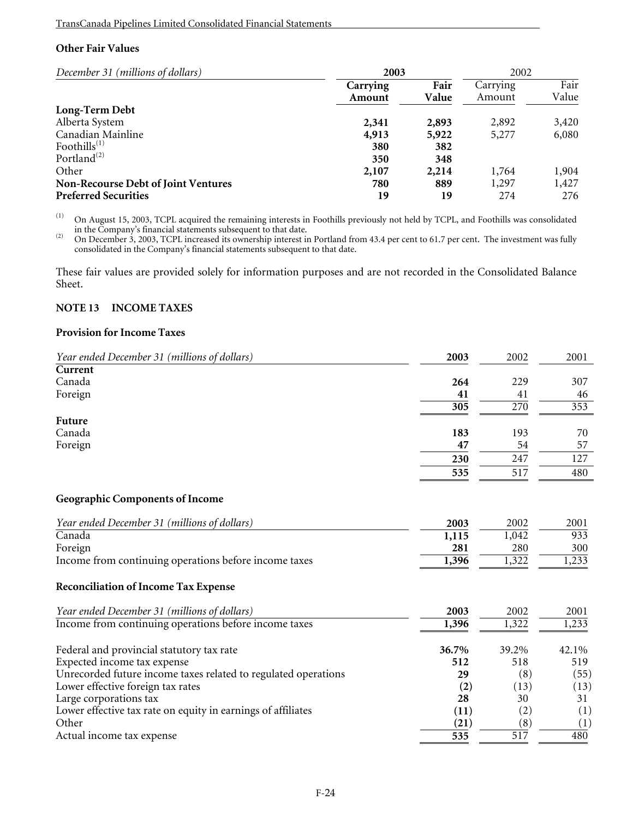# **Other Fair Values**

| December 31 (millions of dollars)          | 2003               |               | 2002               |               |
|--------------------------------------------|--------------------|---------------|--------------------|---------------|
|                                            | Carrying<br>Amount | Fair<br>Value | Carrying<br>Amount | Fair<br>Value |
| Long-Term Debt                             |                    |               |                    |               |
| Alberta System                             | 2,341              | 2,893         | 2,892              | 3,420         |
| Canadian Mainline                          | 4,913              | 5,922         | 5,277              | 6,080         |
| Foothills $^{(1)}$                         | 380                | 382           |                    |               |
| Portland <sup><math>(2)</math></sup>       | 350                | 348           |                    |               |
| Other                                      | 2,107              | 2,214         | 1,764              | 1,904         |
| <b>Non-Recourse Debt of Joint Ventures</b> | 780                | 889           | 1,297              | 1,427         |
| <b>Preferred Securities</b>                | 19                 | 19            | 274                | 276           |

(1) On August 15, 2003, TCPL acquired the remaining interests in Foothills previously not held by TCPL, and Foothills was consolidated

in the Company's financial statements subsequent to that date.<br>
(2) On December 3, 2003, TCPL increased its ownership interest in Portland from 43.4 per cent to 61.7 per cent. The investment was fully consolidated in the Company's financial statements subsequent to that date.

These fair values are provided solely for information purposes and are not recorded in the Consolidated Balance Sheet.

## **NOTE 13 INCOME TAXES**

#### **Provision for Income Taxes**

| Year ended December 31 (millions of dollars) | 2003 | 2002 | 2001 |
|----------------------------------------------|------|------|------|
| Current                                      |      |      |      |
| Canada                                       | 264  | 229  | 307  |
| Foreign                                      | 41   | 41   | 46   |
|                                              | 305  | 270  | 353  |
| Future                                       |      |      |      |
| Canada                                       | 183  | 193  | 70   |
| Foreign                                      | 47   | 54   | 57   |
|                                              | 230  | 247  | 127  |
|                                              | 535  | 517  | 480  |
|                                              |      |      |      |

## **Geographic Components of Income**

| Year ended December 31 (millions of dollars)                   | 2003               | 2002  | 2001  |
|----------------------------------------------------------------|--------------------|-------|-------|
| Canada                                                         | 1,115              | 1,042 | 933   |
| Foreign                                                        | 281                | 280   | 300   |
| Income from continuing operations before income taxes          | 1,396              | 1,322 | 1,233 |
| <b>Reconciliation of Income Tax Expense</b>                    |                    |       |       |
| Year ended December 31 (millions of dollars)                   | 2003               | 2002  | 2001  |
| Income from continuing operations before income taxes          | 1,396              | 1,322 | 1,233 |
| Federal and provincial statutory tax rate                      | 36.7%              | 39.2% | 42.1% |
| Expected income tax expense                                    | 512                | 518   | 519   |
| Unrecorded future income taxes related to regulated operations | 29                 | (8)   | (55)  |
| Lower effective foreign tax rates                              | (2)                | (13)  | (13)  |
| Large corporations tax                                         | 28                 | 30    | 31    |
| Lower effective tax rate on equity in earnings of affiliates   | (11)               | (2)   | (1)   |
| Other                                                          | $\left( 21\right)$ | (8)   | (1)   |
| Actual income tax expense                                      | 535                | 517   | 480   |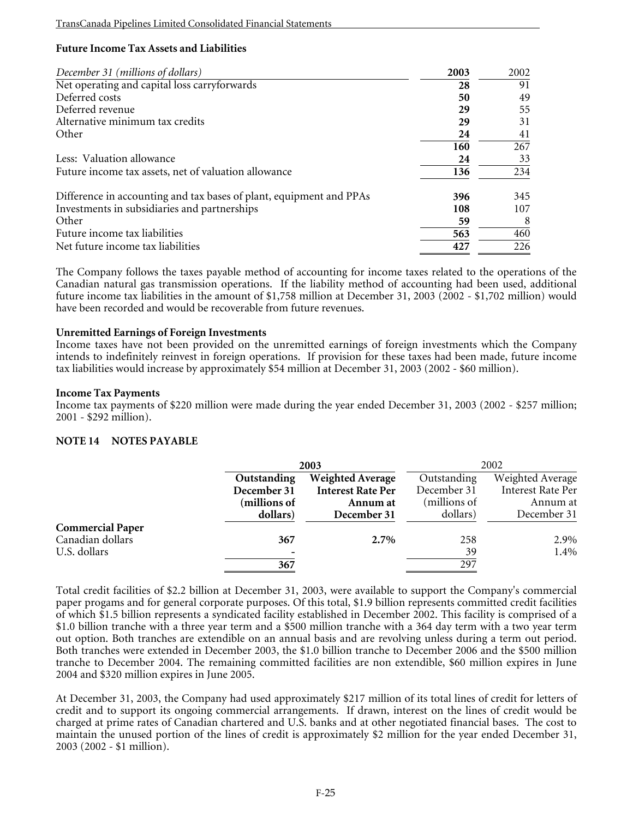# **Future Income Tax Assets and Liabilities**

| December 31 (millions of dollars)                                   | 2003 | 2002 |
|---------------------------------------------------------------------|------|------|
| Net operating and capital loss carryforwards                        | 28   | 91   |
| Deferred costs                                                      | 50   | 49   |
| Deferred revenue                                                    | 29   | 55   |
| Alternative minimum tax credits                                     | 29   | 31   |
| Other                                                               | 24   | 41   |
|                                                                     | 160  | 267  |
| Less: Valuation allowance                                           | 24   | 33   |
| Future income tax assets, net of valuation allowance                | 136  | 234  |
| Difference in accounting and tax bases of plant, equipment and PPAs | 396  | 345  |
| Investments in subsidiaries and partnerships                        | 108  | 107  |
| Other                                                               | 59   | 8    |
| Future income tax liabilities                                       | 563  | 460  |
| Net future income tax liabilities                                   | 427  | 226  |

The Company follows the taxes payable method of accounting for income taxes related to the operations of the Canadian natural gas transmission operations. If the liability method of accounting had been used, additional future income tax liabilities in the amount of \$1,758 million at December 31, 2003 (2002 - \$1,702 million) would have been recorded and would be recoverable from future revenues.

## **Unremitted Earnings of Foreign Investments**

Income taxes have not been provided on the unremitted earnings of foreign investments which the Company intends to indefinitely reinvest in foreign operations. If provision for these taxes had been made, future income tax liabilities would increase by approximately \$54 million at December 31, 2003 (2002 - \$60 million).

#### **Income Tax Payments**

Income tax payments of \$220 million were made during the year ended December 31, 2003 (2002 - \$257 million; 2001 - \$292 million).

## **NOTE 14 NOTES PAYABLE**

|                         |              | 2003                     |              | 2002                     |
|-------------------------|--------------|--------------------------|--------------|--------------------------|
|                         | Outstanding  | <b>Weighted Average</b>  | Outstanding  | Weighted Average         |
|                         | December 31  | <b>Interest Rate Per</b> | December 31  | <b>Interest Rate Per</b> |
|                         | (millions of | Annum at                 | (millions of | Annum at                 |
|                         | dollars)     | December 31              | dollars)     | December 31              |
| <b>Commercial Paper</b> |              |                          |              |                          |
| Canadian dollars        | 367          | 2.7%                     | 258          | 2.9%                     |
| U.S. dollars            |              |                          | 39           | 1.4%                     |
|                         | 367          |                          | 297          |                          |

Total credit facilities of \$2.2 billion at December 31, 2003, were available to support the Company's commercial paper progams and for general corporate purposes. Of this total, \$1.9 billion represents committed credit facilities of which \$1.5 billion represents a syndicated facility established in December 2002. This facility is comprised of a \$1.0 billion tranche with a three year term and a \$500 million tranche with a 364 day term with a two year term out option. Both tranches are extendible on an annual basis and are revolving unless during a term out period. Both tranches were extended in December 2003, the \$1.0 billion tranche to December 2006 and the \$500 million tranche to December 2004. The remaining committed facilities are non extendible, \$60 million expires in June 2004 and \$320 million expires in June 2005.

At December 31, 2003, the Company had used approximately \$217 million of its total lines of credit for letters of credit and to support its ongoing commercial arrangements. If drawn, interest on the lines of credit would be charged at prime rates of Canadian chartered and U.S. banks and at other negotiated financial bases. The cost to maintain the unused portion of the lines of credit is approximately \$2 million for the year ended December 31, 2003 (2002 - \$1 million).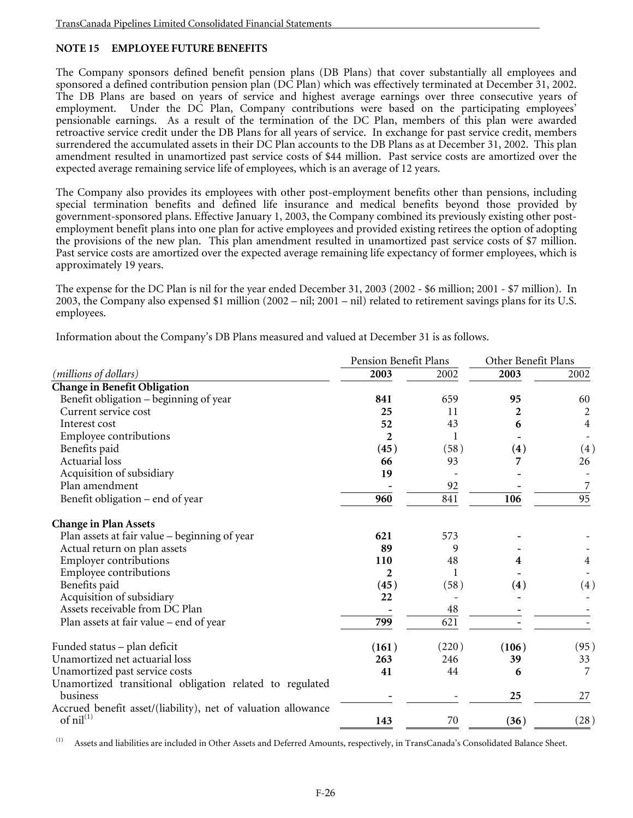# **NOTE 15 EMPLOYEE FUTURE BENEFITS**

The Company sponsors defined benefit pension plans (DB Plans) that cover substantially all employees and sponsored a defined contribution pension plan (DC Plan) which was effectively terminated at December 31, 2002. The DB Plans are based on years of service and highest average earnings over three consecutive years of employment. Under the DC Plan, Company contributions were based on the participating employees' pensionable earnings. As a result of the termination of the DC Plan, members of this plan were awarded retroactive service credit under the DB Plans for all years of service. In exchange for past service credit, members surrendered the accumulated assets in their DC Plan accounts to the DB Plans as at December 31, 2002. This plan amendment resulted in unamortized past service costs of \$44 million. Past service costs are amortized over the expected average remaining service life of employees, which is an average of 12 years.

The Company also provides its employees with other post-employment benefits other than pensions, including special termination benefits and defined life insurance and medical benefits beyond those provided by government-sponsored plans. Effective January 1, 2003, the Company combined its previously existing other postemployment benefit plans into one plan for active employees and provided existing retirees the option of adopting the provisions of the new plan. This plan amendment resulted in unamortized past service costs of \$7 million. Past service costs are amortized over the expected average remaining life expectancy of former employees, which is approximately 19 years.

The expense for the DC Plan is nil for the year ended December 31, 2003 (2002 - \$6 million; 2001 - \$7 million). In 2003, the Company also expensed \$1 million (2002 – nil; 2001 – nil) related to retirement savings plans for its U.S. employees.

Information about the Company's DB Plans measured and valued at December 31 is as follows.

|                                                                              | Pension Benefit Plans |       | Other Benefit Plans |                 |
|------------------------------------------------------------------------------|-----------------------|-------|---------------------|-----------------|
| ( <i>millions</i> of <i>dollars</i> )                                        | 2003                  | 2002  | 2003                | 2002            |
| <b>Change in Benefit Obligation</b>                                          |                       |       |                     |                 |
| Benefit obligation – beginning of year                                       | 841                   | 659   | 95                  | 60              |
| Current service cost                                                         | 25                    | 11    | 2                   | 2               |
| Interest cost                                                                | 52                    | 43    | 6                   | $\overline{4}$  |
| <b>Employee contributions</b>                                                | $\boldsymbol{2}$      | 1     |                     |                 |
| Benefits paid                                                                | (45)                  | (58)  | (4)                 | (4)             |
| <b>Actuarial</b> loss                                                        | 66                    | 93    |                     | 26              |
| Acquisition of subsidiary                                                    | 19                    |       |                     |                 |
| Plan amendment                                                               |                       | 92    |                     | 7               |
| Benefit obligation – end of year                                             | 960                   | 841   | 106                 | $\overline{95}$ |
| <b>Change in Plan Assets</b>                                                 |                       |       |                     |                 |
| Plan assets at fair value – beginning of year                                | 621                   | 573   |                     |                 |
| Actual return on plan assets                                                 | 89                    | 9     |                     |                 |
| <b>Employer contributions</b>                                                | 110                   | 48    |                     | 4               |
| <b>Employee contributions</b>                                                | $\mathbf{2}$          |       |                     |                 |
| Benefits paid                                                                | (45)                  | (58)  | (4)                 | (4)             |
| Acquisition of subsidiary                                                    | 22                    |       |                     |                 |
| Assets receivable from DC Plan                                               |                       | 48    |                     |                 |
| Plan assets at fair value - end of year                                      | 799                   | 621   |                     |                 |
| Funded status - plan deficit                                                 | (161)                 | (220) | (106)               | (95)            |
| Unamortized net actuarial loss                                               | 263                   | 246   | 39                  | 33              |
| Unamortized past service costs                                               | 41                    | 44    | 6                   | 7               |
| Unamortized transitional obligation related to regulated                     |                       |       |                     |                 |
| business                                                                     |                       |       | 25                  | 27              |
| Accrued benefit asset/(liability), net of valuation allowance<br>of $nil(1)$ | 143                   | 70    | (36)                | (28)            |

(1) Assets and liabilities are included in Other Assets and Deferred Amounts, respectively, in TransCanada's Consolidated Balance Sheet.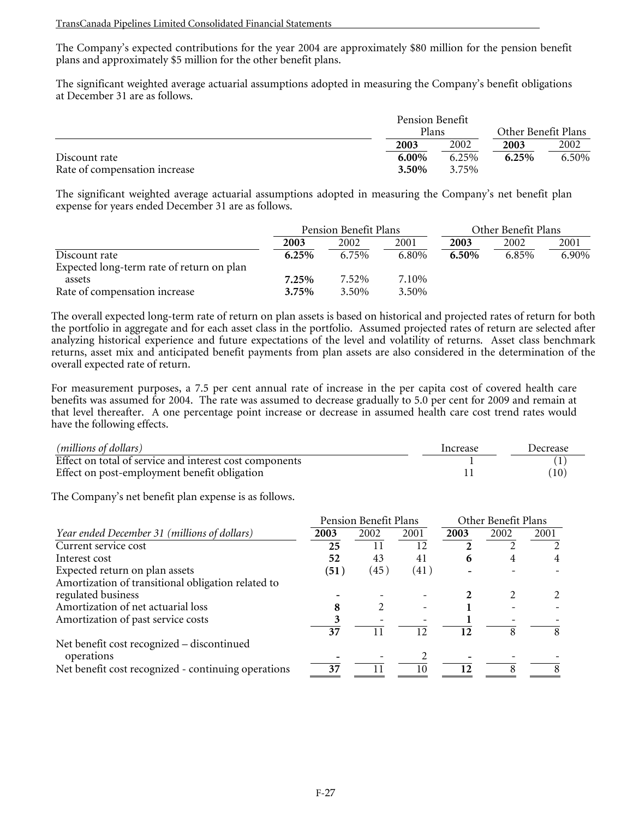The Company's expected contributions for the year 2004 are approximately \$80 million for the pension benefit plans and approximately \$5 million for the other benefit plans.

The significant weighted average actuarial assumptions adopted in measuring the Company's benefit obligations at December 31 are as follows.

|                               |          | Pension Benefit |          |                     |  |
|-------------------------------|----------|-----------------|----------|---------------------|--|
|                               |          | Plans           |          | Other Benefit Plans |  |
|                               | 2003     | 2002            | 2003     | 2002                |  |
| Discount rate                 | $6.00\%$ | 6.25%           | $6.25\%$ | 6.50%               |  |
| Rate of compensation increase | 3.50%    | 3.75%           |          |                     |  |

The significant weighted average actuarial assumptions adopted in measuring the Company's net benefit plan expense for years ended December 31 are as follows.

|                                           | Pension Benefit Plans |       |       | Other Benefit Plans |       |       |
|-------------------------------------------|-----------------------|-------|-------|---------------------|-------|-------|
|                                           | 2003                  | 2002  | 2001  | 2003                | 2002  | 2001  |
| Discount rate                             | 6.25%                 | 6.75% | 6.80% | 6.50%               | 6.85% | 6.90% |
| Expected long-term rate of return on plan |                       |       |       |                     |       |       |
| assets                                    | 7.25%                 | 7.52% | 7.10% |                     |       |       |
| Rate of compensation increase             | 3.75%                 | 3.50% | 3.50% |                     |       |       |

The overall expected long-term rate of return on plan assets is based on historical and projected rates of return for both the portfolio in aggregate and for each asset class in the portfolio. Assumed projected rates of return are selected after analyzing historical experience and future expectations of the level and volatility of returns. Asset class benchmark returns, asset mix and anticipated benefit payments from plan assets are also considered in the determination of the overall expected rate of return.

For measurement purposes, a 7.5 per cent annual rate of increase in the per capita cost of covered health care benefits was assumed for 2004. The rate was assumed to decrease gradually to 5.0 per cent for 2009 and remain at that level thereafter. A one percentage point increase or decrease in assumed health care cost trend rates would have the following effects.

| (millions of dollars)                                   | Increase | Decrease |
|---------------------------------------------------------|----------|----------|
| Effect on total of service and interest cost components |          |          |
| Effect on post-employment benefit obligation            |          | (10)     |

The Company's net benefit plan expense is as follows.

|                                                     | Pension Benefit Plans |      |      | Other Benefit Plans |      |      |
|-----------------------------------------------------|-----------------------|------|------|---------------------|------|------|
| Year ended December 31 (millions of dollars)        | 2003                  | 2002 | 2001 | 2003                | 2002 | 2001 |
| Current service cost                                | 25                    | 11   | 12   |                     |      |      |
| Interest cost                                       | 52                    | 43   | 41   | 6                   | 4    | 4    |
| Expected return on plan assets                      | (51)                  | (45) | (41) |                     |      |      |
| Amortization of transitional obligation related to  |                       |      |      |                     |      |      |
| regulated business                                  |                       |      |      |                     |      |      |
| Amortization of net actuarial loss                  |                       |      |      |                     |      |      |
| Amortization of past service costs                  |                       |      |      |                     |      |      |
|                                                     | 37                    | 11   | 12   | 12                  | 8    | 8    |
| Net benefit cost recognized - discontinued          |                       |      |      |                     |      |      |
| operations                                          |                       |      |      |                     |      |      |
| Net benefit cost recognized - continuing operations |                       |      | 10   | 12                  | 8    |      |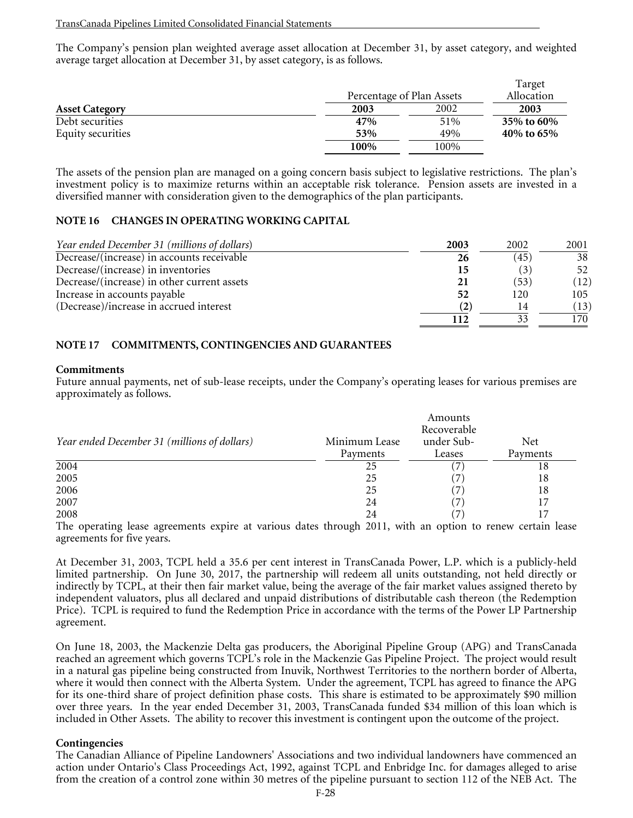The Company's pension plan weighted average asset allocation at December 31, by asset category, and weighted average target allocation at December 31, by asset category, is as follows.

|                       | Percentage of Plan Assets |      | Target<br>Allocation |
|-----------------------|---------------------------|------|----------------------|
| <b>Asset Category</b> | 2003                      | 2002 | 2003                 |
| Debt securities       | 47%                       | 51%  | 35% to 60%           |
| Equity securities     | 53%                       | 49%  | 40% to 65%           |
|                       | 100%                      | 100% |                      |

The assets of the pension plan are managed on a going concern basis subject to legislative restrictions. The plan's investment policy is to maximize returns within an acceptable risk tolerance. Pension assets are invested in a diversified manner with consideration given to the demographics of the plan participants.

## **NOTE 16 CHANGES IN OPERATING WORKING CAPITAL**

| Year ended December 31 (millions of dollars) | 2003 | 2002 | 2001 |
|----------------------------------------------|------|------|------|
| Decrease/(increase) in accounts receivable   | 26   | 45   | 38   |
| Decrease/(increase) in inventories           |      |      | 52   |
| Decrease/(increase) in other current assets  |      | (53) | (12) |
| Increase in accounts payable                 | 52   | 120  | 105  |
| (Decrease)/increase in accrued interest      |      |      | (13) |
|                                              |      |      | 170. |

## **NOTE 17 COMMITMENTS, CONTINGENCIES AND GUARANTEES**

#### **Commitments**

Future annual payments, net of sub-lease receipts, under the Company's operating leases for various premises are approximately as follows.

|                                              | Amounts<br>Recoverable |            |            |  |  |
|----------------------------------------------|------------------------|------------|------------|--|--|
| Year ended December 31 (millions of dollars) | Minimum Lease          | under Sub- | <b>Net</b> |  |  |
|                                              | Payments               | Leases     | Payments   |  |  |
| 2004                                         | 25                     |            | 18         |  |  |
| 2005                                         | 25                     |            | 18         |  |  |
| 2006                                         | 25                     |            | 18         |  |  |
| 2007                                         | 24                     | 7          | 17         |  |  |
| 2008                                         | 24                     |            |            |  |  |

The operating lease agreements expire at various dates through 2011, with an option to renew certain lease agreements for five years.

At December 31, 2003, TCPL held a 35.6 per cent interest in TransCanada Power, L.P. which is a publicly-held limited partnership. On June 30, 2017, the partnership will redeem all units outstanding, not held directly or indirectly by TCPL, at their then fair market value, being the average of the fair market values assigned thereto by independent valuators, plus all declared and unpaid distributions of distributable cash thereon (the Redemption Price). TCPL is required to fund the Redemption Price in accordance with the terms of the Power LP Partnership agreement.

On June 18, 2003, the Mackenzie Delta gas producers, the Aboriginal Pipeline Group (APG) and TransCanada reached an agreement which governs TCPL's role in the Mackenzie Gas Pipeline Project. The project would result in a natural gas pipeline being constructed from Inuvik, Northwest Territories to the northern border of Alberta, where it would then connect with the Alberta System. Under the agreement, TCPL has agreed to finance the APG for its one-third share of project definition phase costs. This share is estimated to be approximately \$90 million over three years. In the year ended December 31, 2003, TransCanada funded \$34 million of this loan which is included in Other Assets. The ability to recover this investment is contingent upon the outcome of the project.

#### **Contingencies**

The Canadian Alliance of Pipeline Landowners' Associations and two individual landowners have commenced an action under Ontario's Class Proceedings Act, 1992, against TCPL and Enbridge Inc. for damages alleged to arise from the creation of a control zone within 30 metres of the pipeline pursuant to section 112 of the NEB Act. The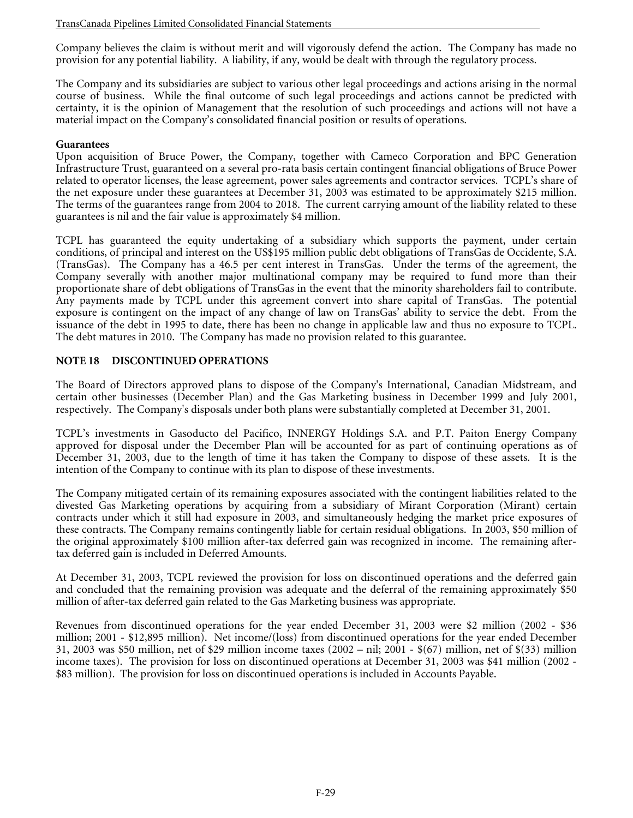Company believes the claim is without merit and will vigorously defend the action. The Company has made no provision for any potential liability. A liability, if any, would be dealt with through the regulatory process.

The Company and its subsidiaries are subject to various other legal proceedings and actions arising in the normal course of business. While the final outcome of such legal proceedings and actions cannot be predicted with certainty, it is the opinion of Management that the resolution of such proceedings and actions will not have a material impact on the Company's consolidated financial position or results of operations.

#### **Guarantees**

Upon acquisition of Bruce Power, the Company, together with Cameco Corporation and BPC Generation Infrastructure Trust, guaranteed on a several pro-rata basis certain contingent financial obligations of Bruce Power related to operator licenses, the lease agreement, power sales agreements and contractor services. TCPL's share of the net exposure under these guarantees at December 31, 2003 was estimated to be approximately \$215 million. The terms of the guarantees range from 2004 to 2018. The current carrying amount of the liability related to these guarantees is nil and the fair value is approximately \$4 million.

TCPL has guaranteed the equity undertaking of a subsidiary which supports the payment, under certain conditions, of principal and interest on the US\$195 million public debt obligations of TransGas de Occidente, S.A. (TransGas). The Company has a 46.5 per cent interest in TransGas. Under the terms of the agreement, the Company severally with another major multinational company may be required to fund more than their proportionate share of debt obligations of TransGas in the event that the minority shareholders fail to contribute. Any payments made by TCPL under this agreement convert into share capital of TransGas. The potential exposure is contingent on the impact of any change of law on TransGas' ability to service the debt. From the issuance of the debt in 1995 to date, there has been no change in applicable law and thus no exposure to TCPL. The debt matures in 2010. The Company has made no provision related to this guarantee.

## **NOTE 18 DISCONTINUED OPERATIONS**

The Board of Directors approved plans to dispose of the Company's International, Canadian Midstream, and certain other businesses (December Plan) and the Gas Marketing business in December 1999 and July 2001, respectively. The Company's disposals under both plans were substantially completed at December 31, 2001.

TCPL's investments in Gasoducto del Pacifico, INNERGY Holdings S.A. and P.T. Paiton Energy Company approved for disposal under the December Plan will be accounted for as part of continuing operations as of December 31, 2003, due to the length of time it has taken the Company to dispose of these assets. It is the intention of the Company to continue with its plan to dispose of these investments.

The Company mitigated certain of its remaining exposures associated with the contingent liabilities related to the divested Gas Marketing operations by acquiring from a subsidiary of Mirant Corporation (Mirant) certain contracts under which it still had exposure in 2003, and simultaneously hedging the market price exposures of these contracts. The Company remains contingently liable for certain residual obligations. In 2003, \$50 million of the original approximately \$100 million after-tax deferred gain was recognized in income. The remaining aftertax deferred gain is included in Deferred Amounts.

At December 31, 2003, TCPL reviewed the provision for loss on discontinued operations and the deferred gain and concluded that the remaining provision was adequate and the deferral of the remaining approximately \$50 million of after-tax deferred gain related to the Gas Marketing business was appropriate.

Revenues from discontinued operations for the year ended December 31, 2003 were \$2 million (2002 - \$36 million; 2001 - \$12,895 million). Net income/(loss) from discontinued operations for the year ended December 31, 2003 was \$50 million, net of \$29 million income taxes (2002 – nil; 2001 - \$(67) million, net of \$(33) million income taxes). The provision for loss on discontinued operations at December 31, 2003 was \$41 million (2002 - \$83 million). The provision for loss on discontinued operations is included in Accounts Payable.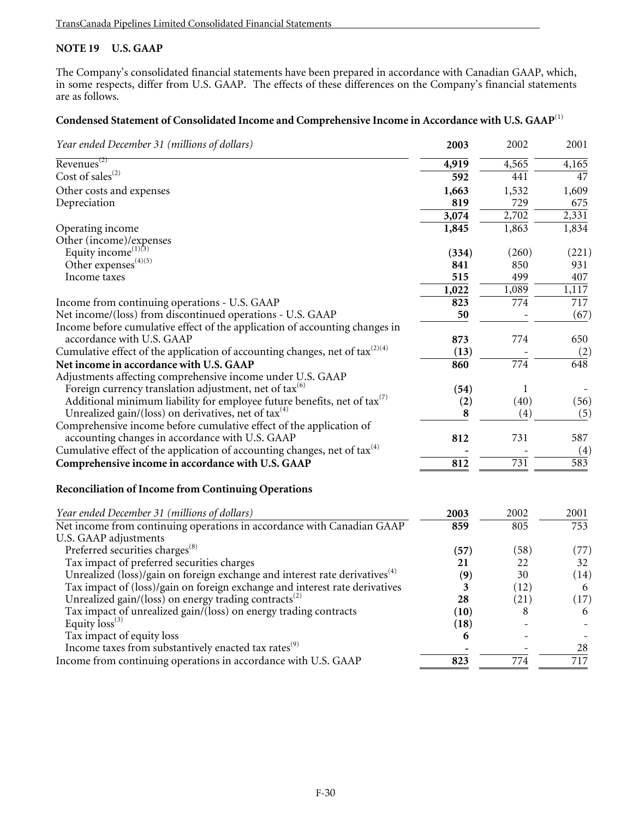# **NOTE 19 U.S. GAAP**

The Company's consolidated financial statements have been prepared in accordance with Canadian GAAP, which, in some respects, differ from U.S. GAAP. The effects of these differences on the Company's financial statements are as follows.

# **Condensed Statement of Consolidated Income and Comprehensive Income in Accordance with U.S. GAAP**(1)

| Year ended December 31 (millions of dollars)                                            | 2003             | 2002             | 2001             |
|-----------------------------------------------------------------------------------------|------------------|------------------|------------------|
| $Revenues^{(2)}$                                                                        | 4,919            | 4,565            | 4,165            |
| Cost of sales $^{(2)}$                                                                  | $\overline{592}$ | 441              | 47               |
| Other costs and expenses                                                                | 1,663            | 1,532            | 1,609            |
| Depreciation                                                                            | 819              | 729              | 675              |
|                                                                                         | 3,074            | 2,702            | 2,331            |
| Operating income                                                                        | 1,845            | 1,863            | 1,834            |
| Other (income)/expenses                                                                 |                  |                  |                  |
| Equity income <sup>(1)(3)</sup>                                                         | (334)            | (260)            | (221)            |
| Other expenses <sup>(4)(5)</sup>                                                        | 841              | 850              | 931              |
| Income taxes                                                                            | 515              | 499              | 407              |
|                                                                                         | 1,022            | 1,089            | 1,117            |
| Income from continuing operations - U.S. GAAP                                           | 823              | 774              | $\overline{717}$ |
| Net income/(loss) from discontinued operations - U.S. GAAP                              | 50               |                  | (67)             |
| Income before cumulative effect of the application of accounting changes in             |                  |                  |                  |
| accordance with U.S. GAAP                                                               | 873              | 774              | 650              |
| Cumulative effect of the application of accounting changes, net of tax $(2)(4)$         | (13)             |                  | (2)              |
| Net income in accordance with U.S. GAAP                                                 | 860              | $\overline{774}$ | 648              |
| Adjustments affecting comprehensive income under U.S. GAAP                              |                  |                  |                  |
| Foreign currency translation adjustment, net of $\text{tax}^{(6)}$                      | (54)             | 1                |                  |
| Additional minimum liability for employee future benefits, net of tax $(7)$             | (2)              | (40)             | (56)             |
| Unrealized gain/(loss) on derivatives, net of tax $(4)$                                 | 8                | (4)              | (5)              |
| Comprehensive income before cumulative effect of the application of                     |                  |                  |                  |
| accounting changes in accordance with U.S. GAAP                                         | 812              | 731              | 587              |
| Cumulative effect of the application of accounting changes, net of $\text{tax}^{(4)}$   |                  |                  | (4)              |
| Comprehensive income in accordance with U.S. GAAP                                       | 812              | 731              | $\overline{583}$ |
|                                                                                         |                  |                  |                  |
| <b>Reconciliation of Income from Continuing Operations</b>                              |                  |                  |                  |
| Year ended December 31 (millions of dollars)                                            | 2003             | 2002             | 2001             |
| Net income from continuing operations in accordance with Canadian GAAP                  | 859              | 805              | 753              |
| U.S. GAAP adjustments                                                                   |                  |                  |                  |
| Preferred securities charges <sup>(8)</sup>                                             | (57)             | (58)             | (77)             |
| Tax impact of preferred securities charges                                              | 21               | 22               | 32               |
| Unrealized (loss)/gain on foreign exchange and interest rate derivatives <sup>(4)</sup> | (9)              | 30               | (14)             |
| Tax impact of (loss)/gain on foreign exchange and interest rate derivatives             | 3                | (12)             | 6                |
| Unrealized gain/(loss) on energy trading contracts <sup>(2)</sup>                       | 28               | (21)             | (17)             |
| Tax impact of unrealized gain/(loss) on energy trading contracts                        | (10)             | 8                | 6                |
| Equity $\text{loss}^{(3)}$                                                              | (18)             |                  |                  |
| Tax impact of equity loss                                                               | 6                |                  |                  |
| Income taxes from substantively enacted tax rates <sup>(9)</sup>                        |                  |                  | 28               |
| Income from continuing operations in accordance with U.S. GAAP                          | 823              | 774              | 717              |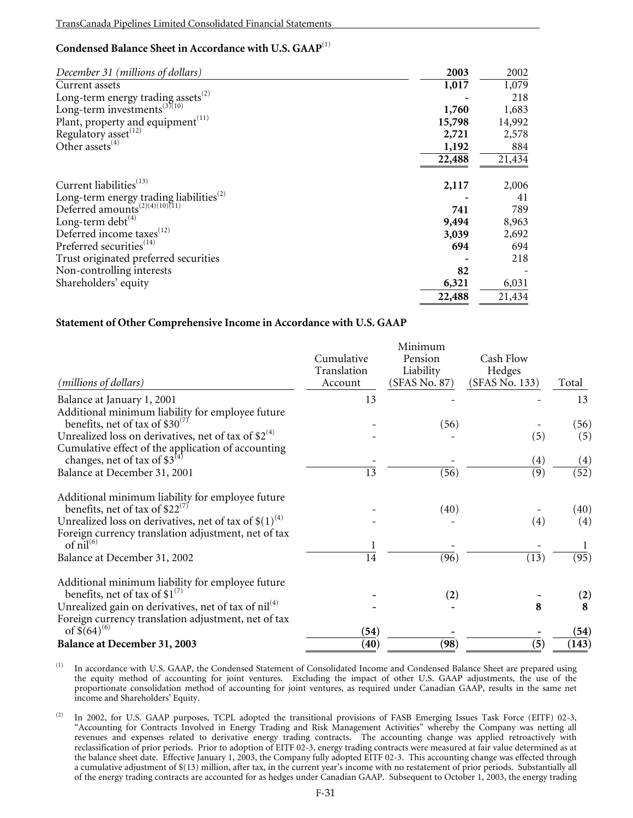# **Condensed Balance Sheet in Accordance with U.S. GAAP**(1)

| December 31 (millions of dollars)                                                                 | 2003   | 2002   |
|---------------------------------------------------------------------------------------------------|--------|--------|
| Current assets                                                                                    | 1,017  | 1,079  |
| Long-term energy trading assets $^{(2)}$                                                          |        | 218    |
| Long-term investments $(3)(10)$                                                                   | 1,760  | 1,683  |
| Plant, property and equipment <sup>(11)</sup>                                                     | 15,798 | 14,992 |
| Regulatory asset <sup>(12)</sup>                                                                  | 2,721  | 2,578  |
| Other assets <sup>(4)</sup>                                                                       | 1,192  | 884    |
|                                                                                                   | 22,488 | 21,434 |
| Current liabilities <sup>(13)</sup>                                                               | 2,117  | 2,006  |
|                                                                                                   |        | 41     |
| Long-term energy trading liabilities <sup>(2)</sup><br>Deferred amounts <sup>(2)(4)(10)(11)</sup> | 741    | 789    |
| Long-term debt $(4)$                                                                              | 9,494  | 8,963  |
| Deferred income taxes <sup>(12)</sup>                                                             | 3,039  | 2,692  |
| Preferred securities <sup>(14)</sup>                                                              | 694    | 694    |
| Trust originated preferred securities                                                             |        | 218    |
| Non-controlling interests                                                                         | 82     |        |
| Shareholders' equity                                                                              | 6,321  | 6,031  |
|                                                                                                   | 22,488 | 21,434 |

### **Statement of Other Comprehensive Income in Accordance with U.S. GAAP**

|                                                            | Minimum         |                   |                |                   |
|------------------------------------------------------------|-----------------|-------------------|----------------|-------------------|
|                                                            | Cumulative      | Pension           | Cash Flow      |                   |
|                                                            | Translation     | Liability         | Hedges         |                   |
| (millions of dollars)                                      | Account         | (SFAS No. 87)     | (SFAS No. 133) | Total             |
| Balance at January 1, 2001                                 | 13              |                   |                | 13                |
| Additional minimum liability for employee future           |                 |                   |                |                   |
| benefits, net of tax of \$30 <sup>(7)</sup>                |                 | (56)              |                | (56)              |
| Unrealized loss on derivatives, net of tax of $$2^{(4)}$   |                 |                   | (5)            | (5)               |
| Cumulative effect of the application of accounting         |                 |                   |                |                   |
| changes, net of tax of $$3^{(4)}$                          |                 |                   | (4)            | (4)               |
| Balance at December 31, 2001                               | $\overline{13}$ | $\overline{(56)}$ | (9)            | $\overline{52})$  |
| Additional minimum liability for employee future           |                 |                   |                |                   |
| benefits, net of tax of \$22 <sup>(7)</sup>                |                 | (40)              |                | (40)              |
| Unrealized loss on derivatives, net of tax of $$(1)^{(4)}$ |                 |                   | (4)            | (4)               |
| Foreign currency translation adjustment, net of tax        |                 |                   |                |                   |
| of $nil^{(6)}$                                             |                 |                   |                |                   |
| Balance at December 31, 2002                               | $\overline{14}$ | $\overline{(96)}$ | (13)           | $\overline{(95)}$ |
| Additional minimum liability for employee future           |                 |                   |                |                   |
| benefits, net of tax of $$1^{(7)}$                         |                 | (2)               |                | (2)               |
| Unrealized gain on derivatives, net of tax of $nil(4)$     |                 |                   | 8              | 8                 |
| Foreign currency translation adjustment, net of tax        |                 |                   |                |                   |
| of $\sqrt[5]{(64)^{(6)}}$                                  | (54)            |                   |                | (54)              |
| Balance at December 31, 2003                               | (40)            | (98)              | (5)            | (143)             |

<sup>(1)</sup> In accordance with U.S. GAAP, the Condensed Statement of Consolidated Income and Condensed Balance Sheet are prepared using the equity method of accounting for joint ventures. Excluding the impact of other U.S. GAAP adjustments, the use of the proportionate consolidation method of accounting for joint ventures, as required under Canadian GAAP, results in the same net income and Shareholders' Equity.

(2) In 2002, for U.S. GAAP purposes, TCPL adopted the transitional provisions of FASB Emerging Issues Task Force (EITF) 02-3, "Accounting for Contracts Involved in Energy Trading and Risk Management Activities" whereby the Company was netting all revenues and expenses related to derivative energy trading contracts. The accounting change was applied retroactively with reclassification of prior periods. Prior to adoption of EITF 02-3, energy trading contracts were measured at fair value determined as at the balance sheet date. Effective January 1, 2003, the Company fully adopted EITF 02-3. This accounting change was effected through a cumulative adjustment of \$(13) million, after tax, in the current year's income with no restatement of prior periods. Substantially all of the energy trading contracts are accounted for as hedges under Canadian GAAP. Subsequent to October 1, 2003, the energy trading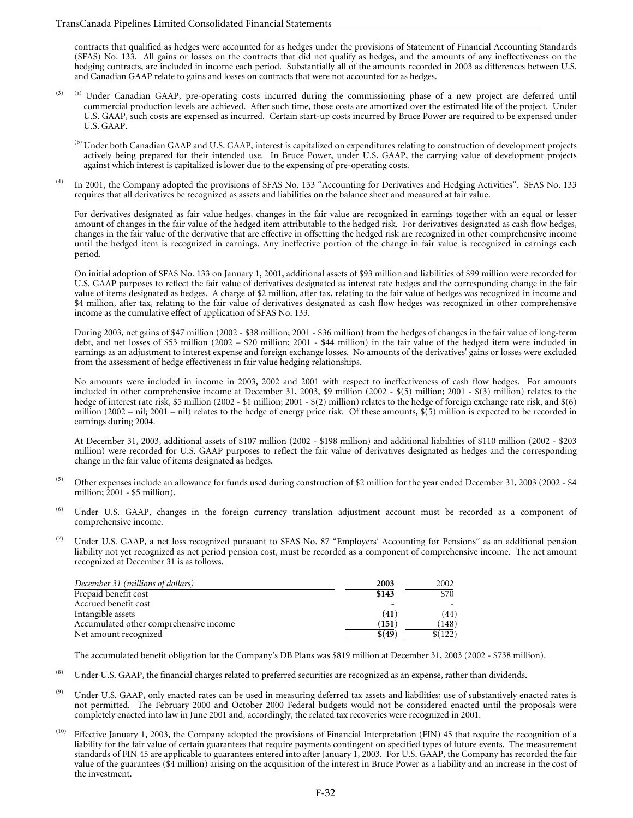#### TransCanada Pipelines Limited Consolidated Financial Statements

contracts that qualified as hedges were accounted for as hedges under the provisions of Statement of Financial Accounting Standards (SFAS) No. 133. All gains or losses on the contracts that did not qualify as hedges, and the amounts of any ineffectiveness on the hedging contracts, are included in income each period. Substantially all of the amounts recorded in 2003 as differences between U.S. and Canadian GAAP relate to gains and losses on contracts that were not accounted for as hedges.

- <sup>(3) (a)</sup> Under Canadian GAAP, pre-operating costs incurred during the commissioning phase of a new project are deferred until commercial production levels are achieved. After such time, those costs are amortized over the estimated life of the project. Under U.S. GAAP, such costs are expensed as incurred. Certain start-up costs incurred by Bruce Power are required to be expensed under U.S. GAAP.
	- (b) Under both Canadian GAAP and U.S. GAAP, interest is capitalized on expenditures relating to construction of development projects actively being prepared for their intended use. In Bruce Power, under U.S. GAAP, the carrying value of development projects against which interest is capitalized is lower due to the expensing of pre-operating costs.
- (4) In 2001, the Company adopted the provisions of SFAS No. 133 "Accounting for Derivatives and Hedging Activities". SFAS No. 133 requires that all derivatives be recognized as assets and liabilities on the balance sheet and measured at fair value.

For derivatives designated as fair value hedges, changes in the fair value are recognized in earnings together with an equal or lesser amount of changes in the fair value of the hedged item attributable to the hedged risk. For derivatives designated as cash flow hedges, changes in the fair value of the derivative that are effective in offsetting the hedged risk are recognized in other comprehensive income until the hedged item is recognized in earnings. Any ineffective portion of the change in fair value is recognized in earnings each period.

On initial adoption of SFAS No. 133 on January 1, 2001, additional assets of \$93 million and liabilities of \$99 million were recorded for U.S. GAAP purposes to reflect the fair value of derivatives designated as interest rate hedges and the corresponding change in the fair value of items designated as hedges. A charge of \$2 million, after tax, relating to the fair value of hedges was recognized in income and \$4 million, after tax, relating to the fair value of derivatives designated as cash flow hedges was recognized in other comprehensive income as the cumulative effect of application of SFAS No. 133.

During 2003, net gains of \$47 million (2002 - \$38 million; 2001 - \$36 million) from the hedges of changes in the fair value of long-term debt, and net losses of \$53 million (2002 – \$20 million; 2001 - \$44 million) in the fair value of the hedged item were included in earnings as an adjustment to interest expense and foreign exchange losses. No amounts of the derivatives' gains or losses were excluded from the assessment of hedge effectiveness in fair value hedging relationships.

No amounts were included in income in 2003, 2002 and 2001 with respect to ineffectiveness of cash flow hedges. For amounts included in other comprehensive income at December 31, 2003, \$9 million (2002 - \$(5) million; 2001 - \$(3) million) relates to the hedge of interest rate risk, \$5 million (2002 - \$1 million; 2001 - \$(2) million) relates to the hedge of foreign exchange rate risk, and \$(6) million (2002 – nil; 2001 – nil) relates to the hedge of energy price risk. Of these amounts,  $\hat{\mathcal{S}}(5)$  million is expected to be recorded in earnings during 2004.

At December 31, 2003, additional assets of \$107 million (2002 - \$198 million) and additional liabilities of \$110 million (2002 - \$203 million) were recorded for U.S. GAAP purposes to reflect the fair value of derivatives designated as hedges and the corresponding change in the fair value of items designated as hedges.

- (5) Other expenses include an allowance for funds used during construction of \$2 million for the year ended December 31, 2003 (2002 \$4 million; 2001 - \$5 million).
- (6) Under U.S. GAAP, changes in the foreign currency translation adjustment account must be recorded as a component of comprehensive income.
- Under U.S. GAAP, a net loss recognized pursuant to SFAS No. 87 "Employers' Accounting for Pensions" as an additional pension liability not yet recognized as net period pension cost, must be recorded as a component of comprehensive income. The net amount recognized at December 31 is as follows.

| December 31 (millions of dollars)      | 2003    | 2002    |
|----------------------------------------|---------|---------|
| Prepaid benefit cost                   | \$143   | \$70    |
| Accrued benefit cost                   |         |         |
| Intangible assets                      | (41)    | (44)    |
| Accumulated other comprehensive income | (151    | (148)   |
| Net amount recognized                  | \$ (49) | \$(122) |

The accumulated benefit obligation for the Company's DB Plans was \$819 million at December 31, 2003 (2002 - \$738 million).

- <sup>(8)</sup> Under U.S. GAAP, the financial charges related to preferred securities are recognized as an expense, rather than dividends.
- <sup>(9)</sup> Under U.S. GAAP, only enacted rates can be used in measuring deferred tax assets and liabilities; use of substantively enacted rates is not permitted. The February 2000 and October 2000 Federal budgets would not be considered enacted until the proposals were completely enacted into law in June 2001 and, accordingly, the related tax recoveries were recognized in 2001.
- $(10)$  Effective January 1, 2003, the Company adopted the provisions of Financial Interpretation (FIN) 45 that require the recognition of a liability for the fair value of certain guarantees that require payments contingent on specified types of future events. The measurement standards of FIN 45 are applicable to guarantees entered into after January 1, 2003. For U.S. GAAP, the Company has recorded the fair value of the guarantees (\$4 million) arising on the acquisition of the interest in Bruce Power as a liability and an increase in the cost of the investment.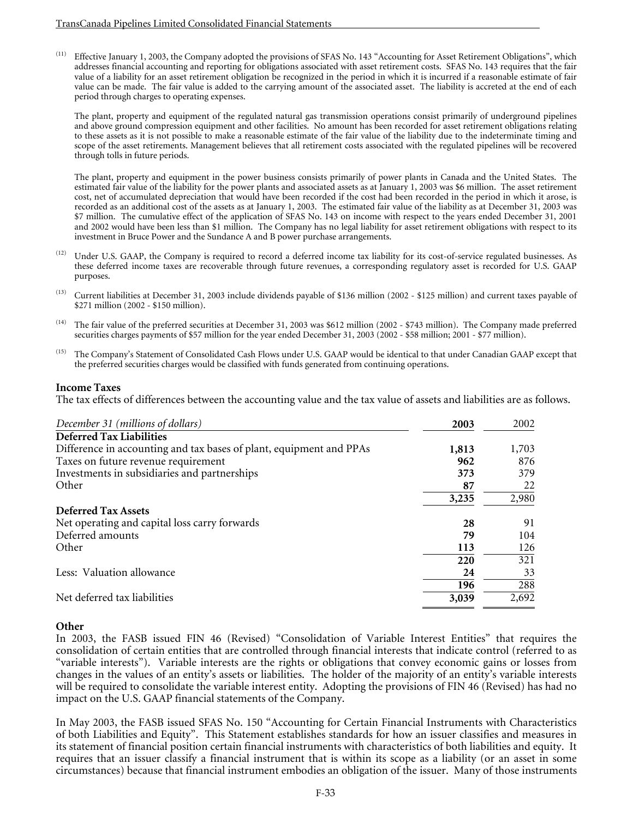$(11)$  Effective January 1, 2003, the Company adopted the provisions of SFAS No. 143 "Accounting for Asset Retirement Obligations", which addresses financial accounting and reporting for obligations associated with asset retirement costs. SFAS No. 143 requires that the fair value of a liability for an asset retirement obligation be recognized in the period in which it is incurred if a reasonable estimate of fair value can be made. The fair value is added to the carrying amount of the associated asset. The liability is accreted at the end of each period through charges to operating expenses.

The plant, property and equipment of the regulated natural gas transmission operations consist primarily of underground pipelines and above ground compression equipment and other facilities. No amount has been recorded for asset retirement obligations relating to these assets as it is not possible to make a reasonable estimate of the fair value of the liability due to the indeterminate timing and scope of the asset retirements. Management believes that all retirement costs associated with the regulated pipelines will be recovered through tolls in future periods.

The plant, property and equipment in the power business consists primarily of power plants in Canada and the United States. The estimated fair value of the liability for the power plants and associated assets as at January 1, 2003 was \$6 million. The asset retirement cost, net of accumulated depreciation that would have been recorded if the cost had been recorded in the period in which it arose, is recorded as an additional cost of the assets as at January 1, 2003. The estimated fair value of the liability as at December 31, 2003 was \$7 million. The cumulative effect of the application of SFAS No. 143 on income with respect to the years ended December 31, 2001 and 2002 would have been less than \$1 million. The Company has no legal liability for asset retirement obligations with respect to its investment in Bruce Power and the Sundance A and B power purchase arrangements.

- Under U.S. GAAP, the Company is required to record a deferred income tax liability for its cost-of-service regulated businesses. As these deferred income taxes are recoverable through future revenues, a corresponding regulatory asset is recorded for U.S. GAAP purposes.
- $(13)$  Current liabilities at December 31, 2003 include dividends payable of \$136 million (2002 \$125 million) and current taxes payable of \$271 million (2002 - \$150 million).
- (14) The fair value of the preferred securities at December 31, 2003 was \$612 million (2002 \$743 million). The Company made preferred securities charges payments of \$57 million for the year ended December 31, 2003 (2002 - \$58 million; 2001 - \$77 million).
- (15) The Company's Statement of Consolidated Cash Flows under U.S. GAAP would be identical to that under Canadian GAAP except that the preferred securities charges would be classified with funds generated from continuing operations.

### **Income Taxes**

The tax effects of differences between the accounting value and the tax value of assets and liabilities are as follows.

| December 31 (millions of dollars)                                   | 2003  | 2002  |
|---------------------------------------------------------------------|-------|-------|
| <b>Deferred Tax Liabilities</b>                                     |       |       |
| Difference in accounting and tax bases of plant, equipment and PPAs | 1,813 | 1,703 |
| Taxes on future revenue requirement                                 | 962   | 876   |
| Investments in subsidiaries and partnerships                        | 373   | 379   |
| Other                                                               | 87    | 22    |
|                                                                     | 3,235 | 2,980 |
| <b>Deferred Tax Assets</b>                                          |       |       |
| Net operating and capital loss carry forwards                       | 28    | 91    |
| Deferred amounts                                                    | 79    | 104   |
| Other                                                               | 113   | 126   |
|                                                                     | 220   | 321   |
| Less: Valuation allowance                                           | 24    | 33    |
|                                                                     | 196   | 288   |
| Net deferred tax liabilities                                        | 3,039 | 2,692 |

### **Other**

In 2003, the FASB issued FIN 46 (Revised) "Consolidation of Variable Interest Entities" that requires the consolidation of certain entities that are controlled through financial interests that indicate control (referred to as "variable interests"). Variable interests are the rights or obligations that convey economic gains or losses from changes in the values of an entity's assets or liabilities. The holder of the majority of an entity's variable interests will be required to consolidate the variable interest entity. Adopting the provisions of FIN 46 (Revised) has had no impact on the U.S. GAAP financial statements of the Company.

In May 2003, the FASB issued SFAS No. 150 "Accounting for Certain Financial Instruments with Characteristics of both Liabilities and Equity". This Statement establishes standards for how an issuer classifies and measures in its statement of financial position certain financial instruments with characteristics of both liabilities and equity. It requires that an issuer classify a financial instrument that is within its scope as a liability (or an asset in some circumstances) because that financial instrument embodies an obligation of the issuer. Many of those instruments